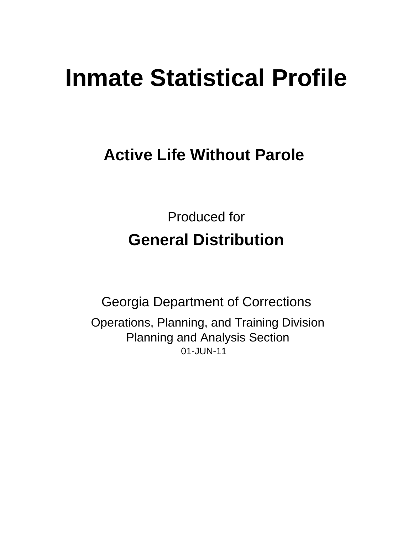# **Inmate Statistical Profile**

## **Active Life Without Parole**

**Produced for General Distribution** 

**Georgia Department of Corrections** Operations, Planning, and Training Division **Planning and Analysis Section** 01-JUN-11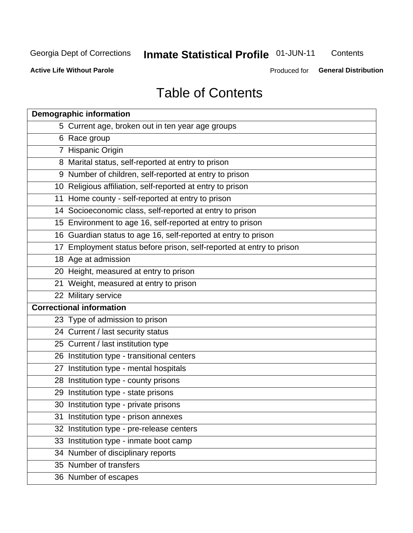## **Inmate Statistical Profile 01-JUN-11**

Contents

**Active Life Without Parole** 

Produced for General Distribution

## **Table of Contents**

|    | <b>Demographic information</b>                                       |
|----|----------------------------------------------------------------------|
|    | 5 Current age, broken out in ten year age groups                     |
|    | 6 Race group                                                         |
|    | 7 Hispanic Origin                                                    |
|    | 8 Marital status, self-reported at entry to prison                   |
|    | 9 Number of children, self-reported at entry to prison               |
|    | 10 Religious affiliation, self-reported at entry to prison           |
|    | 11 Home county - self-reported at entry to prison                    |
|    | 14 Socioeconomic class, self-reported at entry to prison             |
|    | 15 Environment to age 16, self-reported at entry to prison           |
|    | 16 Guardian status to age 16, self-reported at entry to prison       |
|    | 17 Employment status before prison, self-reported at entry to prison |
|    | 18 Age at admission                                                  |
|    | 20 Height, measured at entry to prison                               |
|    | 21 Weight, measured at entry to prison                               |
|    | 22 Military service                                                  |
|    | <b>Correctional information</b>                                      |
|    | 23 Type of admission to prison                                       |
|    | 24 Current / last security status                                    |
|    | 25 Current / last institution type                                   |
|    | 26 Institution type - transitional centers                           |
| 27 | Institution type - mental hospitals                                  |
|    | 28 Institution type - county prisons                                 |
|    | 29 Institution type - state prisons                                  |
|    | 30 Institution type - private prisons                                |
|    | 31 Institution type - prison annexes                                 |
|    | 32 Institution type - pre-release centers                            |
|    | 33 Institution type - inmate boot camp                               |
|    | 34 Number of disciplinary reports                                    |
|    | 35 Number of transfers                                               |
|    | 36 Number of escapes                                                 |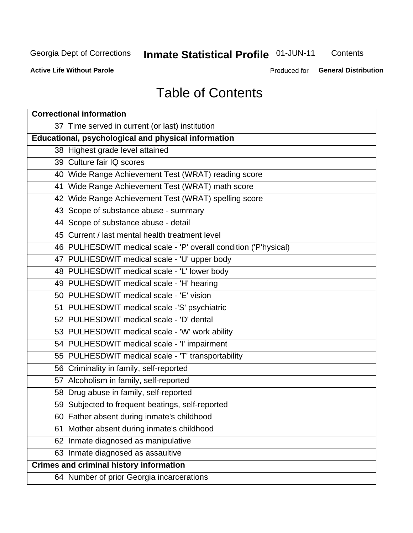## **Inmate Statistical Profile 01-JUN-11**

Contents

**Active Life Without Parole** 

Produced for **General Distribution** 

## **Table of Contents**

| <b>Correctional information</b>                                  |  |  |  |  |  |  |  |
|------------------------------------------------------------------|--|--|--|--|--|--|--|
| 37 Time served in current (or last) institution                  |  |  |  |  |  |  |  |
| Educational, psychological and physical information              |  |  |  |  |  |  |  |
| 38 Highest grade level attained                                  |  |  |  |  |  |  |  |
| 39 Culture fair IQ scores                                        |  |  |  |  |  |  |  |
| 40 Wide Range Achievement Test (WRAT) reading score              |  |  |  |  |  |  |  |
| 41 Wide Range Achievement Test (WRAT) math score                 |  |  |  |  |  |  |  |
| 42 Wide Range Achievement Test (WRAT) spelling score             |  |  |  |  |  |  |  |
| 43 Scope of substance abuse - summary                            |  |  |  |  |  |  |  |
| 44 Scope of substance abuse - detail                             |  |  |  |  |  |  |  |
| 45 Current / last mental health treatment level                  |  |  |  |  |  |  |  |
| 46 PULHESDWIT medical scale - 'P' overall condition ('P'hysical) |  |  |  |  |  |  |  |
| 47 PULHESDWIT medical scale - 'U' upper body                     |  |  |  |  |  |  |  |
| 48 PULHESDWIT medical scale - 'L' lower body                     |  |  |  |  |  |  |  |
| 49 PULHESDWIT medical scale - 'H' hearing                        |  |  |  |  |  |  |  |
| 50 PULHESDWIT medical scale - 'E' vision                         |  |  |  |  |  |  |  |
| 51 PULHESDWIT medical scale -'S' psychiatric                     |  |  |  |  |  |  |  |
| 52 PULHESDWIT medical scale - 'D' dental                         |  |  |  |  |  |  |  |
| 53 PULHESDWIT medical scale - 'W' work ability                   |  |  |  |  |  |  |  |
| 54 PULHESDWIT medical scale - 'I' impairment                     |  |  |  |  |  |  |  |
| 55 PULHESDWIT medical scale - 'T' transportability               |  |  |  |  |  |  |  |
| 56 Criminality in family, self-reported                          |  |  |  |  |  |  |  |
| 57 Alcoholism in family, self-reported                           |  |  |  |  |  |  |  |
| 58 Drug abuse in family, self-reported                           |  |  |  |  |  |  |  |
| 59 Subjected to frequent beatings, self-reported                 |  |  |  |  |  |  |  |
| 60 Father absent during inmate's childhood                       |  |  |  |  |  |  |  |
| Mother absent during inmate's childhood<br>61                    |  |  |  |  |  |  |  |
| 62 Inmate diagnosed as manipulative                              |  |  |  |  |  |  |  |
| 63 Inmate diagnosed as assaultive                                |  |  |  |  |  |  |  |
| <b>Crimes and criminal history information</b>                   |  |  |  |  |  |  |  |
| 64 Number of prior Georgia incarcerations                        |  |  |  |  |  |  |  |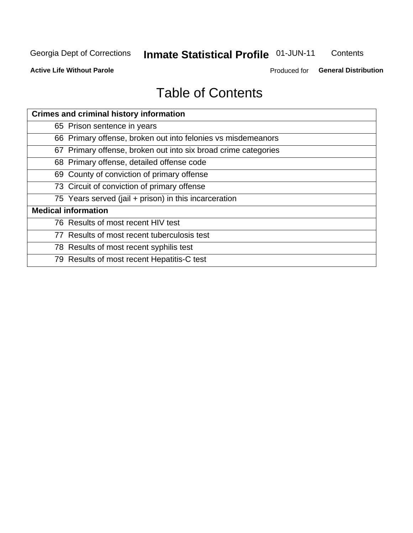## **Inmate Statistical Profile 01-JUN-11**

Contents

**Active Life Without Parole** 

Produced for General Distribution

## **Table of Contents**

| <b>Crimes and criminal history information</b>                 |
|----------------------------------------------------------------|
| 65 Prison sentence in years                                    |
| 66 Primary offense, broken out into felonies vs misdemeanors   |
| 67 Primary offense, broken out into six broad crime categories |
| 68 Primary offense, detailed offense code                      |
| 69 County of conviction of primary offense                     |
| 73 Circuit of conviction of primary offense                    |
| 75 Years served (jail + prison) in this incarceration          |
| <b>Medical information</b>                                     |
| 76 Results of most recent HIV test                             |
| 77 Results of most recent tuberculosis test                    |
| 78 Results of most recent syphilis test                        |
| 79 Results of most recent Hepatitis-C test                     |
|                                                                |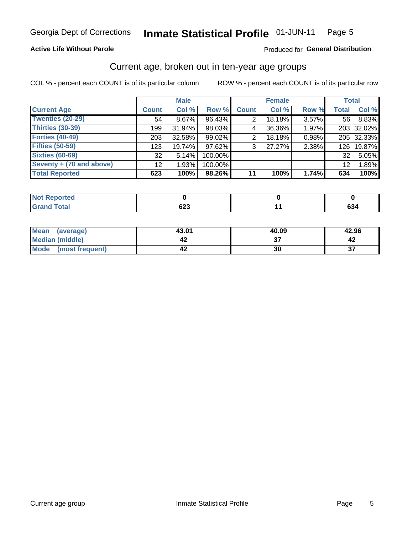#### Inmate Statistical Profile 01-JUN-11 Page 5

#### **Active Life Without Parole**

#### Produced for General Distribution

## Current age, broken out in ten-year age groups

COL % - percent each COUNT is of its particular column

|                          |              | <b>Male</b> |         |                | <b>Female</b> |       | <b>Total</b> |            |
|--------------------------|--------------|-------------|---------|----------------|---------------|-------|--------------|------------|
| <b>Current Age</b>       | <b>Count</b> | Col %       | Row %   | <b>Count</b>   | Col %         | Row % | <b>Total</b> | Col %      |
| <b>Twenties (20-29)</b>  | 54           | 8.67%       | 96.43%  | 2              | 18.18%        | 3.57% | 56           | 8.83%      |
| Thirties (30-39)         | 199          | 31.94%      | 98.03%  | 4              | 36.36%        | 1.97% |              | 203 32.02% |
| <b>Forties (40-49)</b>   | 203          | $32.58\%$   | 99.02%  | 2              | 18.18%        | 0.98% |              | 205 32.33% |
| <b>Fifties (50-59)</b>   | 123          | 19.74%      | 97.62%  | 3 <sub>1</sub> | 27.27%        | 2.38% | 126          | 19.87%     |
| <b>Sixties (60-69)</b>   | 32           | 5.14%       | 100.00% |                |               |       | 32           | 5.05%      |
| Seventy + (70 and above) | 12           | 1.93%       | 100.00% |                |               |       | 12           | 1.89%      |
| <b>Total Reported</b>    | 623          | 100%        | 98.26%  | 11             | 100%          | 1.74% | 634          | 100%       |

| eported            |               |               |
|--------------------|---------------|---------------|
| <b>Grand Total</b> | $\sim$<br>ט∠ס | $\sim$<br>OJ4 |

| <b>Mean</b><br>(average) | 43.01 | 40.09 | 42.96     |
|--------------------------|-------|-------|-----------|
| Median (middle)          |       |       |           |
| Mode<br>(most frequent)  | ∡4    | 30    | ^¬<br>. ن |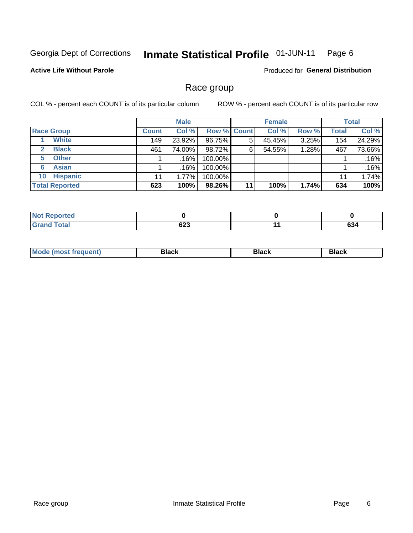#### Inmate Statistical Profile 01-JUN-11 Page 6

#### **Active Life Without Parole**

**Produced for General Distribution** 

## Race group

COL % - percent each COUNT is of its particular column

|                              |              | <b>Male</b> |                    |    | <b>Female</b> |       |              | <b>Total</b> |
|------------------------------|--------------|-------------|--------------------|----|---------------|-------|--------------|--------------|
| <b>Race Group</b>            | <b>Count</b> | Col %       | <b>Row % Count</b> |    | Col %         | Row % | <b>Total</b> | Col %        |
| <b>White</b>                 | 149          | 23.92%      | 96.75%             | 5  | 45.45%        | 3.25% | 154          | 24.29%       |
| <b>Black</b><br>$\mathbf{2}$ | 461          | 74.00%      | 98.72%             | 6  | 54.55%        | 1.28% | 467          | 73.66%       |
| <b>Other</b><br>5.           |              | .16%        | 100.00%            |    |               |       |              | .16%         |
| <b>Asian</b><br>6            |              | .16%        | 100.00%            |    |               |       |              | .16%         |
| <b>Hispanic</b><br>10        | 11           | 1.77%       | 100.00%            |    |               |       | 11           | 1.74%        |
| <b>Total Reported</b>        | 623          | 100%        | 98.26%             | 11 | 100%          | 1.74% | 634          | 100%         |

| rted         |                    |            |
|--------------|--------------------|------------|
| <b>Total</b> | coo<br>০∠১<br>$ -$ | co.<br>ხა4 |

| M | - - - | Piavn |
|---|-------|-------|
|   |       |       |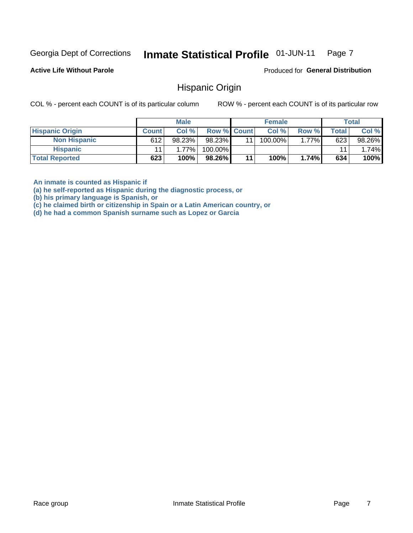#### Inmate Statistical Profile 01-JUN-11 Page 7

**Active Life Without Parole** 

Produced for General Distribution

### **Hispanic Origin**

COL % - percent each COUNT is of its particular column

ROW % - percent each COUNT is of its particular row

|                        |              | <b>Male</b> |                    |    | <b>Female</b> |       |       | <b>Total</b> |
|------------------------|--------------|-------------|--------------------|----|---------------|-------|-------|--------------|
| <b>Hispanic Origin</b> | <b>Count</b> | Col %       | <b>Row % Count</b> |    | Col %         | Row % | Total | Col %        |
| <b>Non Hispanic</b>    | 612          | 98.23%      | 98.23%             | 11 | 100.00%       | 1.77% | 623   | 98.26%       |
| <b>Hispanic</b>        |              | 1.77%       | 100.00%            |    |               |       | 11    | 1.74%        |
| <b>Total Reported</b>  | 623          | 100%        | 98.26%             | 11 | 100%          | 1.74% | 634   | 100%         |

An inmate is counted as Hispanic if

(a) he self-reported as Hispanic during the diagnostic process, or

(b) his primary language is Spanish, or

(c) he claimed birth or citizenship in Spain or a Latin American country, or

(d) he had a common Spanish surname such as Lopez or Garcia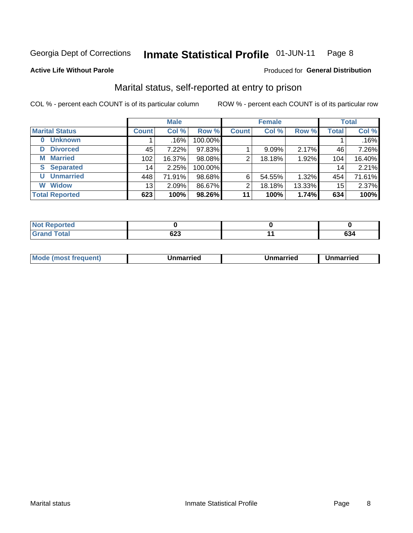#### Inmate Statistical Profile 01-JUN-11 Page 8

#### **Active Life Without Parole**

#### Produced for General Distribution

## Marital status, self-reported at entry to prison

COL % - percent each COUNT is of its particular column

|                            | <b>Male</b>  |         |         | <b>Female</b> |        |        | <b>Total</b> |        |
|----------------------------|--------------|---------|---------|---------------|--------|--------|--------------|--------|
| <b>Marital Status</b>      | <b>Count</b> | Col %   | Row %   | <b>Count</b>  | Col %  | Row %  | <b>Total</b> | Col %  |
| <b>Unknown</b><br>$\bf{0}$ |              | $.16\%$ | 100.00% |               |        |        |              | .16%   |
| <b>Divorced</b><br>D       | 45           | 7.22%   | 97.83%  |               | 9.09%  | 2.17%  | 46           | 7.26%  |
| <b>Married</b><br>М        | 102          | 16.37%  | 98.08%  | 2             | 18.18% | 1.92%  | 104          | 16.40% |
| <b>Separated</b><br>S      | 14           | 2.25%   | 100.00% |               |        |        | 14           | 2.21%  |
| <b>Unmarried</b><br>U      | 448          | 71.91%  | 98.68%  | 6             | 54.55% | 1.32%  | 454          | 71.61% |
| <b>Widow</b><br>W          | 13           | 2.09%   | 86.67%  | 2             | 18.18% | 13.33% | 15           | 2.37%  |
| <b>Total Reported</b>      | 623          | 100%    | 98.26%  | 11            | 100%   | 1.74%  | 634          | 100%   |

| prted<br>NOT |             |                  |
|--------------|-------------|------------------|
|              | cos.<br>0ZJ | ~~<br><b>094</b> |

|--|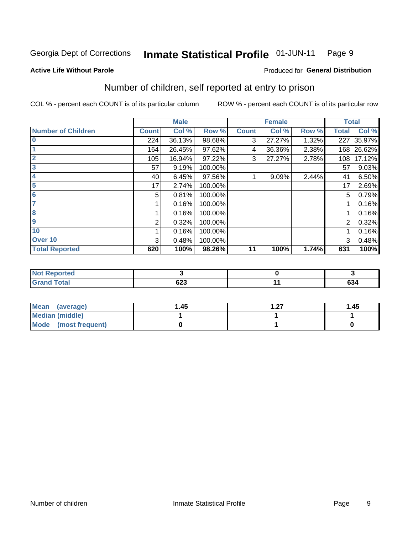#### Inmate Statistical Profile 01-JUN-11 Page 9

#### **Active Life Without Parole**

#### Produced for General Distribution

## Number of children, self reported at entry to prison

COL % - percent each COUNT is of its particular column

|                           |              | <b>Male</b> |         |              | <b>Female</b> |       |              | <b>Total</b> |
|---------------------------|--------------|-------------|---------|--------------|---------------|-------|--------------|--------------|
| <b>Number of Children</b> | <b>Count</b> | Col %       | Row %   | <b>Count</b> | Col %         | Row % | <b>Total</b> | Col %        |
| $\bf{0}$                  | 224          | 36.13%      | 98.68%  | 3            | 27.27%        | 1.32% | 227          | 35.97%       |
|                           | 164          | 26.45%      | 97.62%  | 4            | 36.36%        | 2.38% | 168          | 26.62%       |
| $\overline{2}$            | 105          | 16.94%      | 97.22%  | 3            | 27.27%        | 2.78% | 108          | 17.12%       |
| 3                         | 57           | 9.19%       | 100.00% |              |               |       | 57           | 9.03%        |
| 4                         | 40           | 6.45%       | 97.56%  |              | 9.09%         | 2.44% | 41           | 6.50%        |
| 5                         | 17           | 2.74%       | 100.00% |              |               |       | 17           | 2.69%        |
| $6\phantom{1}6$           | 5            | 0.81%       | 100.00% |              |               |       | 5            | 0.79%        |
| 7                         |              | 0.16%       | 100.00% |              |               |       |              | 0.16%        |
| 8                         |              | 0.16%       | 100.00% |              |               |       |              | 0.16%        |
| $\boldsymbol{9}$          | 2            | 0.32%       | 100.00% |              |               |       | 2            | 0.32%        |
| 10                        |              | 0.16%       | 100.00% |              |               |       |              | 0.16%        |
| Over 10                   | 3            | 0.48%       | 100.00% |              |               |       | 3            | 0.48%        |
| <b>Total Reported</b>     | 620          | 100%        | 98.26%  | 11           | 100%          | 1.74% | 631          | 100%         |

| neo           |                  |     |
|---------------|------------------|-----|
| المقماد<br>-- | <u>__</u><br>uzj | 634 |

| Mean (average)         | 1.45 | - 27<br>. | 1.45 |
|------------------------|------|-----------|------|
| <b>Median (middle)</b> |      |           |      |
| Mode (most frequent)   |      |           |      |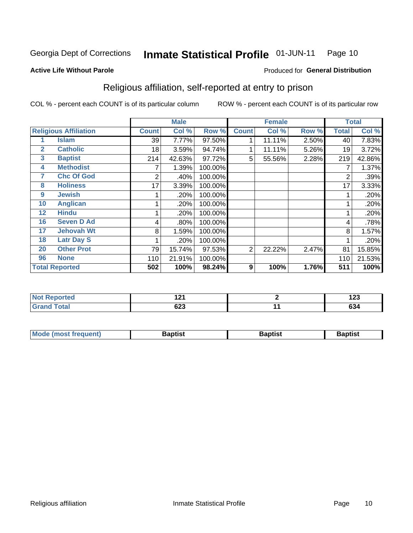#### Inmate Statistical Profile 01-JUN-11 Page 10

Produced for General Distribution

#### **Active Life Without Parole**

## Religious affiliation, self-reported at entry to prison

COL % - percent each COUNT is of its particular column

|              |                              |              | <b>Male</b> |         |              | <b>Female</b> |       |                  | <b>Total</b> |
|--------------|------------------------------|--------------|-------------|---------|--------------|---------------|-------|------------------|--------------|
|              | <b>Religious Affiliation</b> | <b>Count</b> | Col %       | Row %   | <b>Count</b> | Col %         | Row % | <b>Total</b>     | Col %        |
|              | <b>Islam</b>                 | 39           | 7.77%       | 97.50%  |              | 11.11%        | 2.50% | 40               | 7.83%        |
| $\mathbf{2}$ | <b>Catholic</b>              | 18           | 3.59%       | 94.74%  |              | 11.11%        | 5.26% | 19               | 3.72%        |
| 3            | <b>Baptist</b>               | 214          | 42.63%      | 97.72%  | 5            | 55.56%        | 2.28% | 219              | 42.86%       |
| 4            | <b>Methodist</b>             |              | 1.39%       | 100.00% |              |               |       | 7                | 1.37%        |
| 7            | <b>Chc Of God</b>            | 2            | .40%        | 100.00% |              |               |       | 2                | .39%         |
| 8            | <b>Holiness</b>              | 17           | 3.39%       | 100.00% |              |               |       | 17               | 3.33%        |
| 9            | <b>Jewish</b>                |              | .20%        | 100.00% |              |               |       |                  | .20%         |
| 10           | <b>Anglican</b>              |              | .20%        | 100.00% |              |               |       |                  | .20%         |
| 12           | <b>Hindu</b>                 |              | .20%        | 100.00% |              |               |       |                  | .20%         |
| 16           | <b>Seven D Ad</b>            | 4            | .80%        | 100.00% |              |               |       | 4                | .78%         |
| 17           | <b>Jehovah Wt</b>            | 8            | 1.59%       | 100.00% |              |               |       | 8                | 1.57%        |
| 18           | <b>Latr Day S</b>            |              | .20%        | 100.00% |              |               |       |                  | .20%         |
| 20           | <b>Other Prot</b>            | 79           | 15.74%      | 97.53%  | 2            | 22.22%        | 2.47% | 81               | 15.85%       |
| 96           | <b>None</b>                  | 110          | 21.91%      | 100.00% |              |               |       | 110              | 21.53%       |
|              | <b>Total Reported</b>        | 502          | 100%        | 98.24%  | 9            | 100%          | 1.76% | $\overline{511}$ | 100%         |

| rtea  | 104        | ,   |
|-------|------------|-----|
| .     | $\sim$     | 12J |
| _____ | cna<br>טבט | 634 |

| <b>Mode (most frequent)</b> | Baptist | Baptist | <b>Baptist</b> |
|-----------------------------|---------|---------|----------------|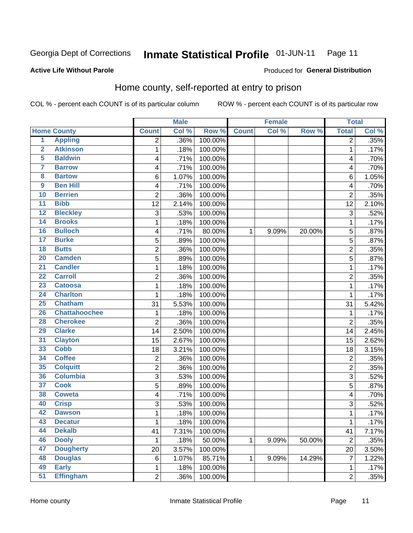#### Inmate Statistical Profile 01-JUN-11 Page 11

Produced for General Distribution

#### **Active Life Without Parole**

## Home county, self-reported at entry to prison

COL % - percent each COUNT is of its particular column

|                         |                      |                | <b>Male</b> |         |              | <b>Female</b> |        | <b>Total</b>            |       |
|-------------------------|----------------------|----------------|-------------|---------|--------------|---------------|--------|-------------------------|-------|
|                         | <b>Home County</b>   | <b>Count</b>   | Col %       | Row %   | <b>Count</b> | Col %         | Row %  | <b>Total</b>            | Col % |
| $\overline{1}$          | <b>Appling</b>       | $\overline{2}$ | .36%        | 100.00% |              |               |        | $\overline{2}$          | .35%  |
| $\overline{2}$          | <b>Atkinson</b>      | 1              | .18%        | 100.00% |              |               |        | 1                       | .17%  |
| 5                       | <b>Baldwin</b>       | 4              | .71%        | 100.00% |              |               |        | $\overline{\mathbf{4}}$ | .70%  |
| 7                       | <b>Barrow</b>        | 4              | .71%        | 100.00% |              |               |        | 4                       | .70%  |
| $\overline{\mathbf{8}}$ | <b>Bartow</b>        | 6              | 1.07%       | 100.00% |              |               |        | 6                       | 1.05% |
| 9                       | <b>Ben Hill</b>      | 4              | .71%        | 100.00% |              |               |        | $\overline{\mathbf{4}}$ | .70%  |
| 10                      | <b>Berrien</b>       | $\overline{2}$ | .36%        | 100.00% |              |               |        | $\overline{2}$          | .35%  |
| 11                      | <b>Bibb</b>          | 12             | 2.14%       | 100.00% |              |               |        | 12                      | 2.10% |
| 12                      | <b>Bleckley</b>      | 3              | .53%        | 100.00% |              |               |        | 3                       | .52%  |
| 14                      | <b>Brooks</b>        | 1              | .18%        | 100.00% |              |               |        | 1                       | .17%  |
| 16                      | <b>Bulloch</b>       | 4              | .71%        | 80.00%  | 1            | 9.09%         | 20.00% | 5                       | .87%  |
| 17                      | <b>Burke</b>         | 5              | .89%        | 100.00% |              |               |        | 5                       | .87%  |
| 18                      | <b>Butts</b>         | $\overline{2}$ | .36%        | 100.00% |              |               |        | $\overline{2}$          | .35%  |
| 20                      | <b>Camden</b>        | 5              | .89%        | 100.00% |              |               |        | 5                       | .87%  |
| $\overline{21}$         | <b>Candler</b>       | 1              | .18%        | 100.00% |              |               |        | 1                       | .17%  |
| $\overline{22}$         | <b>Carroll</b>       | 2              | .36%        | 100.00% |              |               |        | $\overline{2}$          | .35%  |
| 23                      | <b>Catoosa</b>       | 1              | .18%        | 100.00% |              |               |        | 1                       | .17%  |
| 24                      | <b>Charlton</b>      | 1              | .18%        | 100.00% |              |               |        | 1                       | .17%  |
| 25                      | <b>Chatham</b>       | 31             | 5.53%       | 100.00% |              |               |        | 31                      | 5.42% |
| 26                      | <b>Chattahoochee</b> | 1              | .18%        | 100.00% |              |               |        | 1                       | .17%  |
| 28                      | <b>Cherokee</b>      | $\overline{2}$ | .36%        | 100.00% |              |               |        | $\overline{2}$          | .35%  |
| 29                      | <b>Clarke</b>        | 14             | 2.50%       | 100.00% |              |               |        | 14                      | 2.45% |
| 31                      | <b>Clayton</b>       | 15             | 2.67%       | 100.00% |              |               |        | 15                      | 2.62% |
| 33                      | <b>Cobb</b>          | 18             | 3.21%       | 100.00% |              |               |        | 18                      | 3.15% |
| 34                      | <b>Coffee</b>        | $\overline{c}$ | .36%        | 100.00% |              |               |        | $\overline{2}$          | .35%  |
| 35                      | <b>Colquitt</b>      | $\overline{c}$ | .36%        | 100.00% |              |               |        | $\overline{2}$          | .35%  |
| 36                      | <b>Columbia</b>      | $\overline{3}$ | .53%        | 100.00% |              |               |        | 3                       | .52%  |
| 37                      | <b>Cook</b>          | 5              | .89%        | 100.00% |              |               |        | 5                       | .87%  |
| 38                      | <b>Coweta</b>        | 4              | .71%        | 100.00% |              |               |        | 4                       | .70%  |
| 40                      | <b>Crisp</b>         | 3              | .53%        | 100.00% |              |               |        | 3                       | .52%  |
| 42                      | <b>Dawson</b>        | 1              | .18%        | 100.00% |              |               |        | 1                       | .17%  |
| 43                      | <b>Decatur</b>       | 1              | .18%        | 100.00% |              |               |        | 1                       | .17%  |
| 44                      | <b>Dekalb</b>        | 41             | 7.31%       | 100.00% |              |               |        | 41                      | 7.17% |
| 46                      | <b>Dooly</b>         | 1              | .18%        | 50.00%  | $\mathbf{1}$ | 9.09%         | 50.00% | $\overline{2}$          | .35%  |
| 47                      | <b>Dougherty</b>     | 20             | 3.57%       | 100.00% |              |               |        | 20                      | 3.50% |
| 48                      | <b>Douglas</b>       | $\,6$          | 1.07%       | 85.71%  | 1            | 9.09%         | 14.29% | $\overline{7}$          | 1.22% |
| 49                      | <b>Early</b>         | 1              | .18%        | 100.00% |              |               |        | 1                       | .17%  |
| 51                      | <b>Effingham</b>     | $\overline{c}$ | .36%        | 100.00% |              |               |        | $\overline{2}$          | .35%  |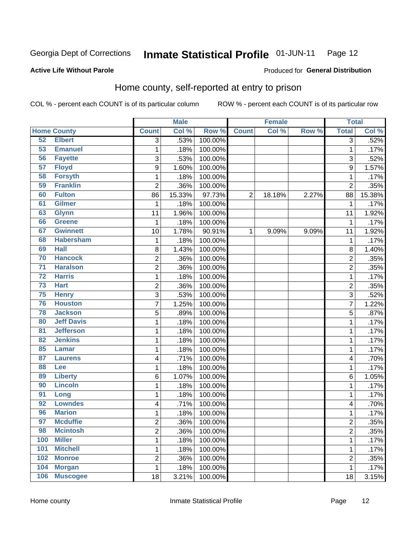#### Inmate Statistical Profile 01-JUN-11 Page 12

#### **Active Life Without Parole**

#### Produced for General Distribution

## Home county, self-reported at entry to prison

COL % - percent each COUNT is of its particular column

|                 |                    |                | <b>Male</b> |         |                | <b>Female</b> |       | <b>Total</b>            |        |
|-----------------|--------------------|----------------|-------------|---------|----------------|---------------|-------|-------------------------|--------|
|                 | <b>Home County</b> | <b>Count</b>   | Col %       | Row %   | <b>Count</b>   | Col %         | Row % | <b>Total</b>            | Col %  |
| 52              | <b>Elbert</b>      | $\overline{3}$ | .53%        | 100.00% |                |               |       | 3                       | .52%   |
| 53              | <b>Emanuel</b>     | $\mathbf 1$    | .18%        | 100.00% |                |               |       | 1                       | .17%   |
| 56              | <b>Fayette</b>     | 3              | .53%        | 100.00% |                |               |       | 3                       | .52%   |
| 57              | <b>Floyd</b>       | 9              | 1.60%       | 100.00% |                |               |       | 9                       | 1.57%  |
| 58              | <b>Forsyth</b>     | $\mathbf 1$    | .18%        | 100.00% |                |               |       | 1                       | .17%   |
| 59              | <b>Franklin</b>    | $\overline{2}$ | .36%        | 100.00% |                |               |       | $\overline{2}$          | .35%   |
| 60              | <b>Fulton</b>      | 86             | 15.33%      | 97.73%  | $\overline{2}$ | 18.18%        | 2.27% | 88                      | 15.38% |
| 61              | <b>Gilmer</b>      | 1              | .18%        | 100.00% |                |               |       | 1                       | .17%   |
| 63              | <b>Glynn</b>       | 11             | 1.96%       | 100.00% |                |               |       | 11                      | 1.92%  |
| 66              | <b>Greene</b>      | 1              | .18%        | 100.00% |                |               |       | 1                       | .17%   |
| 67              | <b>Gwinnett</b>    | 10             | 1.78%       | 90.91%  | 1              | 9.09%         | 9.09% | 11                      | 1.92%  |
| 68              | <b>Habersham</b>   | 1              | .18%        | 100.00% |                |               |       | 1                       | .17%   |
| 69              | <b>Hall</b>        | 8              | 1.43%       | 100.00% |                |               |       | 8                       | 1.40%  |
| 70              | <b>Hancock</b>     | $\overline{c}$ | .36%        | 100.00% |                |               |       | $\overline{c}$          | .35%   |
| $\overline{71}$ | <b>Haralson</b>    | $\overline{c}$ | .36%        | 100.00% |                |               |       | $\overline{2}$          | .35%   |
| $\overline{72}$ | <b>Harris</b>      | $\mathbf 1$    | .18%        | 100.00% |                |               |       | 1                       | .17%   |
| $\overline{73}$ | <b>Hart</b>        | $\overline{2}$ | .36%        | 100.00% |                |               |       | $\overline{2}$          | .35%   |
| 75              | <b>Henry</b>       | 3              | .53%        | 100.00% |                |               |       | 3                       | .52%   |
| 76              | <b>Houston</b>     | $\overline{7}$ | 1.25%       | 100.00% |                |               |       | 7                       | 1.22%  |
| 78              | <b>Jackson</b>     | 5              | .89%        | 100.00% |                |               |       | 5                       | .87%   |
| 80              | <b>Jeff Davis</b>  | $\mathbf 1$    | .18%        | 100.00% |                |               |       | 1                       | .17%   |
| 81              | <b>Jefferson</b>   | $\mathbf 1$    | .18%        | 100.00% |                |               |       | 1                       | .17%   |
| 82              | <b>Jenkins</b>     | $\mathbf 1$    | .18%        | 100.00% |                |               |       | 1                       | .17%   |
| 85              | <b>Lamar</b>       | 1              | .18%        | 100.00% |                |               |       | 1                       | .17%   |
| 87              | <b>Laurens</b>     | 4              | .71%        | 100.00% |                |               |       | 4                       | .70%   |
| 88              | Lee                | $\mathbf 1$    | .18%        | 100.00% |                |               |       | 1                       | .17%   |
| 89              | <b>Liberty</b>     | 6              | 1.07%       | 100.00% |                |               |       | 6                       | 1.05%  |
| 90              | <b>Lincoln</b>     | 1              | .18%        | 100.00% |                |               |       | 1                       | .17%   |
| 91              | Long               | $\mathbf 1$    | .18%        | 100.00% |                |               |       | 1                       | .17%   |
| 92              | <b>Lowndes</b>     | 4              | .71%        | 100.00% |                |               |       | 4                       | .70%   |
| 96              | <b>Marion</b>      | $\mathbf 1$    | .18%        | 100.00% |                |               |       | 1                       | .17%   |
| 97              | <b>Mcduffie</b>    | 2              | .36%        | 100.00% |                |               |       | $\overline{\mathbf{c}}$ | .35%   |
| 98              | <b>Mcintosh</b>    | $\overline{2}$ | .36%        | 100.00% |                |               |       | $\overline{c}$          | .35%   |
| 100             | <b>Miller</b>      | $\mathbf{1}$   | .18%        | 100.00% |                |               |       | 1                       | .17%   |
| 101             | <b>Mitchell</b>    | $\mathbf 1$    | .18%        | 100.00% |                |               |       | 1                       | .17%   |
| 102             | <b>Monroe</b>      | $\overline{2}$ | .36%        | 100.00% |                |               |       | $\overline{2}$          | .35%   |
| 104             | <b>Morgan</b>      | $\mathbf{1}$   | .18%        | 100.00% |                |               |       | 1                       | .17%   |
| 106             | <b>Muscogee</b>    | 18             | 3.21%       | 100.00% |                |               |       | 18                      | 3.15%  |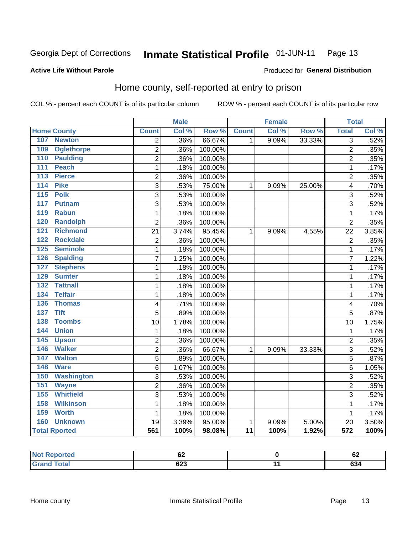#### Inmate Statistical Profile 01-JUN-11 Page 13

#### **Active Life Without Parole**

#### Produced for General Distribution

## Home county, self-reported at entry to prison

COL % - percent each COUNT is of its particular column

|                                     |                | <b>Male</b> |         |                 | <b>Female</b> |        | <b>Total</b>   |       |
|-------------------------------------|----------------|-------------|---------|-----------------|---------------|--------|----------------|-------|
| <b>Home County</b>                  | <b>Count</b>   | Col %       | Row %   | <b>Count</b>    | Col %         | Row %  | <b>Total</b>   | Col % |
| <b>Newton</b><br>107                | $\overline{2}$ | .36%        | 66.67%  | 1               | 9.09%         | 33.33% | 3              | .52%  |
| <b>Oglethorpe</b><br>109            | $\overline{2}$ | .36%        | 100.00% |                 |               |        | $\overline{2}$ | .35%  |
| 110<br><b>Paulding</b>              | $\overline{2}$ | .36%        | 100.00% |                 |               |        | $\overline{2}$ | .35%  |
| 111<br><b>Peach</b>                 | 1              | .18%        | 100.00% |                 |               |        | $\mathbf{1}$   | .17%  |
| <b>Pierce</b><br>113                | $\overline{c}$ | .36%        | 100.00% |                 |               |        | $\overline{2}$ | .35%  |
| <b>Pike</b><br>114                  | $\overline{3}$ | .53%        | 75.00%  | $\mathbf{1}$    | 9.09%         | 25.00% | $\overline{4}$ | .70%  |
| <b>Polk</b><br>115                  | 3              | .53%        | 100.00% |                 |               |        | 3              | .52%  |
| 117<br><b>Putnam</b>                | 3              | .53%        | 100.00% |                 |               |        | 3              | .52%  |
| <b>Rabun</b><br>119                 | $\mathbf{1}$   | .18%        | 100.00% |                 |               |        | 1              | .17%  |
| <b>Randolph</b><br>120              | $\overline{2}$ | .36%        | 100.00% |                 |               |        | $\overline{2}$ | .35%  |
| 121<br><b>Richmond</b>              | 21             | 3.74%       | 95.45%  | $\mathbf{1}$    | 9.09%         | 4.55%  | 22             | 3.85% |
| <b>Rockdale</b><br>122              | $\overline{2}$ | .36%        | 100.00% |                 |               |        | $\overline{2}$ | .35%  |
| <b>Seminole</b><br>125              | $\mathbf{1}$   | .18%        | 100.00% |                 |               |        | $\mathbf{1}$   | .17%  |
| 126<br><b>Spalding</b>              | 7              | 1.25%       | 100.00% |                 |               |        | $\overline{7}$ | 1.22% |
| <b>Stephens</b><br>127              | $\mathbf 1$    | .18%        | 100.00% |                 |               |        | $\mathbf{1}$   | .17%  |
| 129<br><b>Sumter</b>                | 1              | .18%        | 100.00% |                 |               |        | 1              | .17%  |
| <b>Tattnall</b><br>$\overline{132}$ | $\mathbf{1}$   | .18%        | 100.00% |                 |               |        | $\mathbf{1}$   | .17%  |
| <b>Telfair</b><br>134               | $\mathbf{1}$   | .18%        | 100.00% |                 |               |        | $\mathbf{1}$   | .17%  |
| 136<br><b>Thomas</b>                | 4              | .71%        | 100.00% |                 |               |        | 4              | .70%  |
| 137<br><b>Tift</b>                  | 5              | .89%        | 100.00% |                 |               |        | 5              | .87%  |
| <b>Toombs</b><br>138                | 10             | 1.78%       | 100.00% |                 |               |        | 10             | 1.75% |
| <b>Union</b><br>144                 | 1              | .18%        | 100.00% |                 |               |        | 1              | .17%  |
| 145<br><b>Upson</b>                 | $\overline{2}$ | .36%        | 100.00% |                 |               |        | $\overline{2}$ | .35%  |
| <b>Walker</b><br>146                | 2              | .36%        | 66.67%  | 1               | 9.09%         | 33.33% | 3              | .52%  |
| <b>Walton</b><br>147                | 5              | .89%        | 100.00% |                 |               |        | 5              | .87%  |
| <b>Ware</b><br>148                  | 6              | 1.07%       | 100.00% |                 |               |        | 6              | 1.05% |
| 150<br><b>Washington</b>            | $\overline{3}$ | .53%        | 100.00% |                 |               |        | 3              | .52%  |
| 151<br><b>Wayne</b>                 | $\overline{2}$ | .36%        | 100.00% |                 |               |        | $\overline{2}$ | .35%  |
| <b>Whitfield</b><br>155             | $\overline{3}$ | .53%        | 100.00% |                 |               |        | 3              | .52%  |
| <b>Wilkinson</b><br>158             | $\mathbf{1}$   | .18%        | 100.00% |                 |               |        | 1              | .17%  |
| 159<br><b>Worth</b>                 | 1              | .18%        | 100.00% |                 |               |        | 1              | .17%  |
| <b>Unknown</b><br>160               | 19             | 3.39%       | 95.00%  | 1               | 9.09%         | 5.00%  | 20             | 3.50% |
| <b>Total Rported</b>                | 561            | 100%        | 98.08%  | $\overline{11}$ | 100%          | 1.92%  | 572            | 100%  |

| тео | UŁ          | ~<br>VZ    |
|-----|-------------|------------|
|     | con.<br>ს∠ა | co.<br>034 |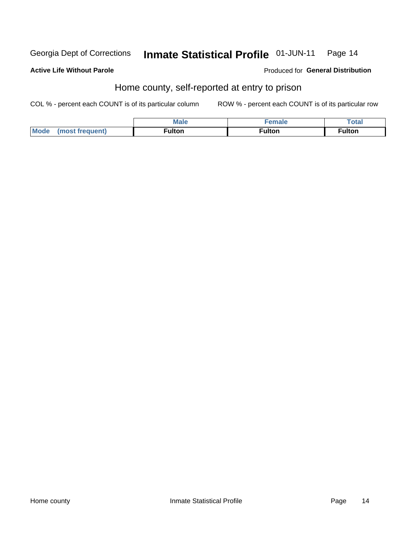#### Inmate Statistical Profile 01-JUN-11 Georgia Dept of Corrections Page 14

#### **Active Life Without Parole**

Produced for General Distribution

## Home county, self-reported at entry to prison

COL % - percent each COUNT is of its particular column

|                        | <b>Male</b>       | amala  | Total              |
|------------------------|-------------------|--------|--------------------|
| Mode<br>luent)<br>tran | <b>ulton</b><br>. | ·ulton | ulton <sup>.</sup> |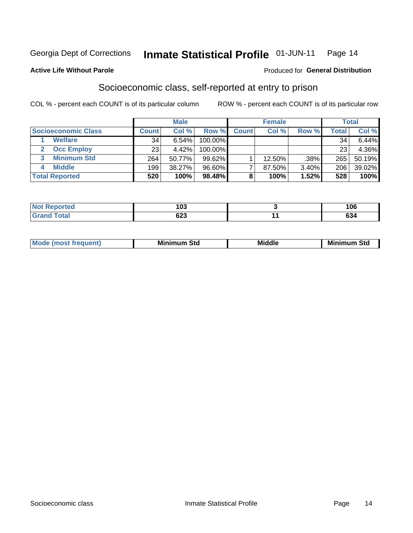#### Inmate Statistical Profile 01-JUN-11 Page 14

#### **Active Life Without Parole**

#### **Produced for General Distribution**

## Socioeconomic class, self-reported at entry to prison

COL % - percent each COUNT is of its particular column

|                       |              | <b>Male</b> |            |              | <b>Female</b> |       |       | <b>Total</b> |
|-----------------------|--------------|-------------|------------|--------------|---------------|-------|-------|--------------|
| Socioeconomic Class   | <b>Count</b> | Col %       | Row %      | <b>Count</b> | Col %         | Row % | Total | Col %        |
| <b>Welfare</b>        | 34           | 6.54%       | 100.00%    |              |               |       | 34    | 6.44%        |
| <b>Occ Employ</b>     | 23           | 4.42%       | $100.00\%$ |              |               |       | 23    | 4.36%        |
| <b>Minimum Std</b>    | 264          | 50.77%      | $99.62\%$  |              | $12.50\%$     | .38%  | 265   | 50.19%       |
| <b>Middle</b>         | 199          | 38.27%      | 96.60%     |              | 87.50%        | 3.40% | 206   | 39.02%       |
| <b>Total Reported</b> | 520          | 100%        | 98.48%     |              | 100%          | 1.52% | 528   | 100%         |

| <b>Continued in the Continued Inc.</b><br>N | 103        | 1 N C<br>טע,   |
|---------------------------------------------|------------|----------------|
|                                             | coo<br>დ∠ა | <b></b><br>634 |

|  | M. | М.<br>.<br>ວເບ<br>___ | ---<br>Middle<br>____ | Mir<br>Std |
|--|----|-----------------------|-----------------------|------------|
|--|----|-----------------------|-----------------------|------------|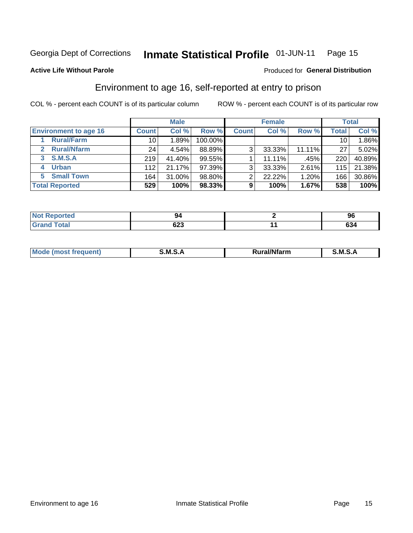#### Inmate Statistical Profile 01-JUN-11 Page 15

#### **Active Life Without Parole**

#### Produced for General Distribution

## Environment to age 16, self-reported at entry to prison

COL % - percent each COUNT is of its particular column

|                                    |                 | <b>Male</b> |         |              | <b>Female</b> |        |              | <b>Total</b> |
|------------------------------------|-----------------|-------------|---------|--------------|---------------|--------|--------------|--------------|
| <b>Environment to age 16</b>       | <b>Count</b>    | Col %       | Row %   | <b>Count</b> | Col %         | Row %  | <b>Total</b> | Col %        |
| <b>Rural/Farm</b>                  | 10              | 1.89%       | 100.00% |              |               |        | 10           | 1.86%        |
| <b>Rural/Nfarm</b><br>$\mathbf{2}$ | 24 <sub>1</sub> | 4.54%       | 88.89%  | 3            | 33.33%        | 11.11% | 27           | $5.02\%$     |
| 3 S.M.S.A                          | 219             | 41.40%      | 99.55%  |              | 11.11%        | .45%   | 220          | 40.89%       |
| <b>Urban</b><br>4                  | 112             | 21.17%      | 97.39%  | 3            | 33.33%        | 2.61%  | 115          | 21.38%       |
| <b>Small Town</b><br>5.            | 164             | 31.00%      | 98.80%  | 2            | 22.22%        | 1.20%  | 166          | 30.86%       |
| <b>Total Reported</b>              | 529             | 100%        | 98.33%  | 9            | 100%          | 1.67%  | 538          | 100%         |

| <b>Not Reported</b> |            | JU  |
|---------------------|------------|-----|
| <b>Grand Total</b>  | coo<br>נגט | 634 |

| Mo | M<br>______ | <b>17516</b><br><b>Ifarm</b><br>. | -<br>M<br>_____ |
|----|-------------|-----------------------------------|-----------------|
|    |             |                                   |                 |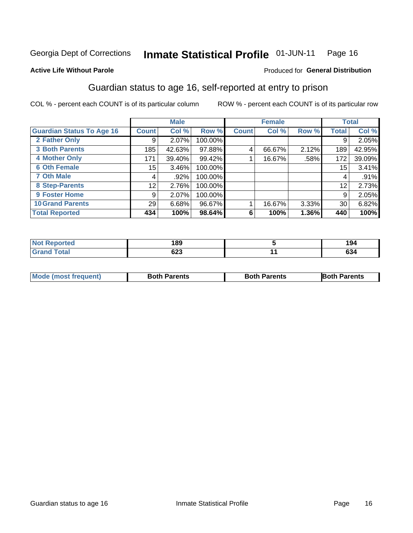#### Inmate Statistical Profile 01-JUN-11 Page 16

#### **Active Life Without Parole**

#### Produced for General Distribution

## Guardian status to age 16, self-reported at entry to prison

COL % - percent each COUNT is of its particular column

|                                  |                 | <b>Male</b> |         |              | <b>Female</b> |       |                 | <b>Total</b> |
|----------------------------------|-----------------|-------------|---------|--------------|---------------|-------|-----------------|--------------|
| <b>Guardian Status To Age 16</b> | <b>Count</b>    | Col %       | Row %   | <b>Count</b> | Col %         | Row % | <b>Total</b>    | Col %        |
| 2 Father Only                    | 9               | 2.07%       | 100.00% |              |               |       | 9               | 2.05%        |
| <b>3 Both Parents</b>            | 185             | 42.63%      | 97.88%  | 4            | 66.67%        | 2.12% | 189             | 42.95%       |
| <b>4 Mother Only</b>             | 171             | 39.40%      | 99.42%  |              | 16.67%        | .58%  | 172             | 39.09%       |
| <b>6 Oth Female</b>              | 15 <sub>1</sub> | 3.46%       | 100.00% |              |               |       | 15 <sub>1</sub> | 3.41%        |
| <b>7 Oth Male</b>                | 4               | .92%        | 100.00% |              |               |       | 4               | .91%         |
| 8 Step-Parents                   | 12              | 2.76%       | 100.00% |              |               |       | 12              | 2.73%        |
| 9 Foster Home                    | 9               | 2.07%       | 100.00% |              |               |       | 9               | 2.05%        |
| <b>10 Grand Parents</b>          | 29              | 6.68%       | 96.67%  |              | 16.67%        | 3.33% | 30              | 6.82%        |
| <b>Total Reported</b>            | 434             | 100%        | 98.64%  | 6            | 100%          | 1.36% | 440             | 100%         |

| <b>Not Reported</b><br>⋯ | 189 | 194 |
|--------------------------|-----|-----|
| Total                    | נ∠ס | 634 |

| <b>Mode (most frequent)</b> | <b>Both Parents</b> | <b>Both Parents</b> | <b>Both Parents</b> |
|-----------------------------|---------------------|---------------------|---------------------|
|                             |                     |                     |                     |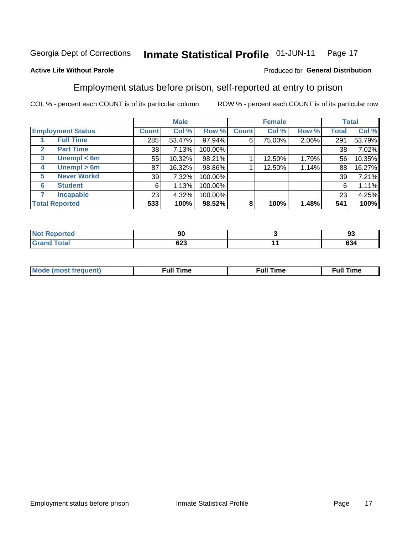#### Inmate Statistical Profile 01-JUN-11 Page 17

#### **Active Life Without Parole**

#### Produced for General Distribution

## Employment status before prison, self-reported at entry to prison

COL % - percent each COUNT is of its particular column

|                                  |         | <b>Male</b> |         |              | <b>Female</b> |       |       | <b>Total</b> |
|----------------------------------|---------|-------------|---------|--------------|---------------|-------|-------|--------------|
| <b>Employment Status</b>         | Count l | Col %       | Row %   | <b>Count</b> | Col %         | Row % | Total | Col %        |
| <b>Full Time</b>                 | 285     | 53.47%      | 97.94%  | 6            | 75.00%        | 2.06% | 291   | 53.79%       |
| <b>Part Time</b><br>$\mathbf{2}$ | 38      | 7.13%       | 100.00% |              |               |       | 38    | 7.02%        |
| Unempl $<$ 6m<br>3               | 55      | 10.32%      | 98.21%  |              | 12.50%        | 1.79% | 56    | 10.35%       |
| Unempl > 6m<br>4                 | 87      | 16.32%      | 98.86%  |              | 12.50%        | 1.14% | 88    | 16.27%       |
| <b>Never Workd</b><br>5          | 39      | 7.32%       | 100.00% |              |               |       | 39    | 7.21%        |
| <b>Student</b><br>6              | 6       | 1.13%       | 100.00% |              |               |       | 6     | 1.11%        |
| <b>Incapable</b>                 | 23      | 4.32%       | 100.00% |              |               |       | 23    | 4.25%        |
| <b>Total Reported</b>            | 533     | 100%        | 98.52%  | 8            | 100%          | 1.48% | 541   | 100%         |

| "tea"<br>NOT | ״<br>ิงบ   | 93        |
|--------------|------------|-----------|
|              | cos<br>ט∠ס | ^^<br>634 |

| M | the contract of the contract of the contract of the contract of the contract of the contract of the contract of | ---<br>mє<br> |
|---|-----------------------------------------------------------------------------------------------------------------|---------------|
|   |                                                                                                                 |               |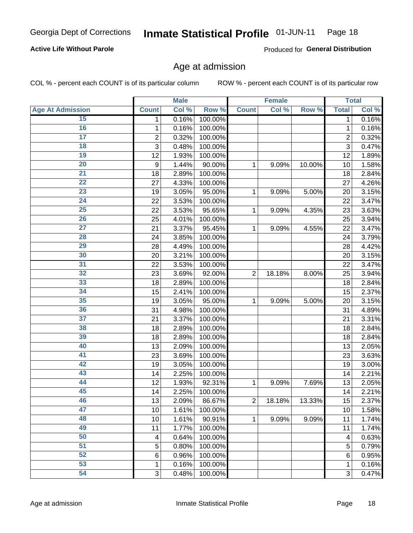#### Inmate Statistical Profile 01-JUN-11 Page 18

#### **Active Life Without Parole**

Produced for General Distribution

### Age at admission

COL % - percent each COUNT is of its particular column

|                         |                | <b>Male</b> |         |                | <b>Female</b> |        |                | <b>Total</b> |
|-------------------------|----------------|-------------|---------|----------------|---------------|--------|----------------|--------------|
| <b>Age At Admission</b> | <b>Count</b>   | Col %       | Row %   | <b>Count</b>   | Col %         | Row %  | <b>Total</b>   | Col %        |
| 15                      | 1              | 0.16%       | 100.00% |                |               |        | 1              | 0.16%        |
| 16                      | 1              | 0.16%       | 100.00% |                |               |        | 1              | 0.16%        |
| $\overline{17}$         | $\overline{c}$ | 0.32%       | 100.00% |                |               |        | $\overline{2}$ | 0.32%        |
| 18                      | 3              | 0.48%       | 100.00% |                |               |        | 3              | 0.47%        |
| 19                      | 12             | 1.93%       | 100.00% |                |               |        | 12             | 1.89%        |
| $\overline{20}$         | 9              | 1.44%       | 90.00%  | 1              | 9.09%         | 10.00% | 10             | 1.58%        |
| $\overline{21}$         | 18             | 2.89%       | 100.00% |                |               |        | 18             | 2.84%        |
| 22                      | 27             | 4.33%       | 100.00% |                |               |        | 27             | 4.26%        |
| $\overline{23}$         | 19             | 3.05%       | 95.00%  | 1              | 9.09%         | 5.00%  | 20             | 3.15%        |
| $\overline{24}$         | 22             | 3.53%       | 100.00% |                |               |        | 22             | 3.47%        |
| $\overline{25}$         | 22             | 3.53%       | 95.65%  | 1              | 9.09%         | 4.35%  | 23             | 3.63%        |
| 26                      | 25             | 4.01%       | 100.00% |                |               |        | 25             | 3.94%        |
| $\overline{27}$         | 21             | 3.37%       | 95.45%  | 1              | 9.09%         | 4.55%  | 22             | 3.47%        |
| 28                      | 24             | 3.85%       | 100.00% |                |               |        | 24             | 3.79%        |
| 29                      | 28             | 4.49%       | 100.00% |                |               |        | 28             | 4.42%        |
| 30                      | 20             | 3.21%       | 100.00% |                |               |        | 20             | 3.15%        |
| 31                      | 22             | 3.53%       | 100.00% |                |               |        | 22             | 3.47%        |
| 32                      | 23             | 3.69%       | 92.00%  | $\overline{2}$ | 18.18%        | 8.00%  | 25             | 3.94%        |
| 33                      | 18             | 2.89%       | 100.00% |                |               |        | 18             | 2.84%        |
| 34                      | 15             | 2.41%       | 100.00% |                |               |        | 15             | 2.37%        |
| 35                      | 19             | 3.05%       | 95.00%  | 1              | 9.09%         | 5.00%  | 20             | 3.15%        |
| 36                      | 31             | 4.98%       | 100.00% |                |               |        | 31             | 4.89%        |
| $\overline{37}$         | 21             | 3.37%       | 100.00% |                |               |        | 21             | 3.31%        |
| 38                      | 18             | 2.89%       | 100.00% |                |               |        | 18             | 2.84%        |
| 39                      | 18             | 2.89%       | 100.00% |                |               |        | 18             | 2.84%        |
| 40                      | 13             | 2.09%       | 100.00% |                |               |        | 13             | 2.05%        |
| 41                      | 23             | 3.69%       | 100.00% |                |               |        | 23             | 3.63%        |
| 42                      | 19             | 3.05%       | 100.00% |                |               |        | 19             | 3.00%        |
| 43                      | 14             | 2.25%       | 100.00% |                |               |        | 14             | 2.21%        |
| 44                      | 12             | 1.93%       | 92.31%  | 1              | 9.09%         | 7.69%  | 13             | 2.05%        |
| 45                      | 14             | 2.25%       | 100.00% |                |               |        | 14             | 2.21%        |
| 46                      | 13             | 2.09%       | 86.67%  | $\overline{c}$ | 18.18%        | 13.33% | 15             | 2.37%        |
| 47                      | 10             | 1.61%       | 100.00% |                |               |        | 10             | 1.58%        |
| 48                      | 10             | 1.61%       | 90.91%  | 1              | 9.09%         | 9.09%  | 11             | 1.74%        |
| 49                      | 11             | 1.77%       | 100.00% |                |               |        | 11             | 1.74%        |
| 50                      | 4              | 0.64%       | 100.00% |                |               |        | 4              | 0.63%        |
| 51                      | 5              | 0.80%       | 100.00% |                |               |        | 5              | 0.79%        |
| 52                      | 6              | 0.96%       | 100.00% |                |               |        | 6              | 0.95%        |
| 53                      | 1              | 0.16%       | 100.00% |                |               |        | 1              | 0.16%        |
| 54                      | 3              | 0.48%       | 100.00% |                |               |        | 3              | 0.47%        |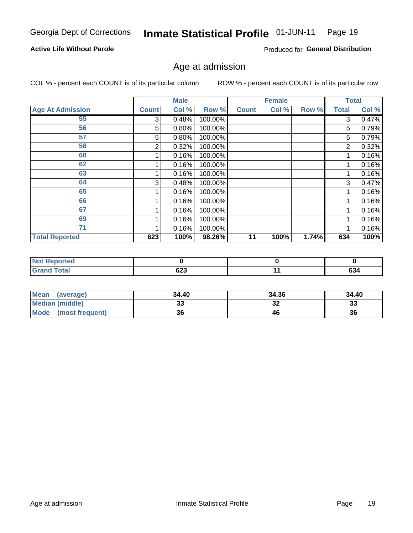#### Inmate Statistical Profile 01-JUN-11 Page 19

#### **Active Life Without Parole**

Produced for General Distribution

### Age at admission

COL % - percent each COUNT is of its particular column

|                         |              | <b>Male</b> |         |              | <b>Female</b> |       |              | <b>Total</b> |
|-------------------------|--------------|-------------|---------|--------------|---------------|-------|--------------|--------------|
| <b>Age At Admission</b> | <b>Count</b> | Col %       | Row %   | <b>Count</b> | Col %         | Row % | <b>Total</b> | Col %        |
| 55                      | 3            | 0.48%       | 100.00% |              |               |       | 3            | 0.47%        |
| 56                      | 5            | 0.80%       | 100.00% |              |               |       | 5            | 0.79%        |
| 57                      | 5            | 0.80%       | 100.00% |              |               |       | 5            | 0.79%        |
| 58                      | 2            | 0.32%       | 100.00% |              |               |       | 2            | 0.32%        |
| 60                      |              | 0.16%       | 100.00% |              |               |       |              | 0.16%        |
| 62                      |              | 0.16%       | 100.00% |              |               |       |              | 0.16%        |
| 63                      |              | 0.16%       | 100.00% |              |               |       |              | 0.16%        |
| 64                      | 3            | 0.48%       | 100.00% |              |               |       | 3            | 0.47%        |
| 65                      |              | 0.16%       | 100.00% |              |               |       |              | 0.16%        |
| 66                      |              | 0.16%       | 100.00% |              |               |       |              | 0.16%        |
| 67                      |              | 0.16%       | 100.00% |              |               |       |              | 0.16%        |
| 69                      |              | 0.16%       | 100.00% |              |               |       |              | 0.16%        |
| 71                      |              | 0.16%       | 100.00% |              |               |       |              | 0.16%        |
| <b>Total Reported</b>   | 623          | 100%        | 98.26%  | 11           | 100%          | 1.74% | 634          | 100%         |

| Reported<br><b>NOT</b> |               |     |
|------------------------|---------------|-----|
| <b>Total</b><br>'Grand | $\sim$<br>ט∠ס | 634 |

| Mean<br>(average)              | 34.40 | 34.36    | 34.40 |
|--------------------------------|-------|----------|-------|
| Median (middle)                | uu    | ^^<br>⊾ت | 33    |
| <b>Mode</b><br>(most frequent) | 36    | 46       | 36    |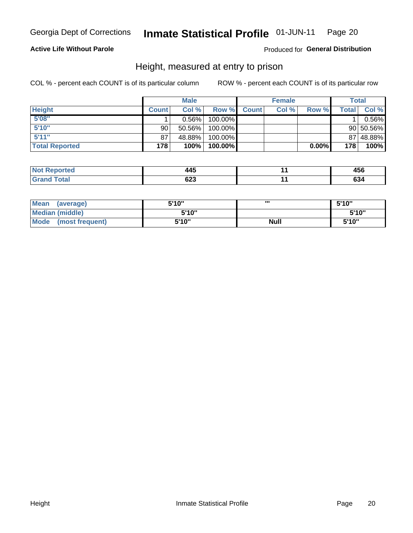#### Inmate Statistical Profile 01-JUN-11 Page 20

#### **Active Life Without Parole**

#### Produced for General Distribution

### Height, measured at entry to prison

COL % - percent each COUNT is of its particular column

|                       |              | <b>Male</b> |         |              | <b>Female</b> |       |       | Total         |
|-----------------------|--------------|-------------|---------|--------------|---------------|-------|-------|---------------|
| <b>Height</b>         | <b>Count</b> | Col %       | Row %   | <b>Count</b> | Col %         | Row % | Total | Col %         |
| 5'08''                |              | $0.56\%$    | 100.00% |              |               |       |       | 0.56%         |
| 5'10''                | 90           | $50.56\%$   | 100.00% |              |               |       |       | $90 50.56\% $ |
| 5'11''                | 87           | 48.88%      | 100.00% |              |               |       |       | 87 48.88%     |
| <b>Total Reported</b> | 178          | 100%        | 100.00% |              |               | 0.00% | 178   | 100%          |

| <b>Not</b><br><b>orted</b><br>eno. | $\overline{ }$<br>145 | 490    |
|------------------------------------|-----------------------|--------|
| <b>Total</b>                       | <u>__</u>             | $\sim$ |
| <b>Grand</b>                       | ט∠ט                   | ნა4    |

| <b>Mean</b><br>(average)       | 5'10'' | ш           | 5'10" |
|--------------------------------|--------|-------------|-------|
| <b>Median (middle)</b>         | 5'10"  |             | 5'10" |
| <b>Mode</b><br>(most frequent) | 5'10"  | <b>Null</b> | 5'10" |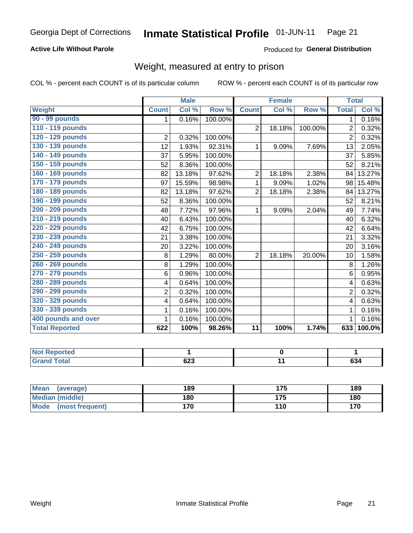#### Inmate Statistical Profile 01-JUN-11 Page 21

#### **Active Life Without Parole**

#### Produced for General Distribution

## Weight, measured at entry to prison

COL % - percent each COUNT is of its particular column

|                       |                | <b>Male</b> |         |                 | <b>Female</b> |         | <b>Total</b>   |                            |
|-----------------------|----------------|-------------|---------|-----------------|---------------|---------|----------------|----------------------------|
| <b>Weight</b>         | <b>Count</b>   | Col %       | Row %   | <b>Count</b>    | Col %         | Row %   | <b>Total</b>   | $\overline{\text{Col }^9}$ |
| 90 - 99 pounds        | 1              | 0.16%       | 100.00% |                 |               |         | 1.             | 0.16%                      |
| 110 - 119 pounds      |                |             |         | $\overline{2}$  | 18.18%        | 100.00% | 2              | 0.32%                      |
| 120 - 129 pounds      | $\overline{2}$ | 0.32%       | 100.00% |                 |               |         | $\overline{2}$ | 0.32%                      |
| 130 - 139 pounds      | 12             | 1.93%       | 92.31%  | 1               | 9.09%         | 7.69%   | 13             | 2.05%                      |
| 140 - 149 pounds      | 37             | 5.95%       | 100.00% |                 |               |         | 37             | 5.85%                      |
| 150 - 159 pounds      | 52             | 8.36%       | 100.00% |                 |               |         | 52             | 8.21%                      |
| 160 - 169 pounds      | 82             | 13.18%      | 97.62%  | $\overline{2}$  | 18.18%        | 2.38%   | 84             | 13.27%                     |
| 170 - 179 pounds      | 97             | 15.59%      | 98.98%  | 1               | 9.09%         | 1.02%   | 98             | 15.48%                     |
| 180 - 189 pounds      | 82             | 13.18%      | 97.62%  | $\overline{2}$  | 18.18%        | 2.38%   | 84             | 13.27%                     |
| 190 - 199 pounds      | 52             | 8.36%       | 100.00% |                 |               |         | 52             | 8.21%                      |
| 200 - 209 pounds      | 48             | 7.72%       | 97.96%  | 1               | 9.09%         | 2.04%   | 49             | 7.74%                      |
| 210 - 219 pounds      | 40             | 6.43%       | 100.00% |                 |               |         | 40             | 6.32%                      |
| 220 - 229 pounds      | 42             | 6.75%       | 100.00% |                 |               |         | 42             | 6.64%                      |
| 230 - 239 pounds      | 21             | 3.38%       | 100.00% |                 |               |         | 21             | 3.32%                      |
| 240 - 249 pounds      | 20             | 3.22%       | 100.00% |                 |               |         | 20             | 3.16%                      |
| 250 - 259 pounds      | 8              | 1.29%       | 80.00%  | $\overline{2}$  | 18.18%        | 20.00%  | 10             | 1.58%                      |
| 260 - 269 pounds      | 8              | 1.29%       | 100.00% |                 |               |         | 8              | 1.26%                      |
| 270 - 279 pounds      | 6              | 0.96%       | 100.00% |                 |               |         | 6              | 0.95%                      |
| 280 - 289 pounds      | 4              | 0.64%       | 100.00% |                 |               |         | 4              | 0.63%                      |
| 290 - 299 pounds      | $\overline{2}$ | 0.32%       | 100.00% |                 |               |         | $\overline{2}$ | 0.32%                      |
| 320 - 329 pounds      | 4              | 0.64%       | 100.00% |                 |               |         | 4              | 0.63%                      |
| 330 - 339 pounds      | 1              | 0.16%       | 100.00% |                 |               |         | 1              | 0.16%                      |
| 400 pounds and over   | 1              | 0.16%       | 100.00% |                 |               |         |                | 0.16%                      |
| <b>Total Reported</b> | 622            | 100%        | 98.26%  | $\overline{11}$ | 100%          | 1.74%   | 633            | 100.0%                     |

| <b>Not</b><br><b>Reported</b>    |                  |     |
|----------------------------------|------------------|-----|
| <b>Total</b><br>'Grand<br>$\sim$ | <b>000</b><br>تع | 634 |

| <b>Mean</b><br>(average)       | 189 |     | 189 |
|--------------------------------|-----|-----|-----|
| <b>Median (middle)</b>         | 180 | 175 | 180 |
| <b>Mode</b><br>(most frequent) | 170 | 110 | 170 |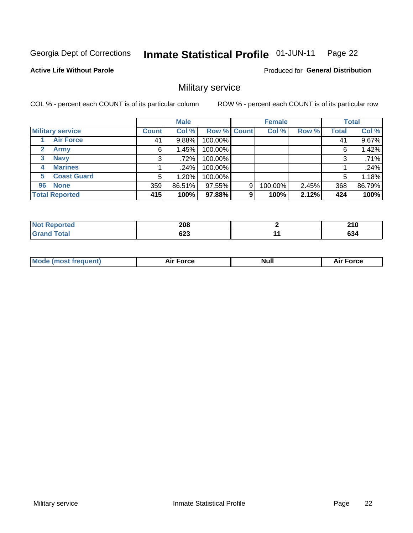#### Inmate Statistical Profile 01-JUN-11 Page 22

#### **Active Life Without Parole**

**Produced for General Distribution** 

## Military service

COL % - percent each COUNT is of its particular column

|                             |              | <b>Male</b> |                    |   | <b>Female</b> |       |              | <b>Total</b> |
|-----------------------------|--------------|-------------|--------------------|---|---------------|-------|--------------|--------------|
| <b>Military service</b>     | <b>Count</b> | Col %       | <b>Row % Count</b> |   | Col %         | Row % | <b>Total</b> | Col %        |
| <b>Air Force</b>            | 41           | 9.88%       | 100.00%            |   |               |       | 41           | 9.67%        |
| $\mathbf{2}$<br><b>Army</b> | 6            | 1.45%       | 100.00%            |   |               |       | 6            | 1.42%        |
| <b>Navy</b><br>3            | 3            | .72%        | 100.00%            |   |               |       | 3            | .71%         |
| <b>Marines</b><br>4         |              | $.24\%$     | 100.00%            |   |               |       |              | .24%         |
| <b>Coast Guard</b><br>5     | 5            | $1.20\%$    | 100.00%            |   |               |       | 5            | 1.18%        |
| <b>None</b><br>96           | 359          | 86.51%      | 97.55%             | 9 | 100.00%       | 2.45% | 368          | 86.79%       |
| <b>Total Reported</b>       | 415          | 100%        | 97.88%             | 9 | 100%          | 2.12% | 424          | 100%         |

| <b>orted</b><br>N | 208 | <b>040</b><br><u>ziv</u> |
|-------------------|-----|--------------------------|
| <b>otal</b>       | coo | $\sim$                   |
| $\mathsf{v}$ nu   | ০∠১ | 0J4                      |

|  |  | <b>Mode</b><br>uent)<br>most tren | Force<br>Aır | <b>Null</b> | orce |
|--|--|-----------------------------------|--------------|-------------|------|
|--|--|-----------------------------------|--------------|-------------|------|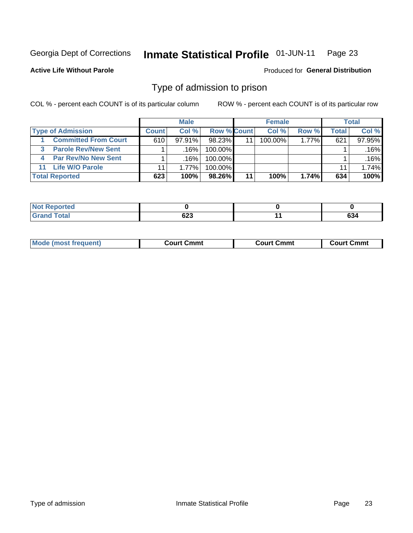#### **Inmate Statistical Profile 01-JUN-11** Page 23

**Active Life Without Parole** 

**Produced for General Distribution** 

## Type of admission to prison

COL % - percent each COUNT is of its particular column

|                                 |              | <b>Male</b> |                    |    | <b>Female</b> |          |       | <b>Total</b> |
|---------------------------------|--------------|-------------|--------------------|----|---------------|----------|-------|--------------|
| <b>Type of Admission</b>        | <b>Count</b> | Col %       | <b>Row % Count</b> |    | Col %         | Row %    | Total | Col %        |
| <b>Committed From Court</b>     | 610          | $97.91\%$   | 98.23%             | 11 | 100.00%       | $1.77\%$ | 621   | 97.95%       |
| <b>Parole Rev/New Sent</b><br>3 |              | .16%        | $100.00\%$         |    |               |          |       | .16%         |
| <b>Par Rev/No New Sent</b><br>4 |              | .16%        | 100.00%            |    |               |          |       | .16%         |
| <b>Life W/O Parole</b><br>11    | 11           | 1.77%       | $100.00\%$         |    |               |          | 11    | 1.74%        |
| <b>Total Reported</b>           | 623          | 100%        | 98.26%             | 11 | 100%          | 1.74%    | 634   | 100%         |

| <b>rted</b>         |        |     |        |
|---------------------|--------|-----|--------|
| $f \circ f \circ f$ | $\sim$ | . . | $\sim$ |
| <b>C.A.</b>         | ט∠ט    |     | 034    |

| <b>Mode (most frequent)</b><br>Court Cmmt<br>Court Cmmt<br>Court Cmmt |
|-----------------------------------------------------------------------|
|-----------------------------------------------------------------------|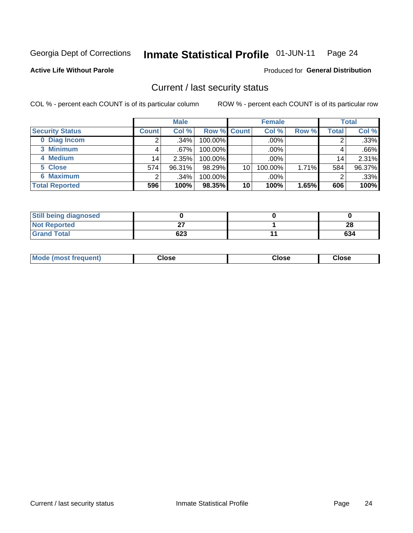#### Inmate Statistical Profile 01-JUN-11 Page 24

**Produced for General Distribution** 

#### **Active Life Without Parole**

### Current / last security status

COL % - percent each COUNT is of its particular column

|                        |              | <b>Male</b> |             |    | <b>Female</b> |       |                 | <b>Total</b> |
|------------------------|--------------|-------------|-------------|----|---------------|-------|-----------------|--------------|
| <b>Security Status</b> | <b>Count</b> | Col %       | Row % Count |    | Col %         | Row % | Total           | Col %        |
| 0 Diag Incom           |              | .34%        | 100.00%     |    | .00%          |       |                 | .33%         |
| 3 Minimum              |              | .67%        | $100.00\%$  |    | .00%          |       |                 | .66%         |
| 4 Medium               | 14           | 2.35%       | 100.00%     |    | .00%          |       | 14 <sub>1</sub> | 2.31%        |
| 5 Close                | 574          | 96.31%      | 98.29%      | 10 | 100.00%       | 1.71% | 584             | 96.37%       |
| 6 Maximum              | ົ            | .34%        | 100.00%     |    | .00%          |       | 2               | .33%         |
| <b>Total Reported</b>  | 596          | 100%        | 98.35%      | 10 | 100%          | 1.65% | 606             | 100%         |

| <b>Still being diagnosed</b> |     |     |
|------------------------------|-----|-----|
| <b>Not Reported</b>          | רה  | 28  |
| <b>Grand Total</b>           | 623 | 634 |

| Mode (most<br><b>Close</b><br>Close<br>Close<br>frequent) |
|-----------------------------------------------------------|
|-----------------------------------------------------------|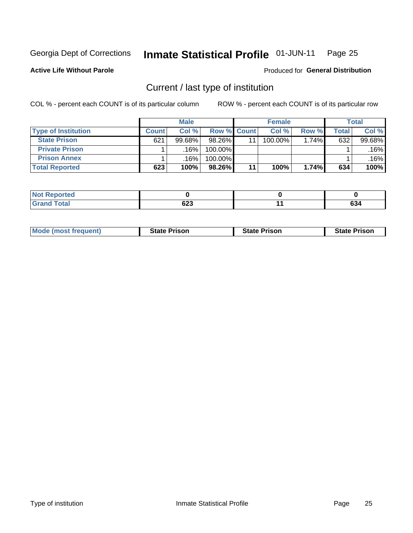#### Inmate Statistical Profile 01-JUN-11 Page 25

**Active Life Without Parole** 

Produced for General Distribution

## Current / last type of institution

COL % - percent each COUNT is of its particular column

|                            |              | <b>Male</b> |             |    | <b>Female</b> |       |       | <b>Total</b> |
|----------------------------|--------------|-------------|-------------|----|---------------|-------|-------|--------------|
| <b>Type of Institution</b> | <b>Count</b> | Col %       | Row % Count |    | Col %         | Row % | Total | Col %        |
| <b>State Prison</b>        | 621          | $99.68\%$   | 98.26%      | 11 | 100.00%       | 1.74% | 632   | 99.68%       |
| <b>Private Prison</b>      |              | .16%        | 100.00%     |    |               |       |       | .16%         |
| <b>Prison Annex</b>        |              | .16%        | 100.00%     |    |               |       |       | .16%         |
| <b>Total Reported</b>      | 623          | 100%        | 98.26%      | 11 | 100%          | 1.74% | 634   | 100%         |

| ported<br>NO |     |   |            |
|--------------|-----|---|------------|
| <b>otal</b>  | cos | - | $\sim$     |
| _____        | ט∠ס |   | <b>034</b> |

| <b>Mode (most frequent)</b> | <b>State Prison</b> | <b>State Prison</b> | <b>State Prison</b> |
|-----------------------------|---------------------|---------------------|---------------------|
|                             |                     |                     |                     |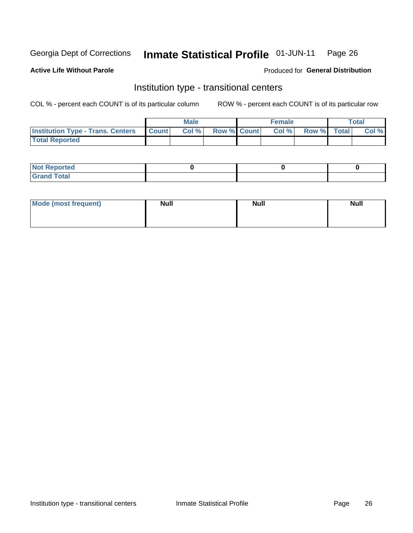#### Inmate Statistical Profile 01-JUN-11 Page 26

#### **Active Life Without Parole**

#### Produced for General Distribution

## Institution type - transitional centers

COL % - percent each COUNT is of its particular column

|                                                | Male  |                    | <b>Female</b> |                   | Total |
|------------------------------------------------|-------|--------------------|---------------|-------------------|-------|
| <b>Institution Type - Trans. Centers Count</b> | Col % | <b>Row % Count</b> |               | Col % Row % Total | Col % |
| <b>Total Reported</b>                          |       |                    |               |                   |       |

| <b>Reported</b><br><b>NOT</b><br>$\sim$            |  |  |
|----------------------------------------------------|--|--|
| $f$ $f \circ f \circ f$<br>$C = 1$<br><b>TULAI</b> |  |  |

| Mode (most frequent) | <b>Null</b> | <b>Null</b> | <b>Null</b> |
|----------------------|-------------|-------------|-------------|
|                      |             |             |             |
|                      |             |             |             |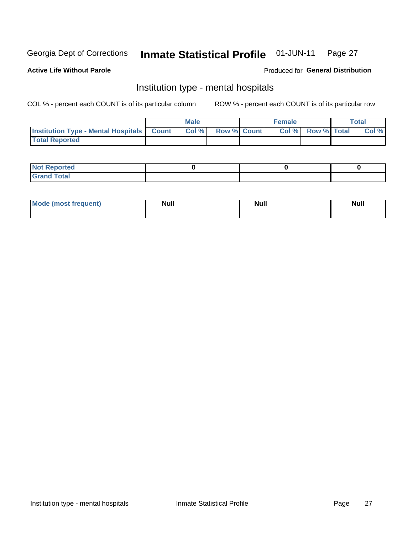#### Inmate Statistical Profile 01-JUN-11 Page 27

#### **Active Life Without Parole**

#### Produced for General Distribution

## Institution type - mental hospitals

COL % - percent each COUNT is of its particular column

|                                                  | Male  |                    | <b>Female</b> |                   | <b>Total</b> |
|--------------------------------------------------|-------|--------------------|---------------|-------------------|--------------|
| <b>Institution Type - Mental Hospitals Count</b> | Col % | <b>Row % Count</b> |               | Col % Row % Total | Col %        |
| <b>Total Reported</b>                            |       |                    |               |                   |              |

| <b>Not Reported</b>   |  |  |
|-----------------------|--|--|
| <b>Total</b><br>_____ |  |  |

| Mode.<br>frequent) | <b>Nul</b><br>_____ | <b>Null</b> | <b>Null</b> |
|--------------------|---------------------|-------------|-------------|
|                    |                     |             |             |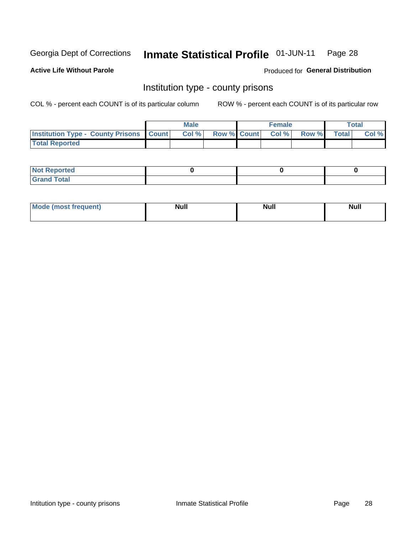#### Inmate Statistical Profile 01-JUN-11 Page 28

**Active Life Without Parole** 

Produced for General Distribution

### Institution type - county prisons

COL % - percent each COUNT is of its particular column

|                                                    | <b>Male</b> |  | <b>Female</b>     |             | <b>Total</b> |
|----------------------------------------------------|-------------|--|-------------------|-------------|--------------|
| <b>Institution Type - County Prisons   Count  </b> | Col %       |  | Row % Count Col % | Row % Total | Col %        |
| <b>Total Reported</b>                              |             |  |                   |             |              |

| <b>Not Reported</b>   |  |  |
|-----------------------|--|--|
| <b>Total</b><br>Granc |  |  |

| <b>Mode</b>      | <b>Null</b> | <b>Null</b> | <b>Null</b> |
|------------------|-------------|-------------|-------------|
| (most freauent). |             |             |             |
|                  |             |             |             |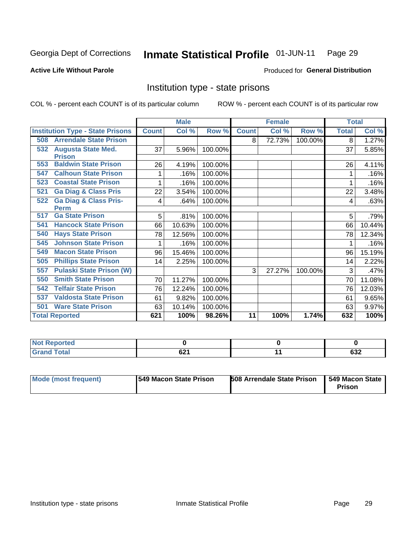#### Inmate Statistical Profile 01-JUN-11 Page 29

#### **Active Life Without Parole**

#### **Produced for General Distribution**

## Institution type - state prisons

COL % - percent each COUNT is of its particular column

|     |                                         |              | <b>Male</b> |         |              | <b>Female</b> |         | <b>Total</b> |        |
|-----|-----------------------------------------|--------------|-------------|---------|--------------|---------------|---------|--------------|--------|
|     | <b>Institution Type - State Prisons</b> | <b>Count</b> | Col %       | Row %   | <b>Count</b> | Col %         | Row %   | <b>Total</b> | Col %  |
| 508 | <b>Arrendale State Prison</b>           |              |             |         | 8            | 72.73%        | 100.00% | 8            | 1.27%  |
| 532 | <b>Augusta State Med.</b>               | 37           | 5.96%       | 100.00% |              |               |         | 37           | 5.85%  |
|     | <b>Prison</b>                           |              |             |         |              |               |         |              |        |
| 553 | <b>Baldwin State Prison</b>             | 26           | 4.19%       | 100.00% |              |               |         | 26           | 4.11%  |
| 547 | <b>Calhoun State Prison</b>             |              | .16%        | 100.00% |              |               |         |              | .16%   |
| 523 | <b>Coastal State Prison</b>             |              | .16%        | 100.00% |              |               |         |              | .16%   |
| 521 | <b>Ga Diag &amp; Class Pris</b>         | 22           | 3.54%       | 100.00% |              |               |         | 22           | 3.48%  |
| 522 | <b>Ga Diag &amp; Class Pris-</b>        | 4            | .64%        | 100.00% |              |               |         | 4            | .63%   |
|     | <b>Perm</b>                             |              |             |         |              |               |         |              |        |
| 517 | <b>Ga State Prison</b>                  | 5            | .81%        | 100.00% |              |               |         | 5            | .79%   |
| 541 | <b>Hancock State Prison</b>             | 66           | 10.63%      | 100.00% |              |               |         | 66           | 10.44% |
| 540 | <b>Hays State Prison</b>                | 78           | 12.56%      | 100.00% |              |               |         | 78           | 12.34% |
| 545 | <b>Johnson State Prison</b>             | 1            | .16%        | 100.00% |              |               |         |              | .16%   |
| 549 | <b>Macon State Prison</b>               | 96           | 15.46%      | 100.00% |              |               |         | 96           | 15.19% |
| 505 | <b>Phillips State Prison</b>            | 14           | 2.25%       | 100.00% |              |               |         | 14           | 2.22%  |
| 557 | <b>Pulaski State Prison (W)</b>         |              |             |         | 3            | 27.27%        | 100.00% | 3            | .47%   |
| 550 | <b>Smith State Prison</b>               | 70           | 11.27%      | 100.00% |              |               |         | 70           | 11.08% |
| 542 | <b>Telfair State Prison</b>             | 76           | 12.24%      | 100.00% |              |               |         | 76           | 12.03% |
| 537 | <b>Valdosta State Prison</b>            | 61           | 9.82%       | 100.00% |              |               |         | 61           | 9.65%  |
| 501 | <b>Ware State Prison</b>                | 63           | 10.14%      | 100.00% |              |               |         | 63           | 9.97%  |
|     | <b>Total Reported</b>                   | 621          | 100%        | 98.26%  | 11           | 100%          | 1.74%   | 632          | 100%   |

| <b>NOT</b><br><b>eported</b><br>110110 |      |     |
|----------------------------------------|------|-----|
| $C0+0$                                 | 0.25 | cog |
| _____                                  | UZ I | פט  |

| Mode (most frequent)<br><b>1549 Macon State Prison</b> | <b>508 Arrendale State Prison</b> | 1 549 Macon State 1<br>Prison |
|--------------------------------------------------------|-----------------------------------|-------------------------------|
|--------------------------------------------------------|-----------------------------------|-------------------------------|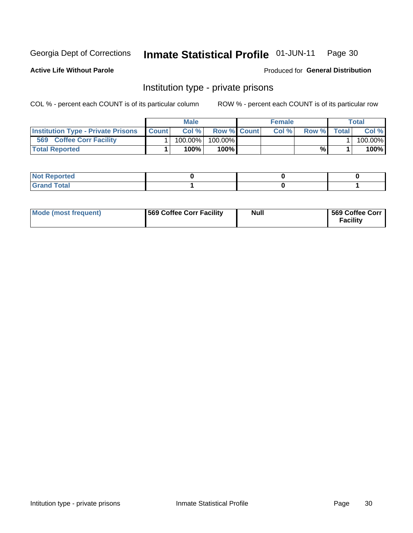#### Inmate Statistical Profile 01-JUN-11 Page 30

**Active Life Without Parole** 

Produced for General Distribution

## Institution type - private prisons

COL % - percent each COUNT is of its particular column

|                                                     | <b>Male</b> |                    | <b>Female</b> |       |              | Total   |
|-----------------------------------------------------|-------------|--------------------|---------------|-------|--------------|---------|
| <b>Institution Type - Private Prisons   Count  </b> | Col%        | <b>Row % Count</b> | Col %         | Row % | <b>Total</b> | Col %   |
| 569<br><b>Coffee Corr Facility</b>                  | 100.00%     | 100.00%            |               |       |              | 100.00% |
| <b>Total Reported</b>                               | $100\%$     | $100\%$            |               | %     |              | 100%    |

| $\parallel$ Not Reported                       |  |  |
|------------------------------------------------|--|--|
| $int^{\bullet}$<br>$\cdots$ $\cdots$<br>______ |  |  |

| Mode (most frequent) | 569 Coffee Corr Facility | <b>Null</b> | 569 Coffee Corr<br><b>Facility</b> |
|----------------------|--------------------------|-------------|------------------------------------|
|----------------------|--------------------------|-------------|------------------------------------|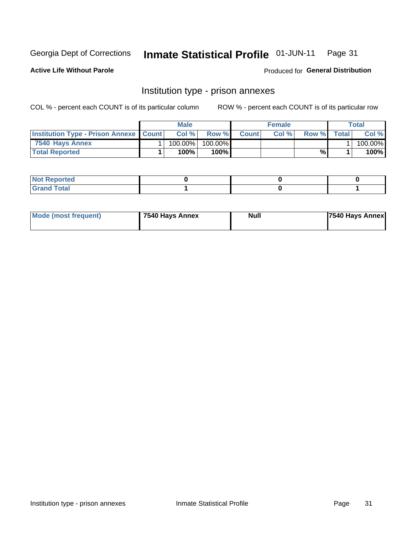#### Inmate Statistical Profile 01-JUN-11 Page 31

**Active Life Without Parole** 

Produced for General Distribution

## Institution type - prison annexes

COL % - percent each COUNT is of its particular column

|                                                   | <b>Male</b> |         |              | <b>Female</b> |       |       | <b>Total</b> |
|---------------------------------------------------|-------------|---------|--------------|---------------|-------|-------|--------------|
| <b>Institution Type - Prison Annexe   Count  </b> | Col%        | Row %   | <b>Count</b> | Col%          | Row % | Total | Col %        |
| 7540 Havs Annex                                   | 100.00%।    | 100.00% |              |               |       |       | 100.00%l     |
| <b>Total Reported</b>                             | 100%        | 100%    |              |               | %     |       | 100%         |

| <b>Not Reported</b>         |  |  |
|-----------------------------|--|--|
| nd Total<br>$- \cdot \cdot$ |  |  |

| Mode (most frequent) | 7540 Hays Annex | Null | <b>7540 Hays Annex</b> |
|----------------------|-----------------|------|------------------------|
|                      |                 |      |                        |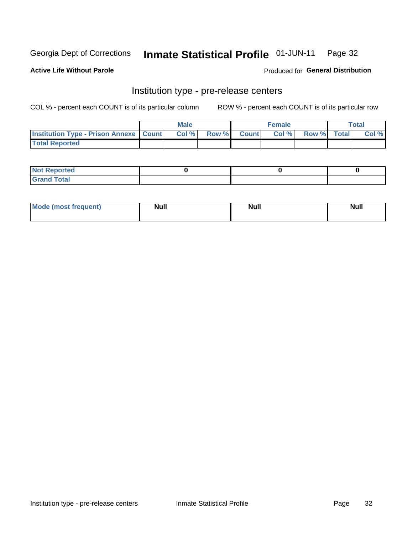#### Inmate Statistical Profile 01-JUN-11 Page 32

**Active Life Without Parole** 

Produced for General Distribution

## Institution type - pre-release centers

COL % - percent each COUNT is of its particular column

|                                                   | <b>Male</b> |                    | <b>Female</b> |             | <b>Total</b> |
|---------------------------------------------------|-------------|--------------------|---------------|-------------|--------------|
| <b>Institution Type - Prison Annexe   Count  </b> | Col %       | <b>Row % Count</b> | Col %         | Row % Total | Col %        |
| <b>Total Reported</b>                             |             |                    |               |             |              |

| <b>Reported</b><br>I NOT |  |  |
|--------------------------|--|--|
| <b>Total</b><br>$C$ ren  |  |  |

| $^{\prime}$ Mo <sub>t</sub><br>frequent)<br>⊥(most | <b>Null</b> | Noll<br><b>vull</b> | <b>Null</b> |
|----------------------------------------------------|-------------|---------------------|-------------|
|                                                    |             |                     |             |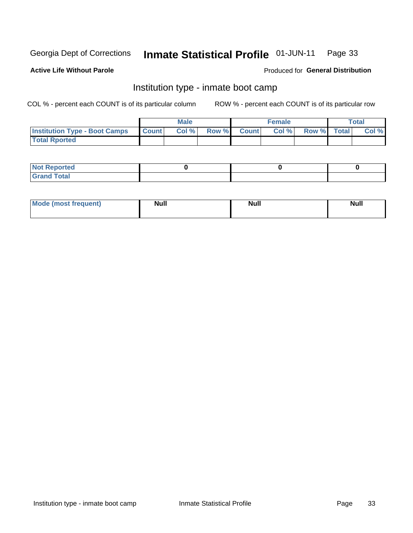#### Inmate Statistical Profile 01-JUN-11 Page 33

#### **Active Life Without Parole**

#### Produced for General Distribution

## Institution type - inmate boot camp

COL % - percent each COUNT is of its particular column

|                                      |              | <b>Male</b> |               |              | <b>Female</b> |             | <b>Total</b> |
|--------------------------------------|--------------|-------------|---------------|--------------|---------------|-------------|--------------|
| <b>Institution Type - Boot Camps</b> | <b>Count</b> | Col %       | <b>Row %I</b> | <b>Count</b> | Col %         | Row % Total | Col %        |
| <b>Total Rported</b>                 |              |             |               |              |               |             |              |

| <b>Not Reported</b>            |  |  |
|--------------------------------|--|--|
| <b>Total</b><br>C <sub>r</sub> |  |  |

| <b>I Mode (most frequent)</b> | <b>Null</b> | <b>Null</b> | <b>Null</b> |
|-------------------------------|-------------|-------------|-------------|
|                               |             |             |             |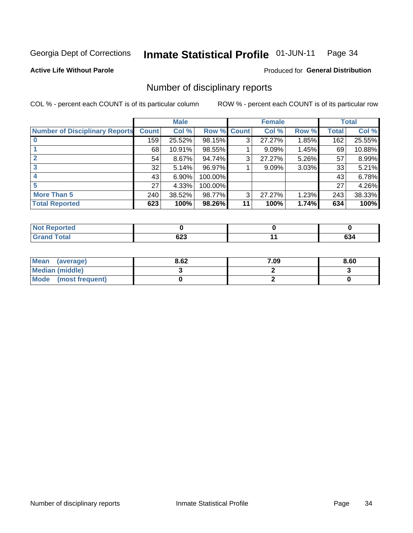#### Inmate Statistical Profile 01-JUN-11 Page 34

**Active Life Without Parole** 

**Produced for General Distribution** 

## Number of disciplinary reports

COL % - percent each COUNT is of its particular column

|                                       |              | <b>Male</b> |                    |    | <b>Female</b> |       |       | <b>Total</b> |
|---------------------------------------|--------------|-------------|--------------------|----|---------------|-------|-------|--------------|
| <b>Number of Disciplinary Reports</b> | <b>Count</b> | Col %       | <b>Row % Count</b> |    | Col %         | Row % | Total | Col %        |
|                                       | 159          | 25.52%      | 98.15%             | 3  | 27.27%        | 1.85% | 162   | 25.55%       |
|                                       | 68           | 10.91%      | 98.55%             |    | 9.09%         | 1.45% | 69    | 10.88%       |
|                                       | 54           | 8.67%       | 94.74%             | 3  | 27.27%        | 5.26% | 57    | 8.99%        |
| 3                                     | 32           | 5.14%       | 96.97%             |    | 9.09%         | 3.03% | 33    | 5.21%        |
|                                       | 43           | 6.90%       | 100.00%            |    |               |       | 43    | 6.78%        |
|                                       | 27           | 4.33%       | 100.00%            |    |               |       | 27    | 4.26%        |
| More Than 5                           | 240          | 38.52%      | 98.77%             | 3  | 27.27%        | 1.23% | 243   | 38.33%       |
| <b>Total Reported</b>                 | 623          | 100%        | 98.26%             | 11 | 100%          | 1.74% | 634   | 100%         |

| วrted<br>NO  |     |               |
|--------------|-----|---------------|
| <b>Total</b> | ს∠ა | $\sim$<br>0J4 |

| Mean (average)         | 8.62 | 7.09 | 8.60 |
|------------------------|------|------|------|
| <b>Median (middle)</b> |      |      |      |
| Mode (most frequent)   |      |      |      |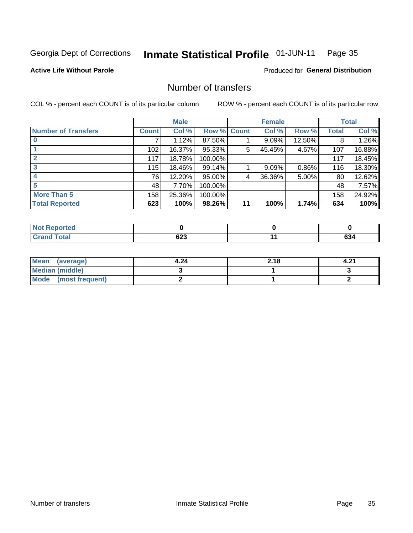#### Inmate Statistical Profile 01-JUN-11 Page 35

**Active Life Without Parole** 

**Produced for General Distribution** 

## Number of transfers

COL % - percent each COUNT is of its particular column

|                            |         | <b>Male</b> |         |              | <b>Female</b> |        |              | <b>Total</b> |
|----------------------------|---------|-------------|---------|--------------|---------------|--------|--------------|--------------|
| <b>Number of Transfers</b> | Count l | Col %       | Row %   | <b>Count</b> | Col %         | Row %  | <b>Total</b> | Col %        |
|                            |         | 1.12%       | 87.50%  |              | 9.09%         | 12.50% | 8            | 1.26%        |
|                            | 102     | 16.37%      | 95.33%  | 5            | 45.45%        | 4.67%  | 107          | 16.88%       |
|                            | 117     | 18.78%      | 100.00% |              |               |        | 117          | 18.45%       |
| 3                          | 115     | 18.46%      | 99.14%  |              | 9.09%         | 0.86%  | 116          | 18.30%       |
|                            | 76      | 12.20%      | 95.00%  | 4            | 36.36%        | 5.00%  | 80           | 12.62%       |
| 5                          | 48      | 7.70%       | 100.00% |              |               |        | 48           | 7.57%        |
| <b>More Than 5</b>         | 158     | 25.36%      | 100.00% |              |               |        | 158          | 24.92%       |
| <b>Total Reported</b>      | 623     | 100%        | 98.26%  | 11           | 100%          | 1.74%  | 634          | 100%         |

| <b>Not Reported</b> |     |                  |
|---------------------|-----|------------------|
| <b>Fotal</b>        | 04J | ^^<br><b>094</b> |

| Mean (average)       | 4.24 | 2.18 | 4.2. |
|----------------------|------|------|------|
| Median (middle)      |      |      |      |
| Mode (most frequent) |      |      |      |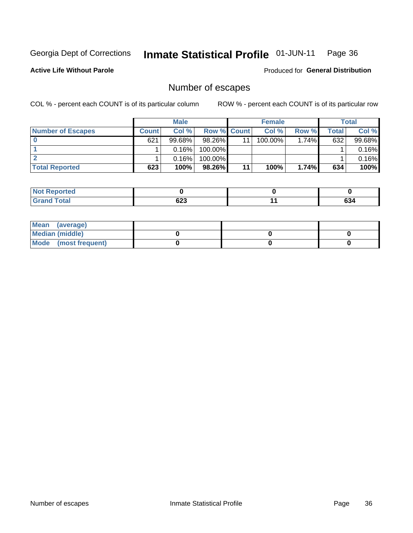#### Inmate Statistical Profile 01-JUN-11 Page 36

**Active Life Without Parole** 

**Produced for General Distribution** 

## Number of escapes

COL % - percent each COUNT is of its particular column

|                          |              | <b>Male</b> |                    |    | <b>Female</b> |          |       | Total  |
|--------------------------|--------------|-------------|--------------------|----|---------------|----------|-------|--------|
| <b>Number of Escapes</b> | <b>Count</b> | Col%        | <b>Row % Count</b> |    | Col %         | Row %    | Total | Col %  |
|                          | 621          | 99.68%      | 98.26%             | 11 | $100.00\%$    | $1.74\%$ | 632   | 99.68% |
|                          |              | 0.16%       | 100.00%            |    |               |          |       | 0.16%  |
|                          |              | 0.16%       | $100.00\%$         |    |               |          |       | 0.16%  |
| <b>Total Reported</b>    | 623          | 100%        | 98.26%             | 11 | 100%          | 1.74%    | 634   | 100%   |

| <b>Not Reported</b> |        |        |
|---------------------|--------|--------|
| <b>Total</b>        | $\sim$ | $\sim$ |
| . Grar              | ხ∠ა    | ნა4    |

| Mean (average)       |  |  |
|----------------------|--|--|
| Median (middle)      |  |  |
| Mode (most frequent) |  |  |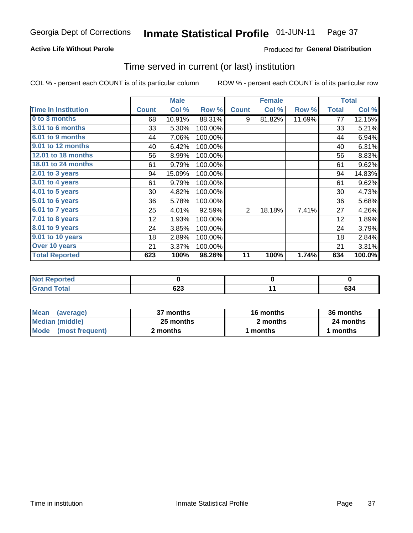## **Active Life Without Parole**

## Produced for General Distribution

## Time served in current (or last) institution

COL % - percent each COUNT is of its particular column

|                            |              | <b>Male</b> |           |              | <b>Female</b> |        |              | <b>Total</b> |
|----------------------------|--------------|-------------|-----------|--------------|---------------|--------|--------------|--------------|
| <b>Time In Institution</b> | <b>Count</b> | Col %       | Row %     | <b>Count</b> | Col %         | Row %  | <b>Total</b> | Col %        |
| 0 to 3 months              | 68           | 10.91%      | 88.31%    | 9            | 81.82%        | 11.69% | 77           | 12.15%       |
| <b>3.01 to 6 months</b>    | 33           | 5.30%       | 100.00%   |              |               |        | 33           | 5.21%        |
| 6.01 to 9 months           | 44           | 7.06%       | 100.00%   |              |               |        | 44           | 6.94%        |
| 9.01 to 12 months          | 40           | 6.42%       | 100.00%   |              |               |        | 40           | 6.31%        |
| 12.01 to 18 months         | 56           | 8.99%       | 100.00%   |              |               |        | 56           | 8.83%        |
| 18.01 to 24 months         | 61           | 9.79%       | 100.00%   |              |               |        | 61           | 9.62%        |
| 2.01 to 3 years            | 94           | 15.09%      | 100.00%   |              |               |        | 94           | 14.83%       |
| 3.01 to 4 years            | 61           | 9.79%       | 100.00%   |              |               |        | 61           | 9.62%        |
| $4.01$ to 5 years          | 30           | 4.82%       | 100.00%   |              |               |        | 30           | 4.73%        |
| 5.01 to 6 years            | 36           | 5.78%       | 100.00%   |              |               |        | 36           | 5.68%        |
| 6.01 to 7 years            | 25           | 4.01%       | 92.59%    | 2            | 18.18%        | 7.41%  | 27           | 4.26%        |
| 7.01 to 8 years            | 12           | 1.93%       | 100.00%   |              |               |        | 12           | 1.89%        |
| 8.01 to 9 years            | 24           | 3.85%       | 100.00%   |              |               |        | 24           | 3.79%        |
| 9.01 to 10 years           | 18           | 2.89%       | 100.00%   |              |               |        | 18           | 2.84%        |
| Over 10 years              | 21           | 3.37%       | 100.00%   |              |               |        | 21           | 3.31%        |
| <b>Total Reported</b>      | 623          | 100%        | $98.26\%$ | 11           | 100%          | 1.74%  | 634          | 100.0%       |

| Reported<br><b>NOT</b> |                    |              |
|------------------------|--------------------|--------------|
| <i>i</i> otal          | coo<br>uzj<br>$ -$ | $\sim$<br>ാ∙ |

| <b>Mean</b><br>(average) | 37 months | 16 months | 36 months |
|--------------------------|-----------|-----------|-----------|
| Median (middle)          | 25 months | 2 months  | 24 months |
| Mode (most frequent)     | 2 months  | 1 months  | 1 months  |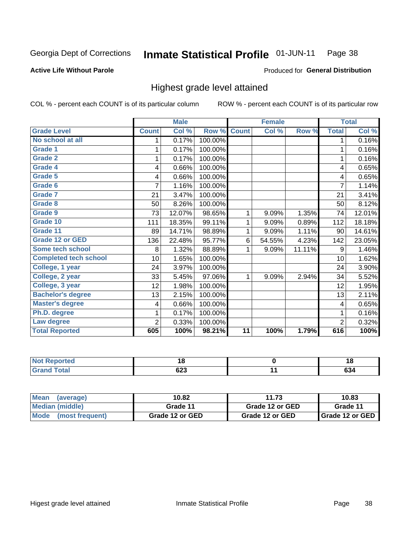#### Inmate Statistical Profile 01-JUN-11 Page 38

### **Active Life Without Parole**

### Produced for General Distribution

## Highest grade level attained

COL % - percent each COUNT is of its particular column

|                              |                | <b>Male</b> |         |              | <b>Female</b> |        |                         | <b>Total</b> |
|------------------------------|----------------|-------------|---------|--------------|---------------|--------|-------------------------|--------------|
| <b>Grade Level</b>           | <b>Count</b>   | Col %       | Row %   | <b>Count</b> | Col %         | Row %  | <b>Total</b>            | Col %        |
| No school at all             | 1              | 0.17%       | 100.00% |              |               |        | 1                       | 0.16%        |
| <b>Grade 1</b>               |                | 0.17%       | 100.00% |              |               |        | 1                       | 0.16%        |
| <b>Grade 2</b>               | 1              | 0.17%       | 100.00% |              |               |        | 1                       | 0.16%        |
| <b>Grade 4</b>               | 4              | 0.66%       | 100.00% |              |               |        | 4                       | 0.65%        |
| Grade 5                      | 4              | 0.66%       | 100.00% |              |               |        | 4                       | 0.65%        |
| Grade 6                      | 7              | 1.16%       | 100.00% |              |               |        | $\overline{7}$          | 1.14%        |
| <b>Grade 7</b>               | 21             | 3.47%       | 100.00% |              |               |        | 21                      | 3.41%        |
| <b>Grade 8</b>               | 50             | 8.26%       | 100.00% |              |               |        | 50                      | 8.12%        |
| <b>Grade 9</b>               | 73             | 12.07%      | 98.65%  | 1            | 9.09%         | 1.35%  | 74                      | 12.01%       |
| Grade 10                     | 111            | 18.35%      | 99.11%  | 1            | 9.09%         | 0.89%  | 112                     | 18.18%       |
| Grade 11                     | 89             | 14.71%      | 98.89%  | 1            | 9.09%         | 1.11%  | 90                      | 14.61%       |
| <b>Grade 12 or GED</b>       | 136            | 22.48%      | 95.77%  | 6            | 54.55%        | 4.23%  | 142                     | 23.05%       |
| <b>Some tech school</b>      | 8              | 1.32%       | 88.89%  | 1            | 9.09%         | 11.11% | 9                       | 1.46%        |
| <b>Completed tech school</b> | 10             | 1.65%       | 100.00% |              |               |        | 10                      | 1.62%        |
| College, 1 year              | 24             | 3.97%       | 100.00% |              |               |        | 24                      | 3.90%        |
| College, 2 year              | 33             | 5.45%       | 97.06%  | 1            | 9.09%         | 2.94%  | 34                      | 5.52%        |
| College, 3 year              | 12             | 1.98%       | 100.00% |              |               |        | 12                      | 1.95%        |
| <b>Bachelor's degree</b>     | 13             | 2.15%       | 100.00% |              |               |        | 13                      | 2.11%        |
| <b>Master's degree</b>       | 4              | 0.66%       | 100.00% |              |               |        | $\overline{\mathbf{4}}$ | 0.65%        |
| Ph.D. degree                 | 1              | 0.17%       | 100.00% |              |               |        | 1                       | 0.16%        |
| Law degree                   | $\overline{2}$ | 0.33%       | 100.00% |              |               |        | $\overline{2}$          | 0.32%        |
| <b>Total Reported</b>        | 605            | 100%        | 98.21%  | 11           | 100%          | 1.79%  | 616                     | 100%         |

| لمنتشر بالتعبين<br>Reported | 10  | 1 O                  |
|-----------------------------|-----|----------------------|
| <b>Total</b>                | ט∠ט | $\sim$<br><b>094</b> |

| <b>Mean</b><br>(average) | 10.82           | 11.73           | 10.83             |  |  |
|--------------------------|-----------------|-----------------|-------------------|--|--|
| <b>Median (middle)</b>   | Grade 11        | Grade 12 or GED | Grade 11          |  |  |
| Mode (most frequent)     | Grade 12 or GED | Grade 12 or GED | I Grade 12 or GED |  |  |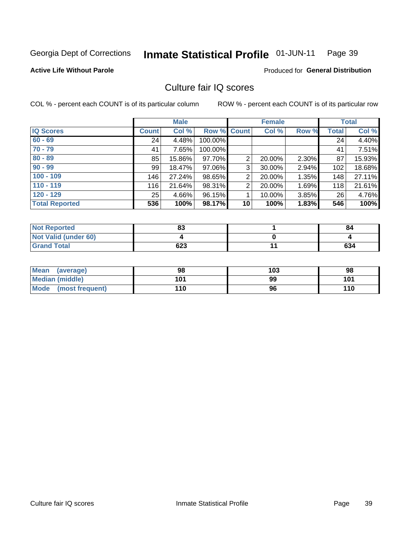#### Inmate Statistical Profile 01-JUN-11 Page 39

### **Active Life Without Parole**

### **Produced for General Distribution**

## Culture fair IQ scores

COL % - percent each COUNT is of its particular column

|                       |              | <b>Male</b> |                    |                 | <b>Female</b> |       |              | <b>Total</b> |
|-----------------------|--------------|-------------|--------------------|-----------------|---------------|-------|--------------|--------------|
| <b>IQ Scores</b>      | <b>Count</b> | Col %       | <b>Row % Count</b> |                 | Col %         | Row % | <b>Total</b> | Col %        |
| $60 - 69$             | 24           | 4.48%       | 100.00%            |                 |               |       | 24           | 4.40%        |
| $70 - 79$             | 41           | 7.65%       | 100.00%            |                 |               |       | 41           | 7.51%        |
| $80 - 89$             | 85           | 15.86%      | 97.70%             | 2               | 20.00%        | 2.30% | 87           | 15.93%       |
| $90 - 99$             | 99           | 18.47%      | 97.06%             | 3               | 30.00%        | 2.94% | 102          | 18.68%       |
| $100 - 109$           | 146          | 27.24%      | 98.65%             | $\overline{2}$  | 20.00%        | 1.35% | 148          | 27.11%       |
| $110 - 119$           | 116          | 21.64%      | 98.31%             | $\overline{2}$  | 20.00%        | 1.69% | 118          | 21.61%       |
| $120 - 129$           | 25           | 4.66%       | 96.15%             |                 | 10.00%        | 3.85% | 26           | 4.76%        |
| <b>Total Reported</b> | 536          | 100%        | 98.17%             | 10 <sup>1</sup> | 100%          | 1.83% | 546          | 100%         |

| <b>Not Reported</b>         | ໐າ<br>οJ | 84  |
|-----------------------------|----------|-----|
| <b>Not Valid (under 60)</b> |          |     |
| <b>Grand Total</b>          | 623      | 634 |

| Mean (average)       | 98  | 103 | 98  |
|----------------------|-----|-----|-----|
| Median (middle)      | 101 | 99  | 101 |
| Mode (most frequent) | 110 | 96  | 110 |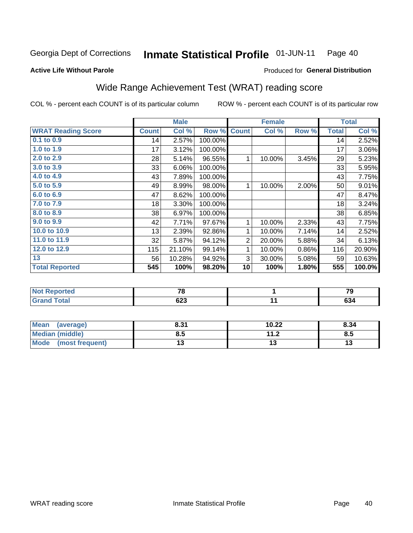#### Inmate Statistical Profile 01-JUN-11 Page 40

Produced for General Distribution

### **Active Life Without Parole**

## Wide Range Achievement Test (WRAT) reading score

COL % - percent each COUNT is of its particular column

|                           |              | <b>Male</b> |         |                | <b>Female</b> |       |              | <b>Total</b> |
|---------------------------|--------------|-------------|---------|----------------|---------------|-------|--------------|--------------|
| <b>WRAT Reading Score</b> | <b>Count</b> | Col %       | Row %   | <b>Count</b>   | Col %         | Row % | <b>Total</b> | Col %        |
| $0.1$ to $0.9$            | 14           | 2.57%       | 100.00% |                |               |       | 14           | 2.52%        |
| 1.0 to 1.9                | 17           | 3.12%       | 100.00% |                |               |       | 17           | 3.06%        |
| 2.0 to 2.9                | 28           | 5.14%       | 96.55%  | 1              | 10.00%        | 3.45% | 29           | 5.23%        |
| 3.0 to 3.9                | 33           | 6.06%       | 100.00% |                |               |       | 33           | 5.95%        |
| 4.0 to 4.9                | 43           | 7.89%       | 100.00% |                |               |       | 43           | 7.75%        |
| 5.0 to 5.9                | 49           | 8.99%       | 98.00%  | 1              | 10.00%        | 2.00% | 50           | 9.01%        |
| 6.0 to 6.9                | 47           | 8.62%       | 100.00% |                |               |       | 47           | 8.47%        |
| 7.0 to 7.9                | 18           | 3.30%       | 100.00% |                |               |       | 18           | 3.24%        |
| 8.0 to 8.9                | 38           | 6.97%       | 100.00% |                |               |       | 38           | 6.85%        |
| 9.0 to 9.9                | 42           | 7.71%       | 97.67%  | 1              | 10.00%        | 2.33% | 43           | 7.75%        |
| 10.0 to 10.9              | 13           | 2.39%       | 92.86%  | 1              | 10.00%        | 7.14% | 14           | 2.52%        |
| 11.0 to 11.9              | 32           | 5.87%       | 94.12%  | $\overline{2}$ | 20.00%        | 5.88% | 34           | 6.13%        |
| 12.0 to 12.9              | 115          | 21.10%      | 99.14%  | 1              | 10.00%        | 0.86% | 116          | 20.90%       |
| 13                        | 56           | 10.28%      | 94.92%  | 3              | 30.00%        | 5.08% | 59           | 10.63%       |
| <b>Total Reported</b>     | 545          | 100%        | 98.20%  | 10             | 100%          | 1.80% | 555          | 100.0%       |
|                           |              |             |         |                |               |       |              |              |

| <b>Not Reported</b> | 70<br>1 U | $\sim$ |
|---------------------|-----------|--------|
| <b>Grand Total</b>  | 623       | 634    |

| Mean (average)         | 8.31 | 10.22                | 8.34 |
|------------------------|------|----------------------|------|
| <b>Median (middle)</b> | ช.ว  | 11 J<br>. <i>. .</i> | ၓ.๖  |
| Mode (most frequent)   | U    |                      | 13   |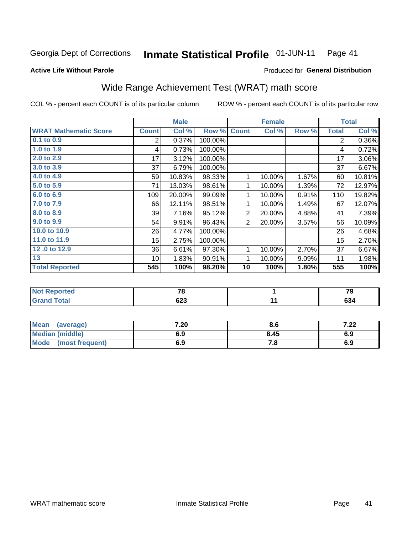#### Inmate Statistical Profile 01-JUN-11 Page 41

### **Active Life Without Parole**

## Produced for General Distribution

## Wide Range Achievement Test (WRAT) math score

COL % - percent each COUNT is of its particular column

|                              |                | <b>Male</b> |         |                | <b>Female</b> |       |                | <b>Total</b> |
|------------------------------|----------------|-------------|---------|----------------|---------------|-------|----------------|--------------|
| <b>WRAT Mathematic Score</b> | <b>Count</b>   | Col %       | Row %   | <b>Count</b>   | Col %         | Row % | <b>Total</b>   | Col %        |
| $0.1$ to $0.9$               | $\overline{2}$ | 0.37%       | 100.00% |                |               |       | $\overline{2}$ | 0.36%        |
| 1.0 to 1.9                   | 4              | 0.73%       | 100.00% |                |               |       | 4              | 0.72%        |
| 2.0 to 2.9                   | 17             | 3.12%       | 100.00% |                |               |       | 17             | 3.06%        |
| 3.0 to 3.9                   | 37             | 6.79%       | 100.00% |                |               |       | 37             | 6.67%        |
| 4.0 to 4.9                   | 59             | 10.83%      | 98.33%  | 1              | 10.00%        | 1.67% | 60             | 10.81%       |
| 5.0 to 5.9                   | 71             | 13.03%      | 98.61%  | 1              | 10.00%        | 1.39% | 72             | 12.97%       |
| 6.0 to 6.9                   | 109            | 20.00%      | 99.09%  | 1              | 10.00%        | 0.91% | 110            | 19.82%       |
| 7.0 to 7.9                   | 66             | 12.11%      | 98.51%  | 1              | 10.00%        | 1.49% | 67             | 12.07%       |
| 8.0 to 8.9                   | 39             | 7.16%       | 95.12%  | $\overline{2}$ | 20.00%        | 4.88% | 41             | 7.39%        |
| 9.0 to 9.9                   | 54             | 9.91%       | 96.43%  | $\overline{2}$ | 20.00%        | 3.57% | 56             | 10.09%       |
| 10.0 to 10.9                 | 26             | 4.77%       | 100.00% |                |               |       | 26             | 4.68%        |
| 11.0 to 11.9                 | 15             | 2.75%       | 100.00% |                |               |       | 15             | 2.70%        |
| 12.0 to 12.9                 | 36             | 6.61%       | 97.30%  | 1              | 10.00%        | 2.70% | 37             | 6.67%        |
| 13                           | 10             | 1.83%       | 90.91%  | 1              | 10.00%        | 9.09% | 11             | 1.98%        |
| <b>Total Reported</b>        | 545            | 100%        | 98.20%  | 10             | 100%          | 1.80% | 555            | 100%         |
|                              |                |             |         |                |               |       |                |              |
| <del>.</del>                 |                |             |         |                |               |       |                |              |

| <b>Not Reported</b> | --<br>ΓC   | 70        |
|---------------------|------------|-----------|
| <b>Total</b>        | coo<br>ხ∠ა | ^^<br>დაფ |

| Mean<br>(average)              | 7.20 | 8.6   | 7.00<br>1.LL |
|--------------------------------|------|-------|--------------|
| <b>Median (middle)</b>         | 6.9  | 8.45  | 6.9          |
| <b>Mode</b><br>(most frequent) | 6.9  | . . o | 6.9          |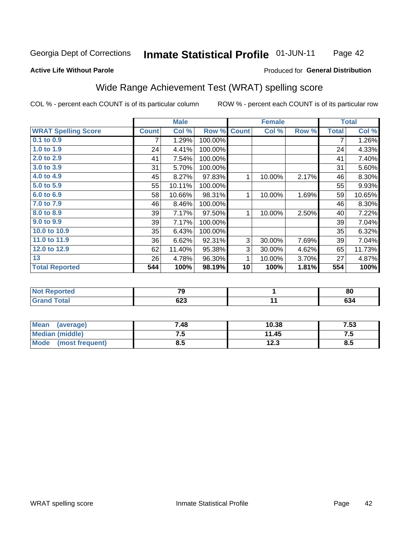#### **Inmate Statistical Profile 01-JUN-11** Page 42

## **Active Life Without Parole**

### Produced for General Distribution

## Wide Range Achievement Test (WRAT) spelling score

COL % - percent each COUNT is of its particular column

|                                              |              | <b>Male</b> |         |              | <b>Female</b> |       |              | <b>Total</b> |
|----------------------------------------------|--------------|-------------|---------|--------------|---------------|-------|--------------|--------------|
| <b>WRAT Spelling Score</b>                   | <b>Count</b> | Col %       | Row %   | <b>Count</b> | Col %         | Row % | <b>Total</b> | Col %        |
| 0.1 to 0.9                                   | 7            | 1.29%       | 100.00% |              |               |       | 7            | 1.26%        |
| 1.0 to 1.9                                   | 24           | 4.41%       | 100.00% |              |               |       | 24           | 4.33%        |
| 2.0 to 2.9                                   | 41           | 7.54%       | 100.00% |              |               |       | 41           | 7.40%        |
| 3.0 to 3.9                                   | 31           | 5.70%       | 100.00% |              |               |       | 31           | 5.60%        |
| 4.0 to 4.9                                   | 45           | 8.27%       | 97.83%  | 1            | 10.00%        | 2.17% | 46           | 8.30%        |
| 5.0 to 5.9                                   | 55           | 10.11%      | 100.00% |              |               |       | 55           | 9.93%        |
| 6.0 to 6.9                                   | 58           | 10.66%      | 98.31%  | 1            | 10.00%        | 1.69% | 59           | 10.65%       |
| 7.0 to 7.9                                   | 46           | 8.46%       | 100.00% |              |               |       | 46           | 8.30%        |
| 8.0 to 8.9                                   | 39           | 7.17%       | 97.50%  | 1            | 10.00%        | 2.50% | 40           | 7.22%        |
| 9.0 to 9.9                                   | 39           | 7.17%       | 100.00% |              |               |       | 39           | 7.04%        |
| 10.0 to 10.9                                 | 35           | 6.43%       | 100.00% |              |               |       | 35           | 6.32%        |
| 11.0 to $11.9$                               | 36           | 6.62%       | 92.31%  | 3            | 30.00%        | 7.69% | 39           | 7.04%        |
| 12.0 to 12.9                                 | 62           | 11.40%      | 95.38%  | 3            | 30.00%        | 4.62% | 65           | 11.73%       |
| 13                                           | 26           | 4.78%       | 96.30%  | 1            | 10.00%        | 3.70% | 27           | 4.87%        |
| <b>Total Reported</b>                        | 544          | 100%        | 98.19%  | 10           | 100%          | 1.81% | 554          | 100%         |
|                                              |              |             |         |              |               |       |              |              |
| <b>START AND START AND START AND INCOME.</b> |              | --          |         |              | $\mathbf{A}$  |       |              | $\sim$       |

| eported | $\mathbf{z}$<br>- - | 80        |
|---------|---------------------|-----------|
| otal    | <u>__</u><br>ხ∠ა    | ^^<br>OJ4 |

| <b>Mean</b><br>(average)       | 7.48 | 10.38        | 7.53 |
|--------------------------------|------|--------------|------|
| Median (middle)                | ن. ا | 11.45        | ن. ا |
| <b>Mode</b><br>(most frequent) | 8.5  | 122<br>1 Z.J | Ծ.J  |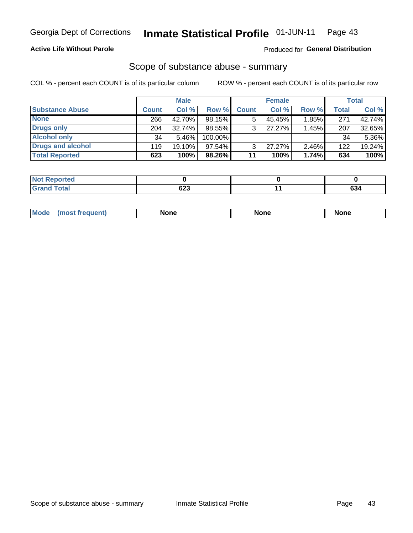## **Active Life Without Parole**

## Produced for General Distribution

## Scope of substance abuse - summary

COL % - percent each COUNT is of its particular column

|                        |              | <b>Male</b> |           |              | <b>Female</b> |          |              | <b>Total</b> |
|------------------------|--------------|-------------|-----------|--------------|---------------|----------|--------------|--------------|
| <b>Substance Abuse</b> | <b>Count</b> | Col %       | Row %     | <b>Count</b> | Col %         | Row %    | <b>Total</b> | Col %        |
| <b>None</b>            | 266          | 42.70%      | 98.15%    |              | 45.45%        | 1.85%    | 271          | 42.74%       |
| <b>Drugs only</b>      | 204          | $32.74\%$   | 98.55%    |              | 27.27%        | 1.45%    | 207          | 32.65%       |
| <b>Alcohol only</b>    | 34           | 5.46%       | 100.00%   |              |               |          | 34           | 5.36%        |
| Drugs and alcohol      | 119          | $19.10\%$   | $97.54\%$ |              | $27.27\%$     | $2.46\%$ | 122          | 19.24%       |
| <b>Total Reported</b>  | 623          | 100%        | 98.26%    | 11           | 100%          | 1.74%    | 634          | 100%         |

| <b>Not</b><br><b>Reported</b> |     |        |
|-------------------------------|-----|--------|
| <b>Total</b>                  |     | $\sim$ |
| Grand                         | נ∠ס | OJ4    |

| Mode<br>None<br>None<br>None<br>quenu |
|---------------------------------------|
|---------------------------------------|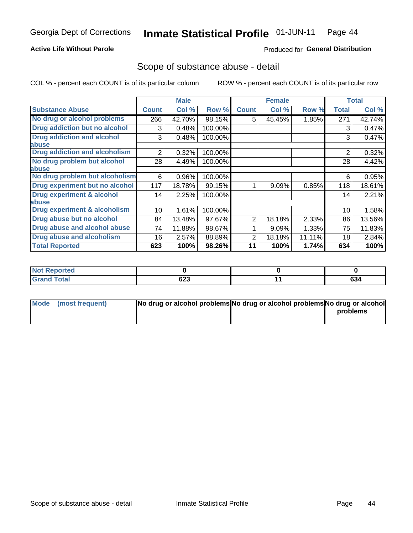## **Active Life Without Parole**

## Produced for General Distribution

## Scope of substance abuse - detail

COL % - percent each COUNT is of its particular column

|                                      |              | <b>Male</b> |         |              | <b>Female</b> |        |                | <b>Total</b> |
|--------------------------------------|--------------|-------------|---------|--------------|---------------|--------|----------------|--------------|
| <b>Substance Abuse</b>               | <b>Count</b> | Col %       | Row %   | <b>Count</b> | Col %         | Row %  | Total          | Col %        |
| No drug or alcohol problems          | 266          | 42.70%      | 98.15%  | 5            | 45.45%        | 1.85%  | 271            | 42.74%       |
| Drug addiction but no alcohol        | 3            | 0.48%       | 100.00% |              |               |        | 3              | 0.47%        |
| <b>Drug addiction and alcohol</b>    | 3            | 0.48%       | 100.00% |              |               |        | 3              | 0.47%        |
| abuse                                |              |             |         |              |               |        |                |              |
| <b>Drug addiction and alcoholism</b> | 2            | 0.32%       | 100.00% |              |               |        | $\overline{2}$ | 0.32%        |
| No drug problem but alcohol          | 28           | 4.49%       | 100.00% |              |               |        | 28             | 4.42%        |
| abuse                                |              |             |         |              |               |        |                |              |
| No drug problem but alcoholism       | 6            | 0.96%       | 100.00% |              |               |        | 6              | 0.95%        |
| Drug experiment but no alcohol       | 117          | 18.78%      | 99.15%  |              | 9.09%         | 0.85%  | 118            | 18.61%       |
| <b>Drug experiment &amp; alcohol</b> | 14           | 2.25%       | 100.00% |              |               |        | 14             | 2.21%        |
| abuse                                |              |             |         |              |               |        |                |              |
| Drug experiment & alcoholism         | 10           | 1.61%       | 100.00% |              |               |        | 10             | 1.58%        |
| Drug abuse but no alcohol            | 84           | 13.48%      | 97.67%  | 2            | 18.18%        | 2.33%  | 86             | 13.56%       |
| Drug abuse and alcohol abuse         | 74           | 11.88%      | 98.67%  |              | 9.09%         | 1.33%  | 75             | 11.83%       |
| <b>Drug abuse and alcoholism</b>     | 16           | 2.57%       | 88.89%  | 2            | 18.18%        | 11.11% | 18             | 2.84%        |
| <b>Total Reported</b>                | 623          | 100%        | 98.26%  | 11           | 100%          | 1.74%  | 634            | 100%         |

| Reported<br>NOT. |                   |               |
|------------------|-------------------|---------------|
| <b>otal</b>      | coo<br>ნ∠ა<br>- - | $\sim$<br>ხ34 |

| Mode (most frequent) | No drug or alcohol problems No drug or alcohol problems No drug or alcohol |          |
|----------------------|----------------------------------------------------------------------------|----------|
|                      |                                                                            | problems |
|                      |                                                                            |          |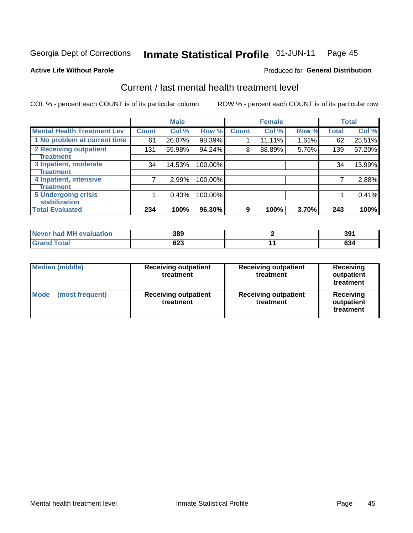#### Inmate Statistical Profile 01-JUN-11 Page 45

### **Active Life Without Parole**

### **Produced for General Distribution**

## Current / last mental health treatment level

COL % - percent each COUNT is of its particular column

|                                    |              | <b>Male</b> |         |              | <b>Female</b> |       |              | <b>Total</b> |
|------------------------------------|--------------|-------------|---------|--------------|---------------|-------|--------------|--------------|
| <b>Mental Health Treatment Lev</b> | <b>Count</b> | Col %       | Row %   | <b>Count</b> | Col %         | Row % | <b>Total</b> | Col %        |
| 1 No problem at current time       | 61           | 26.07%      | 98.39%  |              | 11.11%        | 1.61% | 62           | 25.51%       |
| 2 Receiving outpatient             | 131          | 55.98%      | 94.24%  | 8            | 88.89%        | 5.76% | 139          | 57.20%       |
| <b>Treatment</b>                   |              |             |         |              |               |       |              |              |
| 3 Inpatient, moderate              | 34           | 14.53%      | 100.00% |              |               |       | 34           | 13.99%       |
| Treatment                          |              |             |         |              |               |       |              |              |
| 4 Inpatient, intensive             | 7            | 2.99%       | 100.00% |              |               |       |              | 2.88%        |
| Treatment                          |              |             |         |              |               |       |              |              |
| <b>5 Undergoing crisis</b>         |              | 0.43%       | 100.00% |              |               |       |              | 0.41%        |
| <b>stabilization</b>               |              |             |         |              |               |       |              |              |
| <b>Total Evaluated</b>             | 234          | 100%        | 96.30%  | 9            | 100%          | 3.70% | 243          | 100%         |

| Never had MH<br>evaluation | 389        | 39'           |
|----------------------------|------------|---------------|
| $f$ otol                   | 623<br>- - | $\sim$<br>სა4 |

| <b>Median (middle)</b>         | <b>Receiving outpatient</b><br>treatment | <b>Receiving outpatient</b><br>treatment | <b>Receiving</b><br>outpatient<br>treatment |
|--------------------------------|------------------------------------------|------------------------------------------|---------------------------------------------|
| <b>Mode</b><br>(most frequent) | <b>Receiving outpatient</b><br>treatment | <b>Receiving outpatient</b><br>treatment | <b>Receiving</b><br>outpatient<br>treatment |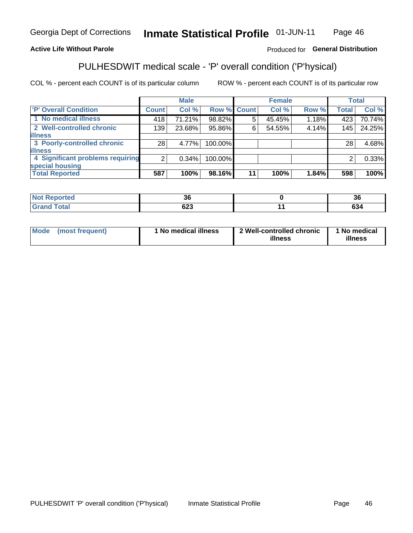#### Inmate Statistical Profile 01-JUN-11 Page 46

## **Active Life Without Parole**

## Produced for General Distribution

## PULHESDWIT medical scale - 'P' overall condition ('P'hysical)

COL % - percent each COUNT is of its particular column

|                                  |         | <b>Male</b> |             |    | <b>Female</b> |       |              | <b>Total</b> |
|----------------------------------|---------|-------------|-------------|----|---------------|-------|--------------|--------------|
| 'P' Overall Condition            | Count l | Col %       | Row % Count |    | Col %         | Row % | <b>Total</b> | Col %        |
| 1 No medical illness             | 418     | 71.21%      | 98.82%      | 5  | 45.45%        | 1.18% | 423          | 70.74%       |
| 2 Well-controlled chronic        | 139     | 23.68%      | 95.86%      | 6  | 54.55%        | 4.14% | 145          | 24.25%       |
| <b>illness</b>                   |         |             |             |    |               |       |              |              |
| 3 Poorly-controlled chronic      | 28      | 4.77%       | 100.00%     |    |               |       | 28           | 4.68%        |
| <b>illness</b>                   |         |             |             |    |               |       |              |              |
| 4 Significant problems requiring | 2       | 0.34%       | 100.00%     |    |               |       | 2            | 0.33%        |
| special housing                  |         |             |             |    |               |       |              |              |
| <b>Total Reported</b>            | 587     | 100%        | 98.16%      | 11 | 100%          | 1.84% | 598          | 100%         |

| reu   | ^^<br>.JO  | $\sim$<br>ახ     |
|-------|------------|------------------|
| _____ | cog<br>ο∠ა | - -<br>m.<br>634 |

| <b>Mode</b> | (most frequent) | 1 No medical illness | 2 Well-controlled chronic<br>illness | 1 No medical<br>illness |
|-------------|-----------------|----------------------|--------------------------------------|-------------------------|
|-------------|-----------------|----------------------|--------------------------------------|-------------------------|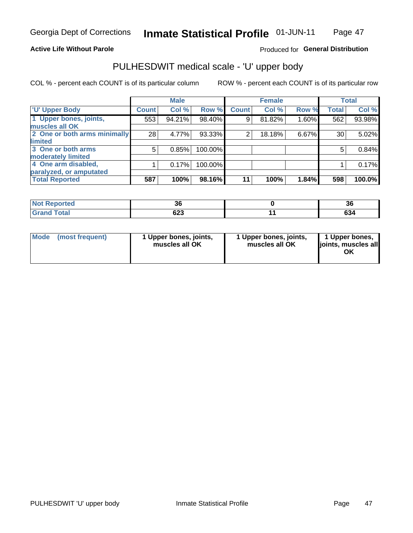### **Active Life Without Parole**

## Produced for General Distribution

# PULHESDWIT medical scale - 'U' upper body

COL % - percent each COUNT is of its particular column

|                              |              | <b>Male</b> |           |              | <b>Female</b> |       |              | <b>Total</b> |
|------------------------------|--------------|-------------|-----------|--------------|---------------|-------|--------------|--------------|
| <b>U' Upper Body</b>         | <b>Count</b> | Col %       | Row %     | <b>Count</b> | Col %         | Row % | <b>Total</b> | Col %        |
| 1 Upper bones, joints,       | 553          | 94.21%      | 98.40%    | 9            | 81.82%        | 1.60% | 562          | 93.98%       |
| muscles all OK               |              |             |           |              |               |       |              |              |
| 2 One or both arms minimally | 28           | 4.77%       | $93.33\%$ | 2            | 18.18%        | 6.67% | 30           | 5.02%        |
| limited                      |              |             |           |              |               |       |              |              |
| 3 One or both arms           | 5            | 0.85%       | 100.00%   |              |               |       | 5            | 0.84%        |
| <b>moderately limited</b>    |              |             |           |              |               |       |              |              |
| 4 One arm disabled,          |              | 0.17%       | 100.00%   |              |               |       |              | 0.17%        |
| paralyzed, or amputated      |              |             |           |              |               |       |              |              |
| <b>Total Reported</b>        | 587          | 100%        | 98.16%    | 11           | 100%          | 1.84% | 598          | 100.0%       |

| <b>Not Reported</b>           | ათ         | 36            |
|-------------------------------|------------|---------------|
| <b>Total</b><br>Grar<br>Granu | coo<br>ບ∠ບ | $\sim$<br>634 |

| <b>Mode</b> | (most frequent) | l Upper bones, joints,<br>muscles all OK | 1 Upper bones, joints,<br>muscles all OK | 1 Upper bones,<br>ljoints, muscles all |
|-------------|-----------------|------------------------------------------|------------------------------------------|----------------------------------------|
|-------------|-----------------|------------------------------------------|------------------------------------------|----------------------------------------|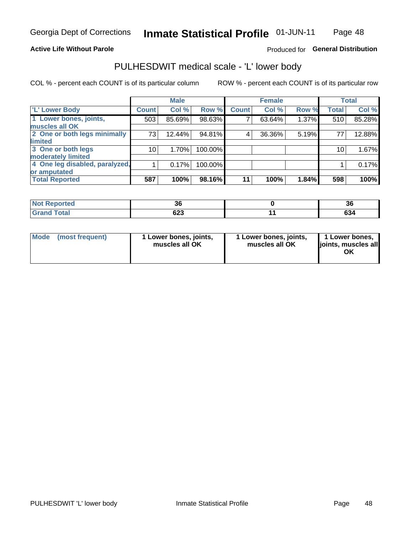### **Active Life Without Parole**

## Produced for General Distribution

## PULHESDWIT medical scale - 'L' lower body

COL % - percent each COUNT is of its particular column

|                                |              | <b>Male</b> |         |              | <b>Female</b> |       |                 | <b>Total</b> |
|--------------------------------|--------------|-------------|---------|--------------|---------------|-------|-----------------|--------------|
| 'L' Lower Body                 | <b>Count</b> | Col %       | Row %   | <b>Count</b> | Col %         | Row % | <b>Total</b>    | Col %        |
| 1 Lower bones, joints,         | 503          | 85.69%      | 98.63%  |              | 63.64%        | 1.37% | 510             | 85.28%       |
| muscles all OK                 |              |             |         |              |               |       |                 |              |
| 2 One or both legs minimally   | 73           | 12.44%      | 94.81%  | 4            | 36.36%        | 5.19% | 77              | 12.88%       |
| limited                        |              |             |         |              |               |       |                 |              |
| 3 One or both legs             | 10           | 1.70%       | 100.00% |              |               |       | 10 <sub>1</sub> | 1.67%        |
| moderately limited             |              |             |         |              |               |       |                 |              |
| 4 One leg disabled, paralyzed, |              | 0.17%       | 100.00% |              |               |       |                 | 0.17%        |
| or amputated                   |              |             |         |              |               |       |                 |              |
| <b>Total Reported</b>          | 587          | 100%        | 98.16%  | 11           | 100%          | 1.84% | 598             | 100%         |

| <b>Not Reported</b>           | ათ         | 36            |
|-------------------------------|------------|---------------|
| <b>Total</b><br>Grar<br>Granu | coo<br>ບ∠ບ | $\sim$<br>634 |

| Mode | (most frequent) | 1 Lower bones, joints,<br>muscles all OK | 1 Lower bones, joints,<br>muscles all OK | 1 Lower bones,<br>ljoints, muscles all<br>OK |
|------|-----------------|------------------------------------------|------------------------------------------|----------------------------------------------|
|------|-----------------|------------------------------------------|------------------------------------------|----------------------------------------------|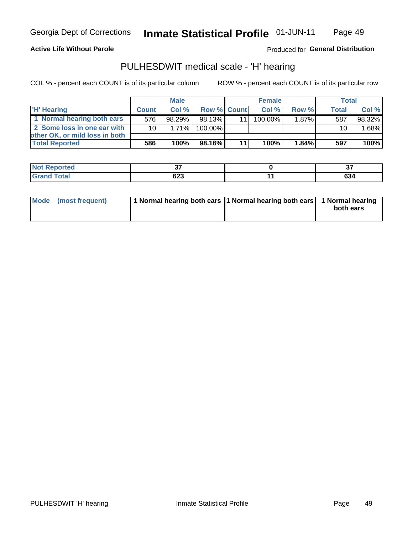### **Active Life Without Parole**

Produced for General Distribution

## PULHESDWIT medical scale - 'H' hearing

COL % - percent each COUNT is of its particular column

|                                |              | <b>Male</b> |                    | <b>Female</b> |          | Total        |        |
|--------------------------------|--------------|-------------|--------------------|---------------|----------|--------------|--------|
| <b>H'</b> Hearing              | <b>Count</b> | Col%        | <b>Row % Count</b> | Col %         | Row %    | <b>Total</b> | Col %  |
| 1 Normal hearing both ears     | 576          | 98.29%      | 98.13%             | $100.00\%$    | 1.87%    | 587          | 98.32% |
| 2 Some loss in one ear with    | 10 l         | 1.71%       | 100.00%            |               |          | 10           | 1.68%  |
| other OK, or mild loss in both |              |             |                    |               |          |              |        |
| <b>Total Reported</b>          | 586          | 100%        | 98.16%             | 100%          | $1.84\%$ | 597          | 100%   |

| N      | --               | $\sim$ |
|--------|------------------|--------|
| a tero | $\sim$           | $\sim$ |
| _____  | <u>__</u><br>ט∠ט | 634    |

|  | Mode (most frequent) | 1 Normal hearing both ears 1 Normal hearing both ears 1 Normal hearing |  | both ears |
|--|----------------------|------------------------------------------------------------------------|--|-----------|
|--|----------------------|------------------------------------------------------------------------|--|-----------|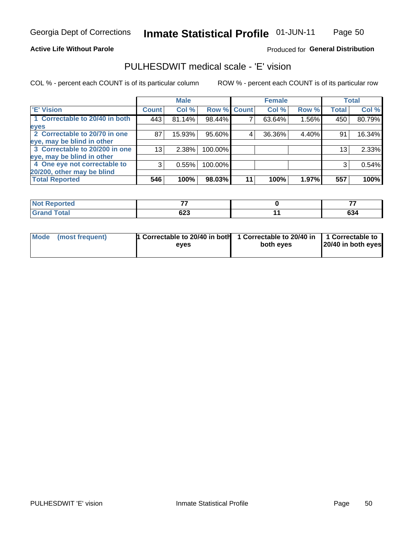### **Active Life Without Parole**

## Produced for General Distribution

## PULHESDWIT medical scale - 'E' vision

COL % - percent each COUNT is of its particular column

|                                |                 | <b>Male</b> |             |    | <b>Female</b> |       |              | <b>Total</b> |
|--------------------------------|-----------------|-------------|-------------|----|---------------|-------|--------------|--------------|
| <b>E' Vision</b>               | <b>Count</b>    | Col %       | Row % Count |    | Col %         | Row % | <b>Total</b> | Col %        |
| 1 Correctable to 20/40 in both | 443             | 81.14%      | 98.44%      |    | 63.64%        | 1.56% | 450          | 80.79%       |
| eyes                           |                 |             |             |    |               |       |              |              |
| 2 Correctable to 20/70 in one  | 87              | 15.93%      | 95.60%      | 4  | 36.36%        | 4.40% | 91           | 16.34%       |
| eye, may be blind in other     |                 |             |             |    |               |       |              |              |
| 3 Correctable to 20/200 in one | 13 <sub>1</sub> | 2.38%       | 100.00%     |    |               |       | 13           | 2.33%        |
| eye, may be blind in other     |                 |             |             |    |               |       |              |              |
| 4 One eye not correctable to   | 3               | 0.55%       | 100.00%     |    |               |       | 3            | 0.54%        |
| 20/200, other may be blind     |                 |             |             |    |               |       |              |              |
| <b>Total Reported</b>          | 546             | 100%        | 98.03%      | 11 | 100%          | 1.97% | 557          | 100%         |

| <b>Not Reported</b> | --  |        |
|---------------------|-----|--------|
| <b>Total</b>        | cos | $\sim$ |
| Cron                | 643 | 634    |

| Mode (most frequent) | 1 Correctable to 20/40 in both<br>eves | 1 Correctable to 20/40 in   1 Correctable to<br>both eyes | 20/40 in both eyes |  |
|----------------------|----------------------------------------|-----------------------------------------------------------|--------------------|--|
|                      |                                        |                                                           |                    |  |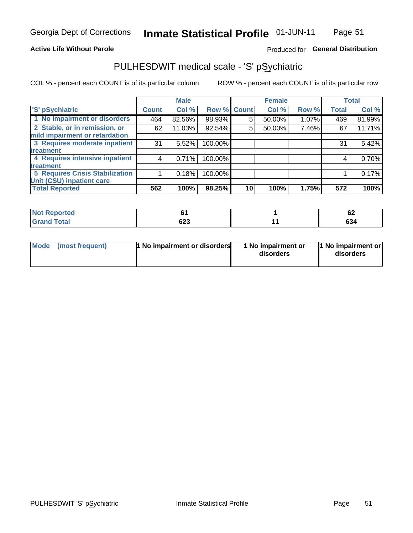### **Active Life Without Parole**

## Produced for General Distribution

## PULHESDWIT medical scale - 'S' pSychiatric

COL % - percent each COUNT is of its particular column

|                                        |              | <b>Male</b> |         |             | <b>Female</b> |       |              | <b>Total</b> |
|----------------------------------------|--------------|-------------|---------|-------------|---------------|-------|--------------|--------------|
| 'S' pSychiatric                        | <b>Count</b> | Col %       |         | Row % Count | Col %         | Row % | <b>Total</b> | Col %        |
| 1 No impairment or disorders           | 464          | 82.56%      | 98.93%  | 5           | 50.00%        | 1.07% | 469          | 81.99%       |
| 2 Stable, or in remission, or          | 62           | 11.03%      | 92.54%  | 5           | 50.00%        | 7.46% | 67           | 11.71%       |
| mild impairment or retardation         |              |             |         |             |               |       |              |              |
| 3 Requires moderate inpatient          | 31           | 5.52%       | 100.00% |             |               |       | 31           | 5.42%        |
| treatment                              |              |             |         |             |               |       |              |              |
| 4 Requires intensive inpatient         | 4            | 0.71%       | 100.00% |             |               |       | 4            | 0.70%        |
| treatment                              |              |             |         |             |               |       |              |              |
| <b>5 Requires Crisis Stabilization</b> |              | 0.18%       | 100.00% |             |               |       |              | 0.17%        |
| Unit (CSU) inpatient care              |              |             |         |             |               |       |              |              |
| <b>Total Reported</b>                  | 562          | 100%        | 98.25%  | 10          | 100%          | 1.75% | 572          | 100%         |

| <b>Reported</b><br>NOT |            | ^^<br>0Z  |
|------------------------|------------|-----------|
| <b>Total</b>           | coo<br>ט∠ס | ~~<br>OJ4 |

| Mode<br>1 No impairment or disorders<br>(most frequent) | 1 No impairment or<br>disorders | 1 No impairment or<br>disorders |
|---------------------------------------------------------|---------------------------------|---------------------------------|
|---------------------------------------------------------|---------------------------------|---------------------------------|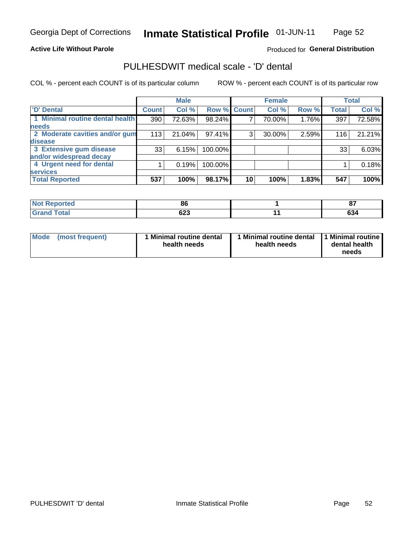### **Active Life Without Parole**

## Produced for General Distribution

## PULHESDWIT medical scale - 'D' dental

COL % - percent each COUNT is of its particular column

|                                 |              | <b>Male</b> |             |    | <b>Female</b> |       |              | <b>Total</b> |
|---------------------------------|--------------|-------------|-------------|----|---------------|-------|--------------|--------------|
| 'D' Dental                      | <b>Count</b> | Col %       | Row % Count |    | Col %         | Row % | <b>Total</b> | Col %        |
| 1 Minimal routine dental health | 390          | 72.63%      | 98.24%      |    | 70.00%        | 1.76% | 397          | 72.58%       |
| <b>needs</b>                    |              |             |             |    |               |       |              |              |
| 2 Moderate cavities and/or gum  | 113          | 21.04%      | 97.41%      | 3  | 30.00%        | 2.59% | 116          | 21.21%       |
| disease                         |              |             |             |    |               |       |              |              |
| 3 Extensive gum disease         | 33           | 6.15%       | 100.00%     |    |               |       | 33           | 6.03%        |
| and/or widespread decay         |              |             |             |    |               |       |              |              |
| 4 Urgent need for dental        |              | 0.19%       | 100.00%     |    |               |       |              | 0.18%        |
| <b>services</b>                 |              |             |             |    |               |       |              |              |
| <b>Total Reported</b>           | 537          | 100%        | 98.17%      | 10 | 100%          | 1.83% | 547          | 100%         |

| <b><i><u>Balanda</u></i></b><br>rtea<br>N<br>. | oc         | ິ<br>U.       |
|------------------------------------------------|------------|---------------|
| $T \cap f \cap f$                              | coo<br>ບ∠ບ | $\sim$<br>034 |

| <b>Mode</b> | (most frequent) | <b>Minimal routine dental</b><br>health needs | 1 Minimal routine dental<br>health needs | <b>11 Minimal routine I</b><br>dental health<br>needs |
|-------------|-----------------|-----------------------------------------------|------------------------------------------|-------------------------------------------------------|
|-------------|-----------------|-----------------------------------------------|------------------------------------------|-------------------------------------------------------|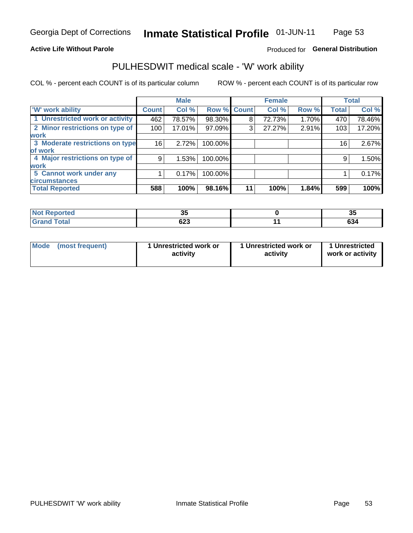## **Active Life Without Parole**

## Produced for General Distribution

## PULHESDWIT medical scale - 'W' work ability

COL % - percent each COUNT is of its particular column

|                                 |              | <b>Male</b> |         |             | <b>Female</b> |       |              | <b>Total</b> |
|---------------------------------|--------------|-------------|---------|-------------|---------------|-------|--------------|--------------|
| <b>W' work ability</b>          | <b>Count</b> | Col %       |         | Row % Count | Col %         | Row % | <b>Total</b> | Col %        |
| 1 Unrestricted work or activity | 462          | 78.57%      | 98.30%  | 8           | 72.73%        | 1.70% | 470          | 78.46%       |
| 2 Minor restrictions on type of | 100          | 17.01%      | 97.09%  | 3           | 27.27%        | 2.91% | 103          | 17.20%       |
| <b>work</b>                     |              |             |         |             |               |       |              |              |
| 3 Moderate restrictions on type | 16           | 2.72%       | 100.00% |             |               |       | 16           | 2.67%        |
| of work                         |              |             |         |             |               |       |              |              |
| 4 Major restrictions on type of | 9            | 1.53%       | 100.00% |             |               |       | 9            | 1.50%        |
| <b>work</b>                     |              |             |         |             |               |       |              |              |
| 5 Cannot work under any         |              | 0.17%       | 100.00% |             |               |       |              | 0.17%        |
| <b>circumstances</b>            |              |             |         |             |               |       |              |              |
| <b>Total Reported</b>           | 588          | 100%        | 98.16%  | 11          | 100%          | 1.84% | 599          | 100%         |

| <b>Not Reported</b> | - -<br>ັ | J,     |
|---------------------|----------|--------|
| <b>Grand Total</b>  | coo      | $\sim$ |
| Cron/               | 04J      | 634    |

| <b>Mode</b> | (most frequent) | 1 Unrestricted work or<br>activity | 1 Unrestricted work or<br>activity | 1 Unrestricted<br>work or activity |
|-------------|-----------------|------------------------------------|------------------------------------|------------------------------------|
|-------------|-----------------|------------------------------------|------------------------------------|------------------------------------|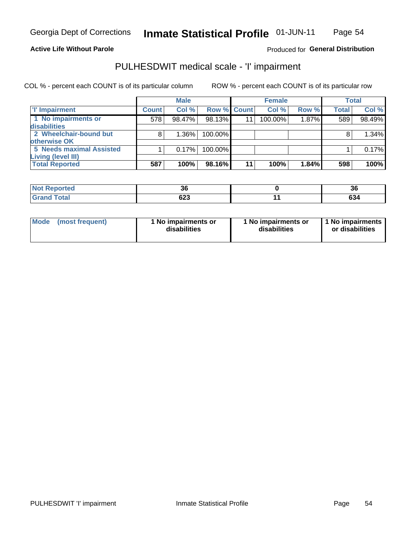## **Active Life Without Parole**

## Produced for General Distribution

## PULHESDWIT medical scale - 'I' impairment

COL % - percent each COUNT is of its particular column ROW % - percent each COUNT is of its particular row

|                                             |              | <b>Male</b> |             |    | <b>Female</b> |       |              | <b>Total</b> |
|---------------------------------------------|--------------|-------------|-------------|----|---------------|-------|--------------|--------------|
| <b>T' Impairment</b>                        | <b>Count</b> | Col %       | Row % Count |    | Col %         | Row % | <b>Total</b> | Col %        |
| 1 No impairments or<br>disabilities         | 578          | 98.47%      | 98.13%      | 11 | 100.00%       | 1.87% | 589          | 98.49%       |
| 2 Wheelchair-bound but<br>otherwise OK      | 8            | 1.36%       | 100.00%     |    |               |       |              | 1.34%        |
| <b>5 Needs maximal Assisted</b>             |              | 0.17%       | 100.00%     |    |               |       |              | 0.17%        |
| Living (level III)<br><b>Total Reported</b> | 587          | 100%        | 98.16%      | 11 | 100%          | 1.84% | 598          | 100%         |

| <b>Not Reported</b> | 36  | - -<br>ാഠ |
|---------------------|-----|-----------|
| Total               | ט∠ט | ^^<br>204 |

| <b>Mode</b>     | 1 No impairments or | 1 No impairments or | 1 1 No impairments |
|-----------------|---------------------|---------------------|--------------------|
| (most frequent) | disabilities        | disabilities        | or disabilities    |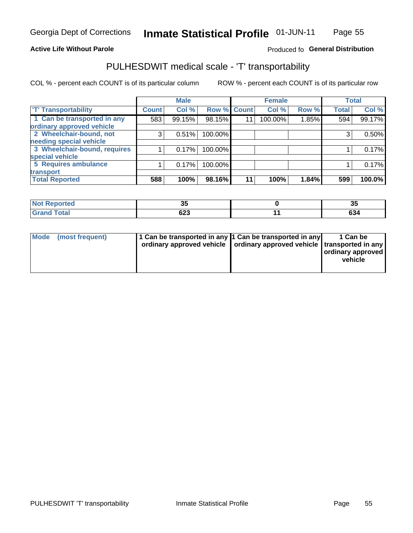### **Active Life Without Parole**

### Produced fo General Distribution

## PULHESDWIT medical scale - 'T' transportability

COL % - percent each COUNT is of its particular column

|                              |              | <b>Male</b> |             |    | <b>Female</b> |       |              | <b>Total</b> |
|------------------------------|--------------|-------------|-------------|----|---------------|-------|--------------|--------------|
| <b>T' Transportability</b>   | <b>Count</b> | Col %       | Row % Count |    | Col %         | Row % | <b>Total</b> | Col %        |
| 1 Can be transported in any  | 583          | 99.15%      | 98.15%      | 11 | 100.00%       | 1.85% | 594          | 99.17%       |
| ordinary approved vehicle    |              |             |             |    |               |       |              |              |
| 2 Wheelchair-bound, not      | 3            | 0.51%       | 100.00%     |    |               |       | 3            | 0.50%        |
| needing special vehicle      |              |             |             |    |               |       |              |              |
| 3 Wheelchair-bound, requires |              | 0.17%       | 100.00%     |    |               |       |              | 0.17%        |
| special vehicle              |              |             |             |    |               |       |              |              |
| 5 Requires ambulance         |              | 0.17%       | 100.00%     |    |               |       |              | 0.17%        |
| transport                    |              |             |             |    |               |       |              |              |
| <b>Total Reported</b>        | 588          | 100%        | 98.16%      | 11 | 100%          | 1.84% | 599          | 100.0%       |

| orted         | . .<br>v. | ာပ                   |
|---------------|-----------|----------------------|
| <b>c</b> otal | 623       | $\sim$<br><b>094</b> |

| <b>Mode</b> | (most frequent) | 1 Can be transported in any 1 Can be transported in any | ordinary approved vehicle   ordinary approved vehicle   transported in any | 1 Can be<br>  ordinary approved  <br>vehicle |
|-------------|-----------------|---------------------------------------------------------|----------------------------------------------------------------------------|----------------------------------------------|
|-------------|-----------------|---------------------------------------------------------|----------------------------------------------------------------------------|----------------------------------------------|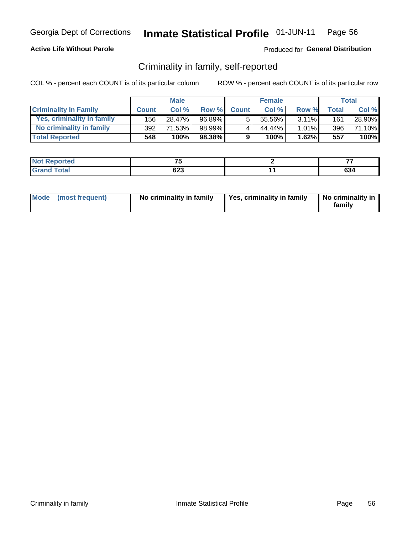## **Active Life Without Parole**

## Produced for General Distribution

## Criminality in family, self-reported

COL % - percent each COUNT is of its particular column

|                              |              | <b>Male</b> |        |              | <b>Female</b> |          |                    | Total  |
|------------------------------|--------------|-------------|--------|--------------|---------------|----------|--------------------|--------|
| <b>Criminality In Family</b> | <b>Count</b> | Col %       | Row %  | <b>Count</b> | Col %         | Row %    | Total <sub>1</sub> | Col %  |
| Yes, criminality in family   | 156          | 28.47%      | 96.89% | 5            | 55.56%        | $3.11\%$ | 161                | 28.90% |
| No criminality in family     | 392          | 71.53%      | 98.99% | 4            | 44.44%        | 1.01%    | 396                | 71.10% |
| <b>Total Reported</b>        | 548          | 100%        | 98.38% | 9            | 100%          | 1.62%    | 557                | 100%   |

| Reported<br><b>NOT</b> | $-$        | --            |
|------------------------|------------|---------------|
| <b>Total</b>           | へへつ<br>נגס | $\sim$<br>OJ4 |

|  | Mode (most frequent) | No criminality in family | Yes, criminality in family | No criminality in<br>family |
|--|----------------------|--------------------------|----------------------------|-----------------------------|
|--|----------------------|--------------------------|----------------------------|-----------------------------|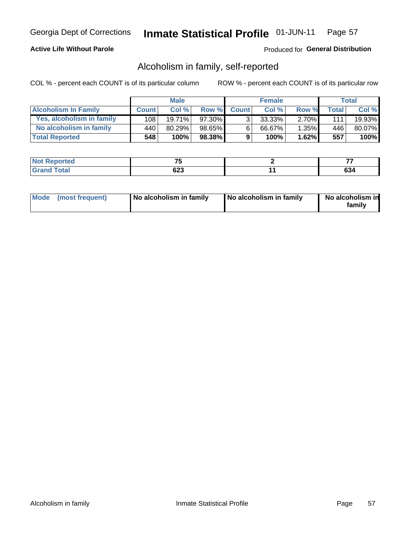## **Active Life Without Parole**

## Produced for General Distribution

## Alcoholism in family, self-reported

COL % - percent each COUNT is of its particular column

|                             |              | <b>Male</b> |           |              | <b>Female</b> |          |       | Total  |
|-----------------------------|--------------|-------------|-----------|--------------|---------------|----------|-------|--------|
| <b>Alcoholism In Family</b> | <b>Count</b> | Col%        | Row %     | <b>Count</b> | Col %         | Row %    | Total | Col %  |
| Yes, alcoholism in family   | 108          | $19.71\%$   | 97.30%    | ્ર           | 33.33%        | $2.70\%$ | 1111  | 19.93% |
| No alcoholism in family     | 440          | 80.29%      | 98.65%    | 6            | 66.67%        | $1.35\%$ | 446   | 80.07% |
| <b>Total Reported</b>       | 548          | 100%        | $98.38\%$ | 9            | 100%          | $1.62\%$ | 557   | 100%   |

| المنتبط المتعا<br>$\bullet$ at $\bullet$ and $\bullet$ | $-$              | --        |
|--------------------------------------------------------|------------------|-----------|
| Total                                                  | <u>__</u><br>◡▵◡ | ^^<br>יטט |

|  | Mode (most frequent) | No alcoholism in family | No alcoholism in family | No alcoholism in<br>family |
|--|----------------------|-------------------------|-------------------------|----------------------------|
|--|----------------------|-------------------------|-------------------------|----------------------------|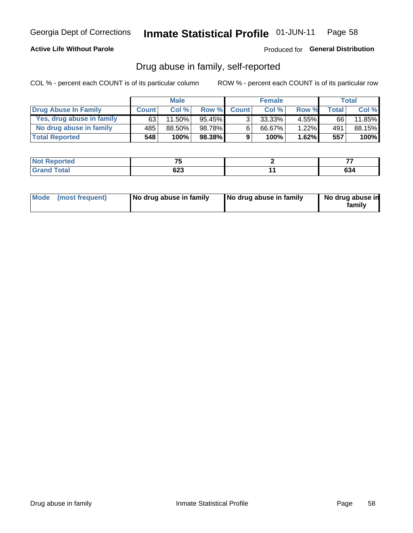## **Active Life Without Parole**

### Produced for General Distribution

## Drug abuse in family, self-reported

COL % - percent each COUNT is of its particular column

|                           |              | <b>Male</b> |           |                | <b>Female</b> |          |       | <b>Total</b> |
|---------------------------|--------------|-------------|-----------|----------------|---------------|----------|-------|--------------|
| Drug Abuse In Family      | <b>Count</b> | Col%        | Row %     | <b>Count</b>   | Col%          | Row %    | Total | Col %        |
| Yes, drug abuse in family | 63           | 11.50%      | $95.45\%$ | 3 <sub>1</sub> | $33.33\%$     | $4.55\%$ | 66    | 11.85%       |
| No drug abuse in family   | 485          | 88.50%      | 98.78%    | 6              | 66.67%        | 1.22%    | 491   | 88.15%       |
| <b>Total Reported</b>     | 548          | 100%        | 98.38%    | 9              | 100%          | 1.62%    | 557   | 100%         |

| Reported<br><b>NOT</b> | $-$         | --            |
|------------------------|-------------|---------------|
| <b>c</b> otal          | coo<br>ี∪∠ง | $\sim$<br>OJ4 |

|  | Mode (most frequent) | No drug abuse in family | No drug abuse in family | No drug abuse in<br>family |
|--|----------------------|-------------------------|-------------------------|----------------------------|
|--|----------------------|-------------------------|-------------------------|----------------------------|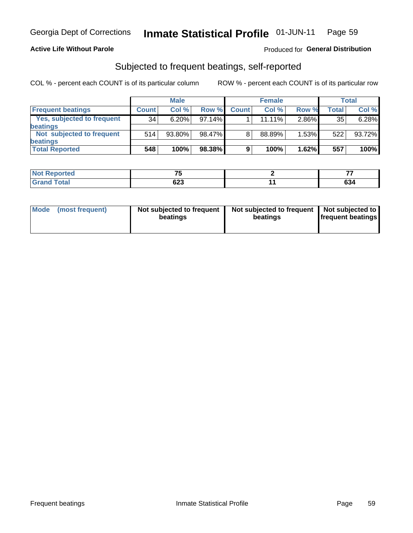### **Active Life Without Parole**

## Produced for General Distribution

## Subjected to frequent beatings, self-reported

COL % - percent each COUNT is of its particular column

|                                   |              | <b>Male</b> |        |              | <b>Female</b> |       |       | Total  |
|-----------------------------------|--------------|-------------|--------|--------------|---------------|-------|-------|--------|
| <b>Frequent beatings</b>          | <b>Count</b> | Col%        | Row %  | <b>Count</b> | Col %         | Row % | Total | Col %  |
| <b>Yes, subjected to frequent</b> | 34           | $6.20\%$    | 97.14% |              | 11.11%        | 2.86% | 35    | 6.28%  |
| <b>beatings</b>                   |              |             |        |              |               |       |       |        |
| Not subjected to frequent         | 514          | 93.80%      | 98.47% | 8            | 88.89%        | 1.53% | 522   | 93.72% |
| <b>beatings</b>                   |              |             |        |              |               |       |       |        |
| <b>Total Reported</b>             | 548          | 100%        | 98.38% | 9            | 100%          | 1.62% | 557   | 100%   |

| <b>Not Reported</b> | --  | --  |
|---------------------|-----|-----|
| <b>Grand Total</b>  | 623 | 634 |

| Mode (most frequent) | Not subjected to frequent<br>beatings | Not subjected to frequent<br>beatings | Not subjected to<br><b>frequent beatings</b> |
|----------------------|---------------------------------------|---------------------------------------|----------------------------------------------|
|                      |                                       |                                       |                                              |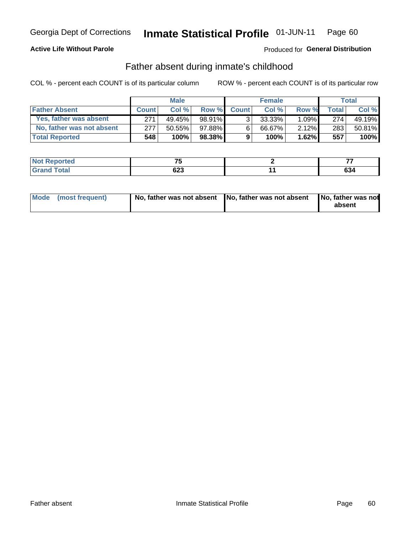## **Active Life Without Parole**

## Produced for General Distribution

## Father absent during inmate's childhood

COL % - percent each COUNT is of its particular column

|                           | <b>Male</b>  |           | <b>Female</b> |                |           | <b>Total</b> |              |        |
|---------------------------|--------------|-----------|---------------|----------------|-----------|--------------|--------------|--------|
| <b>Father Absent</b>      | <b>Count</b> | Col%      | Row %         | <b>Count</b>   | Col%      | Row %        | <b>Total</b> | Col %  |
| Yes, father was absent    | 271          | 49.45%    | 98.91%        | 3 <sub>1</sub> | $33.33\%$ | $1.09\%$     | 274          | 49.19% |
| No, father was not absent | 277          | $50.55\%$ | 97.88%        | 6              | 66.67%    | $2.12\%$     | 283          | 50.81% |
| <b>Total Reported</b>     | 548          | $100\%$   | 98.38%        | 9              | 100%      | 1.62%        | 557          | 100%   |

| <b>Not Reported</b> | $-$ | --     |
|---------------------|-----|--------|
| <b>Total</b>        | ົດ  | $\sim$ |
| 'Grand ì            | נגס | 634    |

| Mode (most frequent) |  | No, father was not absent No, father was not absent No, father was not | absent |
|----------------------|--|------------------------------------------------------------------------|--------|
|----------------------|--|------------------------------------------------------------------------|--------|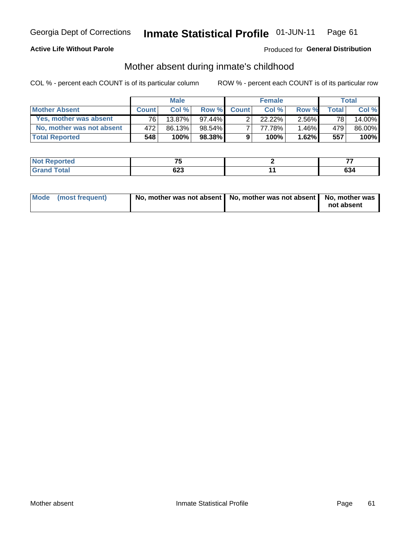## **Active Life Without Parole**

## Produced for General Distribution

## Mother absent during inmate's childhood

COL % - percent each COUNT is of its particular column

|                           |              | <b>Male</b> |           |              | <b>Female</b> |          |       | Total  |
|---------------------------|--------------|-------------|-----------|--------------|---------------|----------|-------|--------|
| <b>Mother Absent</b>      | <b>Count</b> | Col%        | Row %     | <b>Count</b> | Col%          | Row %    | Total | Col %  |
| Yes, mother was absent    | 76 I         | $13.87\%$   | $97.44\%$ | ົ            | $22.22\%$     | $2.56\%$ | 78    | 14.00% |
| No, mother was not absent | 472          | 86.13%      | $98.54\%$ |              | 77.78%        | 1.46%    | 479   | 86.00% |
| <b>Total Reported</b>     | 548          | 100%        | 98.38%    | 9            | 100%          | $1.62\%$ | 557   | 100%   |

| Reported<br><b>NOT</b> | --         | --            |
|------------------------|------------|---------------|
| <b>Total</b>           | へへつ<br>נגס | $\sim$<br>OJ4 |

| Mode (most frequent) | No, mother was not absent   No, mother was not absent   No, mother was | not absent |
|----------------------|------------------------------------------------------------------------|------------|
|----------------------|------------------------------------------------------------------------|------------|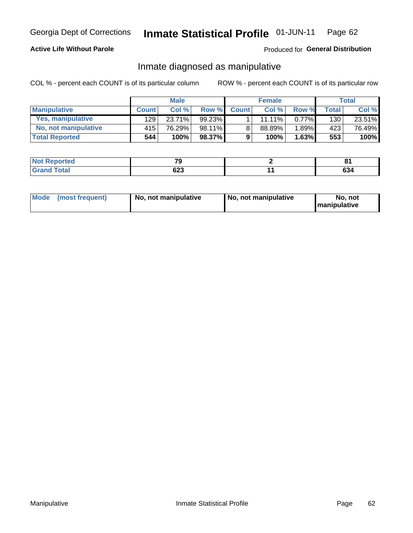## **Active Life Without Parole**

## Produced for General Distribution

## Inmate diagnosed as manipulative

COL % - percent each COUNT is of its particular column

|                          | <b>Male</b>  |        | <b>Female</b> |              |        | Total    |              |        |
|--------------------------|--------------|--------|---------------|--------------|--------|----------|--------------|--------|
| <b>Manipulative</b>      | <b>Count</b> | Col %  | Row %         | <b>Count</b> | Col %  | Row %    | <b>Total</b> | Col %  |
| <b>Yes, manipulative</b> | 129          | 23.71% | $99.23\%$     |              | 11.11% | $0.77\%$ | 130          | 23.51% |
| No, not manipulative     | 415'         | 76.29% | 98.11%        | 8            | 88.89% | 1.89%    | 423          | 76.49% |
| <b>Total Reported</b>    | 544          | 100%   | 98.37%        | 9            | 100%   | 1.63%    | 553          | 100%   |

| <b>Not Reported</b> | --  | n.  |
|---------------------|-----|-----|
| <b>Total</b>        | ົດ  | ^^  |
| ' Grano             | ט∠ט | 034 |

| <b>Mode</b><br>(most frequent) | No, not manipulative | No, not manipulative | No. not<br><b>I</b> manipulative |
|--------------------------------|----------------------|----------------------|----------------------------------|
|--------------------------------|----------------------|----------------------|----------------------------------|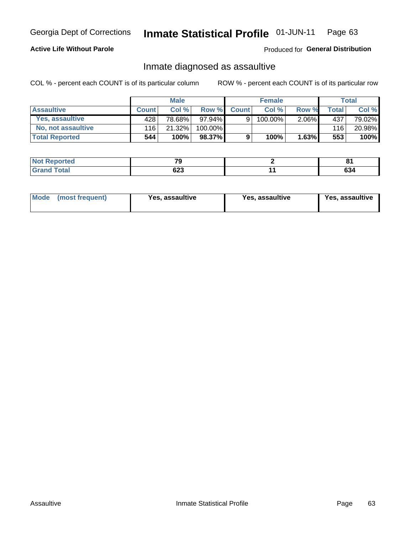#### Inmate Statistical Profile 01-JUN-11 Page 63

## **Active Life Without Parole**

## Produced for General Distribution

## Inmate diagnosed as assaultive

COL % - percent each COUNT is of its particular column

|                       | <b>Male</b>  |        | <b>Female</b> |              |         | Total    |       |        |
|-----------------------|--------------|--------|---------------|--------------|---------|----------|-------|--------|
| <b>Assaultive</b>     | <b>Count</b> | Col%   | Row %         | <b>Count</b> | Col %   | Row %    | Total | Col %  |
| Yes, assaultive       | 428'         | 78.68% | $97.94\%$     | 9            | 100.00% | $2.06\%$ | 437   | 79.02% |
| No, not assaultive    | 116          | 21.32% | 100.00%       |              |         |          | 116   | 20.98% |
| <b>Total Reported</b> | 544          | 100%   | 98.37%        | 9            | 100%    | 1.63%    | 553   | 100%   |

| <b>Not Reported</b> | $-$        | о.<br>$\mathbf{o}$ . |
|---------------------|------------|----------------------|
| <b>Total</b>        | coo<br>ט∠ט | rn.<br>OJ4           |

| Mode (most frequent)<br>Yes, assaultive | Yes, assaultive | <b>Yes, assaultive</b> |
|-----------------------------------------|-----------------|------------------------|
|-----------------------------------------|-----------------|------------------------|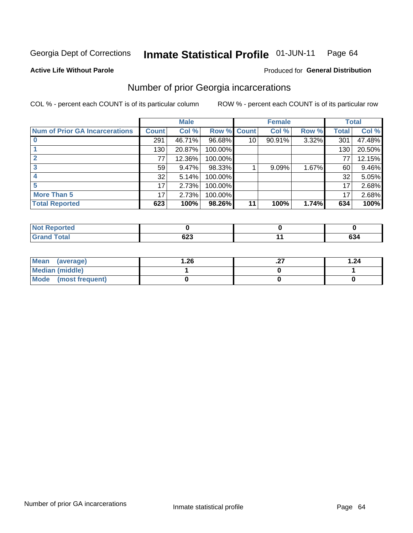#### Inmate Statistical Profile 01-JUN-11 Page 64

### **Active Life Without Parole**

### **Produced for General Distribution**

## Number of prior Georgia incarcerations

COL % - percent each COUNT is of its particular column

|                                       |                 | <b>Male</b> |                    |                 | <b>Female</b> |       |       | <b>Total</b> |
|---------------------------------------|-----------------|-------------|--------------------|-----------------|---------------|-------|-------|--------------|
| <b>Num of Prior GA Incarcerations</b> | <b>Count</b>    | Col %       | <b>Row % Count</b> |                 | Col %         | Row % | Total | Col %        |
|                                       | 291             | 46.71%      | 96.68%             | 10 <sup>1</sup> | 90.91%        | 3.32% | 301   | 47.48%       |
|                                       | 130             | 20.87%      | 100.00%            |                 |               |       | 130   | 20.50%       |
|                                       | 77              | 12.36%      | 100.00%            |                 |               |       | 77    | 12.15%       |
|                                       | 59 <sub>1</sub> | $9.47\%$    | 98.33%             |                 | 9.09%         | 1.67% | 60    | 9.46%        |
|                                       | 32              | 5.14%       | 100.00%            |                 |               |       | 32    | 5.05%        |
|                                       | 17              | 2.73%       | 100.00%            |                 |               |       | 17    | 2.68%        |
| <b>More Than 5</b>                    | 17              | 2.73%       | 100.00%            |                 |               |       | 17    | 2.68%        |
| <b>Total Reported</b>                 | 623             | 100%        | 98.26%             | 11              | 100%          | 1.74% | 634   | 100%         |

| N<br>neo    |     |               |
|-------------|-----|---------------|
| <b>otal</b> | ს∠ა | $\sim$<br>634 |

| Mean (average)       | 26.، | . | 1.24 |
|----------------------|------|---|------|
| Median (middle)      |      |   |      |
| Mode (most frequent) |      |   |      |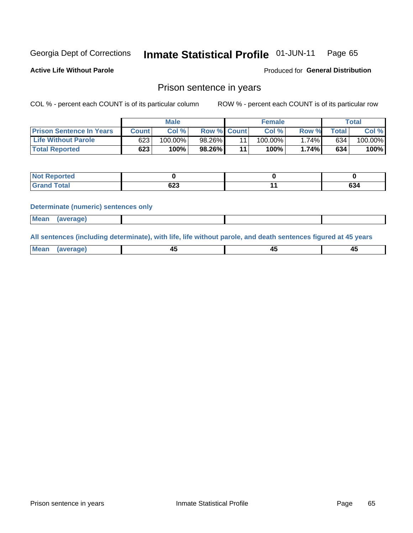#### Inmate Statistical Profile 01-JUN-11 Page 65

**Active Life Without Parole** 

Produced for General Distribution

## Prison sentence in years

COL % - percent each COUNT is of its particular column

ROW % - percent each COUNT is of its particular row

|                                 |         | <b>Male</b> |                    |    | <b>Female</b> |       |             | Total   |
|---------------------------------|---------|-------------|--------------------|----|---------------|-------|-------------|---------|
| <b>Prison Sentence In Years</b> | Count l | Col %       | <b>Row % Count</b> |    | Col %         | Row % | $\tau$ otal | Col %   |
| <b>Life Without Parole</b>      | 623     | $100.00\%$  | 98.26%             |    | 100.00%       | 1.74% | 634         | 100.00% |
| <b>Total Reported</b>           | 623     | 100%        | 98.26%             | 44 | 100%          | 1.74% | 634         | 100%    |

| Reported<br><b>NOT</b> |                    |           |
|------------------------|--------------------|-----------|
| <b>otal</b>            | <b>000</b><br>่ง∠ง | ^^<br>OJ4 |

### **Determinate (numeric) sentences only**

| (average) |             |  |  |
|-----------|-------------|--|--|
|           | <b>Mean</b> |  |  |

All sentences (including determinate), with life, life without parole, and death sentences figured at 45 years

| $M$ ea<br>(average) | $\sim$ | ,,<br>т. |
|---------------------|--------|----------|
|                     |        |          |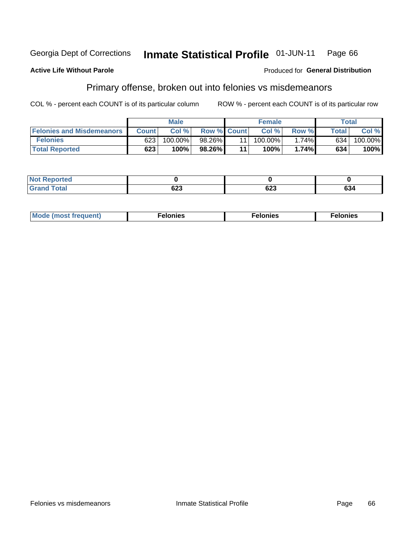#### Georgia Dept of Corrections Inmate Statistical Profile 01-JUN-11 Page 66

### **Active Life Without Parole**

### **Produced for General Distribution**

## Primary offense, broken out into felonies vs misdemeanors

COL % - percent each COUNT is of its particular column

|                                  |              | <b>Male</b> |                    |    | <b>Female</b> |          |              | Total   |
|----------------------------------|--------------|-------------|--------------------|----|---------------|----------|--------------|---------|
| <b>Felonies and Misdemeanors</b> | <b>Count</b> | Col%        | <b>Row % Count</b> |    | Col%          | Row %    | <b>Total</b> | Col %   |
| <b>Felonies</b>                  | 623          | 100.00%     | 98.26%             |    | 100.00%       | $1.74\%$ | 634          | 100.00% |
| <b>Total Reported</b>            | 623          | 100%        | 98.26%             | 44 | 100%          | 1.74%    | 634          | 100%    |

| <b>Not Reported</b>   |                   |            |     |
|-----------------------|-------------------|------------|-----|
| Total<br>Grand<br>uuu | <u>__</u><br>JZJ. | coo<br>נגס | 634 |

| $Mc$<br>equent)<br>нез<br>$\sim$<br>. | onies<br>. | <b>onies</b><br>. |
|---------------------------------------|------------|-------------------|
|---------------------------------------|------------|-------------------|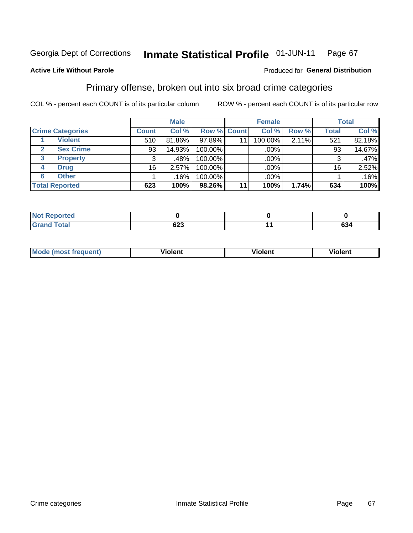#### Inmate Statistical Profile 01-JUN-11 Page 67

### **Active Life Without Parole**

### Produced for General Distribution

## Primary offense, broken out into six broad crime categories

COL % - percent each COUNT is of its particular column

|                         |              | <b>Male</b> |             |    | <b>Female</b> |       |              | <b>Total</b> |
|-------------------------|--------------|-------------|-------------|----|---------------|-------|--------------|--------------|
| <b>Crime Categories</b> | <b>Count</b> | Col %       | Row % Count |    | Col %         | Row % | <b>Total</b> | Col %        |
| <b>Violent</b>          | 510          | 81.86%      | 97.89%      | 11 | 100.00%       | 2.11% | 521          | 82.18%       |
| <b>Sex Crime</b>        | 93           | 14.93%      | 100.00%     |    | .00%          |       | 93           | 14.67%       |
| 3<br><b>Property</b>    | 3            | .48%        | 100.00%     |    | .00%          |       |              | $.47\%$      |
| <b>Drug</b><br>4        | 16           | 2.57%       | 100.00%     |    | .00%          |       | 16           | 2.52%        |
| <b>Other</b><br>6       |              | .16%        | 100.00%     |    | .00%          |       |              | .16%         |
| <b>Total Reported</b>   | 623          | 100%        | 98.26%      | 11 | 100%          | 1.74% | 634          | 100%         |

| <b>Not Reported</b> |            |     |
|---------------------|------------|-----|
| <b>Total</b>        | coo<br>⊍∠ວ | 634 |

| M | . | 40 O |
|---|---|------|
|   |   |      |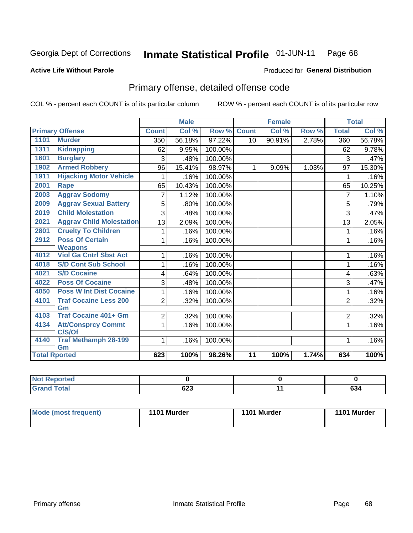#### Inmate Statistical Profile 01-JUN-11 Page 68

### **Active Life Without Parole**

## **Produced for General Distribution**

## Primary offense, detailed offense code

COL % - percent each COUNT is of its particular column

|                      |                                   |                | <b>Male</b> |         |                 | <b>Female</b> |       |                | <b>Total</b> |
|----------------------|-----------------------------------|----------------|-------------|---------|-----------------|---------------|-------|----------------|--------------|
|                      | <b>Primary Offense</b>            | <b>Count</b>   | Col %       | Row %   | <b>Count</b>    | Col %         | Row % | <b>Total</b>   | Col %        |
| 1101                 | <b>Murder</b>                     | 350            | 56.18%      | 97.22%  | 10              | 90.91%        | 2.78% | 360            | 56.78%       |
| 1311                 | <b>Kidnapping</b>                 | 62             | 9.95%       | 100.00% |                 |               |       | 62             | 9.78%        |
| 1601                 | <b>Burglary</b>                   | 3              | .48%        | 100.00% |                 |               |       | 3              | .47%         |
| 1902                 | <b>Armed Robbery</b>              | 96             | 15.41%      | 98.97%  | $\mathbf 1$     | 9.09%         | 1.03% | 97             | 15.30%       |
| 1911                 | <b>Hijacking Motor Vehicle</b>    | 1              | .16%        | 100.00% |                 |               |       | 1              | .16%         |
| 2001                 | <b>Rape</b>                       | 65             | 10.43%      | 100.00% |                 |               |       | 65             | 10.25%       |
| 2003                 | <b>Aggrav Sodomy</b>              | $\overline{7}$ | 1.12%       | 100.00% |                 |               |       | $\overline{7}$ | 1.10%        |
| 2009                 | <b>Aggrav Sexual Battery</b>      | 5              | .80%        | 100.00% |                 |               |       | 5              | .79%         |
| 2019                 | <b>Child Molestation</b>          | 3              | .48%        | 100.00% |                 |               |       | 3              | .47%         |
| 2021                 | <b>Aggrav Child Molestation</b>   | 13             | 2.09%       | 100.00% |                 |               |       | 13             | 2.05%        |
| 2801                 | <b>Cruelty To Children</b>        |                | .16%        | 100.00% |                 |               |       | 1              | .16%         |
| 2912                 | <b>Poss Of Certain</b>            | 1              | .16%        | 100.00% |                 |               |       | 1              | .16%         |
|                      | <b>Weapons</b>                    |                |             |         |                 |               |       |                |              |
| 4012                 | <b>Viol Ga Cntrl Sbst Act</b>     | 1              | .16%        | 100.00% |                 |               |       | 1              | .16%         |
| 4018                 | <b>S/D Cont Sub School</b>        |                | .16%        | 100.00% |                 |               |       | 1              | .16%         |
| 4021                 | <b>S/D Cocaine</b>                | 4              | .64%        | 100.00% |                 |               |       | 4              | .63%         |
| 4022                 | <b>Poss Of Cocaine</b>            | 3              | .48%        | 100.00% |                 |               |       | 3              | .47%         |
| 4050                 | <b>Poss W Int Dist Cocaine</b>    | 1              | .16%        | 100.00% |                 |               |       | 1              | .16%         |
| 4101                 | <b>Traf Cocaine Less 200</b>      | $\overline{2}$ | .32%        | 100.00% |                 |               |       | $\overline{2}$ | .32%         |
|                      | Gm                                |                |             |         |                 |               |       |                |              |
| 4103                 | <b>Traf Cocaine 401+ Gm</b>       | 2              | .32%        | 100.00% |                 |               |       | $\overline{2}$ | .32%         |
| 4134                 | <b>Att/Consprcy Commt</b>         | 1              | .16%        | 100.00% |                 |               |       | $\mathbf{1}$   | .16%         |
|                      | C/S/Of                            |                |             |         |                 |               |       |                |              |
| 4140                 | <b>Traf Methamph 28-199</b><br>Gm | 1              | .16%        | 100.00% |                 |               |       | 1              | .16%         |
| <b>Total Rported</b> |                                   | 623            | 100%        | 98.26%  | $\overline{11}$ | 100%          | 1.74% | 634            | 100%         |
|                      |                                   |                |             |         |                 |               |       |                |              |

| ∣Not Reported |                       |               |
|---------------|-----------------------|---------------|
| <b>Total</b>  | $\sim$<br>ບ∠ວ<br>$ -$ | $\sim$<br>ნა4 |

| Mode (most frequent) | 1101 Murder | 1101 Murder | 1101 Murder |
|----------------------|-------------|-------------|-------------|
|                      |             |             |             |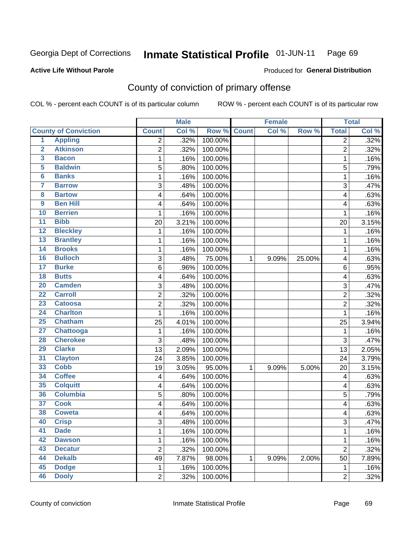#### Inmate Statistical Profile 01-JUN-11 Page 69

### **Active Life Without Parole**

## **Produced for General Distribution**

## County of conviction of primary offense

COL % - percent each COUNT is of its particular column

|                         |                             | <b>Male</b>    |       | <b>Female</b> |              |       | <b>Total</b> |                |       |
|-------------------------|-----------------------------|----------------|-------|---------------|--------------|-------|--------------|----------------|-------|
|                         | <b>County of Conviction</b> | <b>Count</b>   | Col % | Row %         | <b>Count</b> | Col % | Row %        | <b>Total</b>   | Col % |
| 1                       | <b>Appling</b>              | 2              | .32%  | 100.00%       |              |       |              | 2              | .32%  |
| $\overline{2}$          | <b>Atkinson</b>             | $\overline{2}$ | .32%  | 100.00%       |              |       |              | $\overline{2}$ | .32%  |
| $\overline{\mathbf{3}}$ | <b>Bacon</b>                | 1              | .16%  | 100.00%       |              |       |              | $\mathbf 1$    | .16%  |
| 5                       | <b>Baldwin</b>              | 5              | .80%  | 100.00%       |              |       |              | 5              | .79%  |
| $6\phantom{a}$          | <b>Banks</b>                | 1              | .16%  | 100.00%       |              |       |              | 1              | .16%  |
| 7                       | <b>Barrow</b>               | $\sqrt{3}$     | .48%  | 100.00%       |              |       |              | 3              | .47%  |
| 8                       | <b>Bartow</b>               | 4              | .64%  | 100.00%       |              |       |              | 4              | .63%  |
| 9                       | <b>Ben Hill</b>             | 4              | .64%  | 100.00%       |              |       |              | 4              | .63%  |
| 10                      | <b>Berrien</b>              | 1              | .16%  | 100.00%       |              |       |              | 1              | .16%  |
| $\overline{11}$         | <b>Bibb</b>                 | 20             | 3.21% | 100.00%       |              |       |              | 20             | 3.15% |
| 12                      | <b>Bleckley</b>             | 1              | .16%  | 100.00%       |              |       |              | 1              | .16%  |
| 13                      | <b>Brantley</b>             | 1              | .16%  | 100.00%       |              |       |              | $\mathbf{1}$   | .16%  |
| $\overline{14}$         | <b>Brooks</b>               | 1              | .16%  | 100.00%       |              |       |              | 1              | .16%  |
| 16                      | <b>Bulloch</b>              | $\sqrt{3}$     | .48%  | 75.00%        | 1            | 9.09% | 25.00%       | 4              | .63%  |
| $\overline{17}$         | <b>Burke</b>                | 6              | .96%  | 100.00%       |              |       |              | 6              | .95%  |
| 18                      | <b>Butts</b>                | 4              | .64%  | 100.00%       |              |       |              | 4              | .63%  |
| 20                      | <b>Camden</b>               | 3              | .48%  | 100.00%       |              |       |              | 3              | .47%  |
| $\overline{22}$         | <b>Carroll</b>              | $\overline{2}$ | .32%  | 100.00%       |              |       |              | $\overline{2}$ | .32%  |
| $\overline{23}$         | <b>Catoosa</b>              | 2              | .32%  | 100.00%       |              |       |              | $\overline{c}$ | .32%  |
| 24                      | <b>Charlton</b>             | 1              | .16%  | 100.00%       |              |       |              | 1              | .16%  |
| 25                      | <b>Chatham</b>              | 25             | 4.01% | 100.00%       |              |       |              | 25             | 3.94% |
| $\overline{27}$         | <b>Chattooga</b>            | 1              | .16%  | 100.00%       |              |       |              | 1              | .16%  |
| 28                      | <b>Cherokee</b>             | 3              | .48%  | 100.00%       |              |       |              | 3              | .47%  |
| 29                      | <b>Clarke</b>               | 13             | 2.09% | 100.00%       |              |       |              | 13             | 2.05% |
| 31                      | <b>Clayton</b>              | 24             | 3.85% | 100.00%       |              |       |              | 24             | 3.79% |
| 33                      | <b>Cobb</b>                 | 19             | 3.05% | 95.00%        | 1            | 9.09% | 5.00%        | 20             | 3.15% |
| 34                      | <b>Coffee</b>               | 4              | .64%  | 100.00%       |              |       |              | 4              | .63%  |
| 35                      | <b>Colquitt</b>             | 4              | .64%  | 100.00%       |              |       |              | 4              | .63%  |
| 36                      | <b>Columbia</b>             | 5              | .80%  | 100.00%       |              |       |              | 5              | .79%  |
| $\overline{37}$         | <b>Cook</b>                 | 4              | .64%  | 100.00%       |              |       |              | 4              | .63%  |
| 38                      | <b>Coweta</b>               | 4              | .64%  | 100.00%       |              |       |              | 4              | .63%  |
| 40                      | <b>Crisp</b>                | 3              | .48%  | 100.00%       |              |       |              | 3              | .47%  |
| 41                      | <b>Dade</b>                 | 1              | .16%  | 100.00%       |              |       |              | $\mathbf{1}$   | .16%  |
| 42                      | <b>Dawson</b>               | 1              | .16%  | 100.00%       |              |       |              | $\mathbf{1}$   | .16%  |
| 43                      | <b>Decatur</b>              | $\mathbf 2$    | .32%  | 100.00%       |              |       |              | $\overline{2}$ | .32%  |
| 44                      | <b>Dekalb</b>               | 49             | 7.87% | 98.00%        | 1            | 9.09% | 2.00%        | 50             | 7.89% |
| 45                      | <b>Dodge</b>                | $\mathbf{1}$   | .16%  | 100.00%       |              |       |              | 1              | .16%  |
| 46                      | <b>Dooly</b>                | $\overline{c}$ | .32%  | 100.00%       |              |       |              | $\overline{2}$ | .32%  |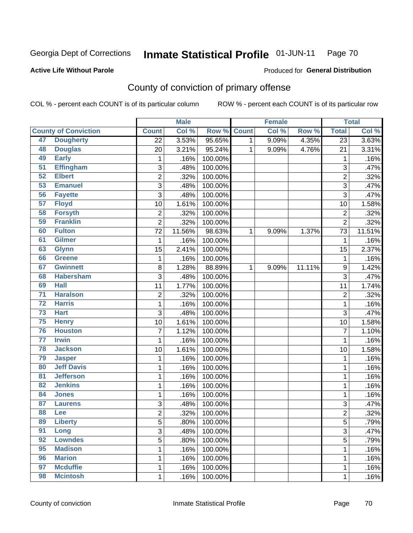#### Inmate Statistical Profile 01-JUN-11 Page 70

**Active Life Without Parole** 

Produced for General Distribution

## County of conviction of primary offense

COL % - percent each COUNT is of its particular column

|                 |                             |                 | <b>Male</b> |                    |   | <b>Female</b> |        |                  | <b>Total</b> |
|-----------------|-----------------------------|-----------------|-------------|--------------------|---|---------------|--------|------------------|--------------|
|                 | <b>County of Conviction</b> | <b>Count</b>    | Col %       | <b>Row % Count</b> |   | Col %         | Row %  | <b>Total</b>     | Col %        |
| 47              | <b>Dougherty</b>            | $\overline{22}$ | 3.53%       | 95.65%             | 1 | 9.09%         | 4.35%  | $\overline{23}$  | 3.63%        |
| 48              | <b>Douglas</b>              | 20              | 3.21%       | 95.24%             | 1 | 9.09%         | 4.76%  | 21               | 3.31%        |
| 49              | <b>Early</b>                | 1               | .16%        | 100.00%            |   |               |        | 1                | .16%         |
| $\overline{51}$ | <b>Effingham</b>            | 3               | .48%        | 100.00%            |   |               |        | 3                | .47%         |
| 52              | <b>Elbert</b>               | $\overline{c}$  | .32%        | 100.00%            |   |               |        | $\overline{2}$   | .32%         |
| 53              | <b>Emanuel</b>              | $\sqrt{3}$      | .48%        | 100.00%            |   |               |        | 3                | .47%         |
| 56              | <b>Fayette</b>              | $\overline{3}$  | .48%        | 100.00%            |   |               |        | $\overline{3}$   | .47%         |
| 57              | <b>Floyd</b>                | 10              | 1.61%       | 100.00%            |   |               |        | 10               | 1.58%        |
| 58              | <b>Forsyth</b>              | 2               | .32%        | 100.00%            |   |               |        | $\overline{2}$   | .32%         |
| 59              | <b>Franklin</b>             | $\overline{2}$  | .32%        | 100.00%            |   |               |        | $\overline{2}$   | .32%         |
| 60              | <b>Fulton</b>               | 72              | 11.56%      | 98.63%             | 1 | 9.09%         | 1.37%  | 73               | 11.51%       |
| 61              | <b>Gilmer</b>               | 1               | .16%        | 100.00%            |   |               |        | 1                | .16%         |
| 63              | <b>Glynn</b>                | 15              | 2.41%       | 100.00%            |   |               |        | 15               | 2.37%        |
| 66              | <b>Greene</b>               | 1               | .16%        | 100.00%            |   |               |        | 1                | .16%         |
| 67              | <b>Gwinnett</b>             | 8               | 1.28%       | 88.89%             | 1 | 9.09%         | 11.11% | $\boldsymbol{9}$ | 1.42%        |
| 68              | <b>Habersham</b>            | 3               | .48%        | 100.00%            |   |               |        | 3                | .47%         |
| 69              | <b>Hall</b>                 | 11              | 1.77%       | 100.00%            |   |               |        | 11               | 1.74%        |
| $\overline{71}$ | <b>Haralson</b>             | $\overline{c}$  | .32%        | 100.00%            |   |               |        | $\overline{2}$   | .32%         |
| $\overline{72}$ | <b>Harris</b>               | 1               | .16%        | 100.00%            |   |               |        | $\mathbf{1}$     | .16%         |
| 73              | <b>Hart</b>                 | 3               | .48%        | 100.00%            |   |               |        | 3                | .47%         |
| 75              | <b>Henry</b>                | 10              | 1.61%       | 100.00%            |   |               |        | 10               | 1.58%        |
| 76              | <b>Houston</b>              | $\overline{7}$  | 1.12%       | 100.00%            |   |               |        | $\overline{7}$   | 1.10%        |
| $\overline{77}$ | <b>Irwin</b>                | 1               | .16%        | 100.00%            |   |               |        | 1                | .16%         |
| 78              | <b>Jackson</b>              | 10              | 1.61%       | 100.00%            |   |               |        | 10               | 1.58%        |
| 79              | <b>Jasper</b>               | 1               | .16%        | 100.00%            |   |               |        | 1                | .16%         |
| 80              | <b>Jeff Davis</b>           | 1               | .16%        | 100.00%            |   |               |        | 1                | .16%         |
| 81              | <b>Jefferson</b>            | 1               | .16%        | 100.00%            |   |               |        | 1                | .16%         |
| 82              | <b>Jenkins</b>              | 1               | .16%        | 100.00%            |   |               |        | 1                | .16%         |
| 84              | <b>Jones</b>                | 1               | .16%        | 100.00%            |   |               |        | 1                | .16%         |
| 87              | <b>Laurens</b>              | 3               | .48%        | 100.00%            |   |               |        | 3                | .47%         |
| 88              | Lee                         | $\overline{2}$  | .32%        | 100.00%            |   |               |        | $\overline{2}$   | .32%         |
| 89              | <b>Liberty</b>              | 5               | .80%        | 100.00%            |   |               |        | 5                | .79%         |
| 91              | Long                        | 3               | .48%        | 100.00%            |   |               |        | $\overline{3}$   | .47%         |
| 92              | <b>Lowndes</b>              | 5               | .80%        | 100.00%            |   |               |        | 5                | .79%         |
| 95              | <b>Madison</b>              | 1               | .16%        | 100.00%            |   |               |        | 1                | .16%         |
| 96              | <b>Marion</b>               | 1               | .16%        | 100.00%            |   |               |        | 1                | .16%         |
| 97              | <b>Mcduffie</b>             | 1               | .16%        | 100.00%            |   |               |        | 1                | .16%         |
| 98              | <b>Mcintosh</b>             | 1               | .16%        | 100.00%            |   |               |        | 1                | .16%         |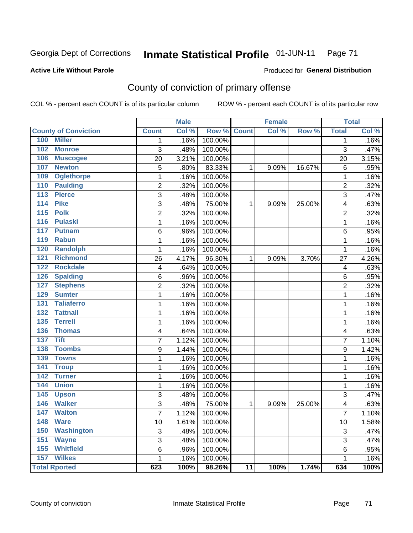#### **Inmate Statistical Profile 01-JUN-11** Page 71

### **Active Life Without Parole**

## Produced for General Distribution

## County of conviction of primary offense

COL % - percent each COUNT is of its particular column

|                                   |                | <b>Male</b> |         |                 | <b>Female</b> |        |                | <b>Total</b> |
|-----------------------------------|----------------|-------------|---------|-----------------|---------------|--------|----------------|--------------|
| <b>County of Conviction</b>       | <b>Count</b>   | Col %       | Row %   | <b>Count</b>    | Col %         | Row %  | <b>Total</b>   | Col %        |
| <b>Miller</b><br>100              | 1              | .16%        | 100.00% |                 |               |        | 1              | .16%         |
| 102<br><b>Monroe</b>              | 3              | .48%        | 100.00% |                 |               |        | 3              | .47%         |
| 106<br><b>Muscogee</b>            | 20             | 3.21%       | 100.00% |                 |               |        | 20             | 3.15%        |
| 107<br><b>Newton</b>              | 5              | .80%        | 83.33%  | 1               | 9.09%         | 16.67% | 6              | .95%         |
| <b>Oglethorpe</b><br>109          | 1              | .16%        | 100.00% |                 |               |        | $\mathbf{1}$   | .16%         |
| 110<br><b>Paulding</b>            | $\overline{2}$ | .32%        | 100.00% |                 |               |        | $\overline{2}$ | .32%         |
| <b>Pierce</b><br>113              | 3              | .48%        | 100.00% |                 |               |        | 3              | .47%         |
| <b>Pike</b><br>114                | 3              | .48%        | 75.00%  | 1               | 9.09%         | 25.00% | 4              | .63%         |
| 115<br><b>Polk</b>                | $\overline{c}$ | .32%        | 100.00% |                 |               |        | $\overline{2}$ | .32%         |
| 116<br><b>Pulaski</b>             | $\mathbf{1}$   | .16%        | 100.00% |                 |               |        | $\mathbf{1}$   | .16%         |
| 117<br><b>Putnam</b>              | 6              | .96%        | 100.00% |                 |               |        | 6              | .95%         |
| 119<br><b>Rabun</b>               | 1              | .16%        | 100.00% |                 |               |        | $\mathbf{1}$   | .16%         |
| <b>Randolph</b><br>120            | 1              | .16%        | 100.00% |                 |               |        | 1              | .16%         |
| 121<br><b>Richmond</b>            | 26             | 4.17%       | 96.30%  | 1               | 9.09%         | 3.70%  | 27             | 4.26%        |
| 122<br><b>Rockdale</b>            | 4              | .64%        | 100.00% |                 |               |        | 4              | .63%         |
| <b>Spalding</b><br>126            | 6              | .96%        | 100.00% |                 |               |        | 6              | .95%         |
| <b>Stephens</b><br>127            | 2              | .32%        | 100.00% |                 |               |        | $\overline{2}$ | .32%         |
| 129<br><b>Sumter</b>              | 1              | .16%        | 100.00% |                 |               |        | $\mathbf{1}$   | .16%         |
| <b>Taliaferro</b><br>131          | 1              | .16%        | 100.00% |                 |               |        | 1              | .16%         |
| <b>Tattnall</b><br>132            | 1              | .16%        | 100.00% |                 |               |        | $\mathbf{1}$   | .16%         |
| <b>Terrell</b><br>135             | $\mathbf{1}$   | .16%        | 100.00% |                 |               |        | $\mathbf{1}$   | .16%         |
| 136<br><b>Thomas</b>              | 4              | .64%        | 100.00% |                 |               |        | 4              | .63%         |
| <b>Tift</b><br>137                | $\overline{7}$ | 1.12%       | 100.00% |                 |               |        | 7              | 1.10%        |
| <b>Toombs</b><br>138              | 9              | 1.44%       | 100.00% |                 |               |        | 9              | 1.42%        |
| <b>Towns</b><br>139               | 1              | .16%        | 100.00% |                 |               |        | 1              | .16%         |
| 141<br><b>Troup</b>               | 1              | .16%        | 100.00% |                 |               |        | 1              | .16%         |
| $\overline{142}$<br><b>Turner</b> | $\mathbf{1}$   | .16%        | 100.00% |                 |               |        | 1              | .16%         |
| <b>Union</b><br>144               | 1              | .16%        | 100.00% |                 |               |        | $\mathbf{1}$   | .16%         |
| 145<br><b>Upson</b>               | 3              | .48%        | 100.00% |                 |               |        | 3              | .47%         |
| 146<br><b>Walker</b>              | 3              | .48%        | 75.00%  | 1               | 9.09%         | 25.00% | 4              | .63%         |
| <b>Walton</b><br>147              | $\overline{7}$ | 1.12%       | 100.00% |                 |               |        | 7              | 1.10%        |
| <b>Ware</b><br>148                | 10             | 1.61%       | 100.00% |                 |               |        | 10             | 1.58%        |
| 150<br><b>Washington</b>          | 3              | .48%        | 100.00% |                 |               |        | 3              | .47%         |
| 151<br><b>Wayne</b>               | 3              | .48%        | 100.00% |                 |               |        | 3              | .47%         |
| 155<br><b>Whitfield</b>           | 6              | .96%        | 100.00% |                 |               |        | 6              | .95%         |
| <b>Wilkes</b><br>157              | $\mathbf{1}$   | .16%        | 100.00% |                 |               |        | 1              | .16%         |
| <b>Total Rported</b>              | 623            | 100%        | 98.26%  | $\overline{11}$ | 100%          | 1.74%  | 634            | 100%         |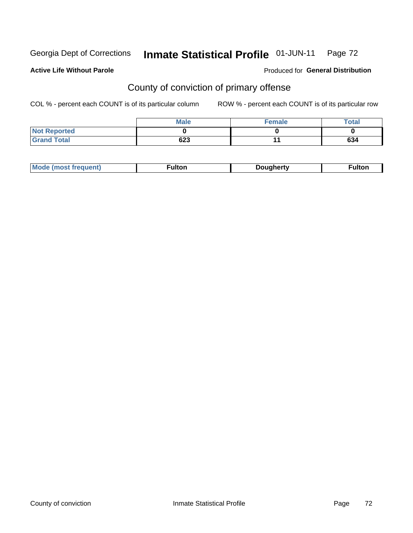### Inmate Statistical Profile 01-JUN-11 Page 72

### **Active Life Without Parole**

## **Produced for General Distribution**

# County of conviction of primary offense

COL % - percent each COUNT is of its particular column

|                     | <b>Male</b> | <b>Female</b> | Total |
|---------------------|-------------|---------------|-------|
| <b>Not Reported</b> |             |               |       |
| <b>Grand Total</b>  | 623         |               | 634   |

|  | <b>Mode</b><br><b>rauent</b><br>mosr | ⊺ulton | <i>D</i> ouahertv | <b>ultor</b> |
|--|--------------------------------------|--------|-------------------|--------------|
|--|--------------------------------------|--------|-------------------|--------------|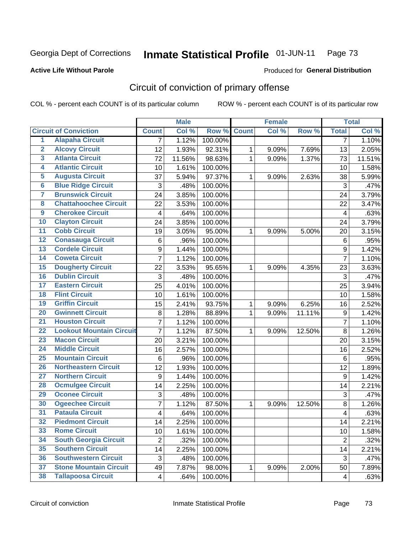### Inmate Statistical Profile 01-JUN-11 Page 73

### **Active Life Without Parole**

## **Produced for General Distribution**

# Circuit of conviction of primary offense

COL % - percent each COUNT is of its particular column

|                         |                                 |                | <b>Male</b> |         |              | <b>Female</b> |        |                         | <b>Total</b> |
|-------------------------|---------------------------------|----------------|-------------|---------|--------------|---------------|--------|-------------------------|--------------|
|                         | <b>Circuit of Conviction</b>    | <b>Count</b>   | Col %       | Row %   | <b>Count</b> | Col %         | Row %  | <b>Total</b>            | Col %        |
| 1                       | <b>Alapaha Circuit</b>          | 7              | 1.12%       | 100.00% |              |               |        | 7                       | 1.10%        |
| $\overline{2}$          | <b>Alcovy Circuit</b>           | 12             | 1.93%       | 92.31%  | 1            | 9.09%         | 7.69%  | 13                      | 2.05%        |
| $\overline{\mathbf{3}}$ | <b>Atlanta Circuit</b>          | 72             | 11.56%      | 98.63%  | $\mathbf{1}$ | 9.09%         | 1.37%  | 73                      | 11.51%       |
| 4                       | <b>Atlantic Circuit</b>         | 10             | 1.61%       | 100.00% |              |               |        | 10                      | 1.58%        |
| $\overline{5}$          | <b>Augusta Circuit</b>          | 37             | 5.94%       | 97.37%  | $\mathbf{1}$ | 9.09%         | 2.63%  | 38                      | 5.99%        |
| $\overline{6}$          | <b>Blue Ridge Circuit</b>       | 3              | .48%        | 100.00% |              |               |        | 3                       | .47%         |
| 7                       | <b>Brunswick Circuit</b>        | 24             | 3.85%       | 100.00% |              |               |        | 24                      | 3.79%        |
| $\overline{\mathbf{8}}$ | <b>Chattahoochee Circuit</b>    | 22             | 3.53%       | 100.00% |              |               |        | 22                      | 3.47%        |
| $\overline{9}$          | <b>Cherokee Circuit</b>         | 4              | .64%        | 100.00% |              |               |        | $\overline{\mathbf{4}}$ | .63%         |
| 10                      | <b>Clayton Circuit</b>          | 24             | 3.85%       | 100.00% |              |               |        | 24                      | 3.79%        |
| $\overline{11}$         | <b>Cobb Circuit</b>             | 19             | 3.05%       | 95.00%  | 1            | 9.09%         | 5.00%  | 20                      | 3.15%        |
| $\overline{12}$         | <b>Conasauga Circuit</b>        | 6              | .96%        | 100.00% |              |               |        | 6                       | .95%         |
| $\overline{13}$         | <b>Cordele Circuit</b>          | 9              | 1.44%       | 100.00% |              |               |        | 9                       | 1.42%        |
| $\overline{14}$         | <b>Coweta Circuit</b>           | $\overline{7}$ | 1.12%       | 100.00% |              |               |        | $\overline{7}$          | 1.10%        |
| 15                      | <b>Dougherty Circuit</b>        | 22             | 3.53%       | 95.65%  | 1            | 9.09%         | 4.35%  | 23                      | 3.63%        |
| 16                      | <b>Dublin Circuit</b>           | 3              | .48%        | 100.00% |              |               |        | 3                       | .47%         |
| $\overline{17}$         | <b>Eastern Circuit</b>          | 25             | 4.01%       | 100.00% |              |               |        | 25                      | 3.94%        |
| 18                      | <b>Flint Circuit</b>            | 10             | 1.61%       | 100.00% |              |               |        | 10                      | 1.58%        |
| 19                      | <b>Griffin Circuit</b>          | 15             | 2.41%       | 93.75%  | 1            | 9.09%         | 6.25%  | 16                      | 2.52%        |
| $\overline{20}$         | <b>Gwinnett Circuit</b>         | 8              | 1.28%       | 88.89%  | 1            | 9.09%         | 11.11% | $\boldsymbol{9}$        | 1.42%        |
| $\overline{21}$         | <b>Houston Circuit</b>          | $\overline{7}$ | 1.12%       | 100.00% |              |               |        | $\overline{7}$          | 1.10%        |
| $\overline{22}$         | <b>Lookout Mountain Circuit</b> | $\overline{7}$ | 1.12%       | 87.50%  | 1            | 9.09%         | 12.50% | 8                       | 1.26%        |
| 23                      | <b>Macon Circuit</b>            | 20             | 3.21%       | 100.00% |              |               |        | 20                      | 3.15%        |
| $\overline{24}$         | <b>Middle Circuit</b>           | 16             | 2.57%       | 100.00% |              |               |        | 16                      | 2.52%        |
| $\overline{25}$         | <b>Mountain Circuit</b>         | 6              | .96%        | 100.00% |              |               |        | $6\phantom{1}$          | .95%         |
| 26                      | <b>Northeastern Circuit</b>     | 12             | 1.93%       | 100.00% |              |               |        | 12                      | 1.89%        |
| $\overline{27}$         | <b>Northern Circuit</b>         | 9              | 1.44%       | 100.00% |              |               |        | $\boldsymbol{9}$        | 1.42%        |
| 28                      | <b>Ocmulgee Circuit</b>         | 14             | 2.25%       | 100.00% |              |               |        | 14                      | 2.21%        |
| 29                      | <b>Oconee Circuit</b>           | 3              | .48%        | 100.00% |              |               |        | 3                       | .47%         |
| 30                      | <b>Ogeechee Circuit</b>         | 7              | 1.12%       | 87.50%  | 1            | 9.09%         | 12.50% | 8                       | 1.26%        |
| $\overline{31}$         | <b>Pataula Circuit</b>          | 4              | .64%        | 100.00% |              |               |        | $\overline{\mathbf{4}}$ | .63%         |
| 32                      | <b>Piedmont Circuit</b>         | 14             | 2.25%       | 100.00% |              |               |        | 14                      | 2.21%        |
| 33                      | <b>Rome Circuit</b>             | 10             | 1.61%       | 100.00% |              |               |        | 10                      | 1.58%        |
| 34                      | <b>South Georgia Circuit</b>    | $\overline{2}$ | .32%        | 100.00% |              |               |        | $\overline{2}$          | .32%         |
| 35                      | <b>Southern Circuit</b>         | 14             | 2.25%       | 100.00% |              |               |        | 14                      | 2.21%        |
| 36                      | <b>Southwestern Circuit</b>     | 3              | .48%        | 100.00% |              |               |        | $\sqrt{3}$              | .47%         |
| 37                      | <b>Stone Mountain Circuit</b>   | 49             | 7.87%       | 98.00%  | 1            | 9.09%         | 2.00%  | 50                      | 7.89%        |
| 38                      | <b>Tallapoosa Circuit</b>       | 4              | .64%        | 100.00% |              |               |        | 4                       | $-63%$       |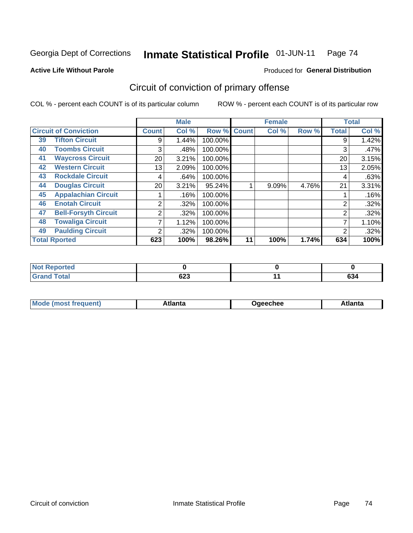### Inmate Statistical Profile 01-JUN-11 Page 74

## **Active Life Without Parole**

## Produced for General Distribution

# Circuit of conviction of primary offense

COL % - percent each COUNT is of its particular column

|    |                              |                 | <b>Male</b> |         |              | <b>Female</b> |       |                | <b>Total</b> |
|----|------------------------------|-----------------|-------------|---------|--------------|---------------|-------|----------------|--------------|
|    | <b>Circuit of Conviction</b> | <b>Count</b>    | Col %       | Row %   | <b>Count</b> | Col %         | Row % | <b>Total</b>   | Col %        |
| 39 | <b>Tifton Circuit</b>        | 9               | 1.44%       | 100.00% |              |               |       | 9              | 1.42%        |
| 40 | <b>Toombs Circuit</b>        | 3               | .48%        | 100.00% |              |               |       | 3              | .47%         |
| 41 | <b>Waycross Circuit</b>      | 20              | 3.21%       | 100.00% |              |               |       | 20             | 3.15%        |
| 42 | <b>Western Circuit</b>       | 13              | 2.09%       | 100.00% |              |               |       | 13             | 2.05%        |
| 43 | <b>Rockdale Circuit</b>      | 4               | .64%        | 100.00% |              |               |       | 4              | .63%         |
| 44 | <b>Douglas Circuit</b>       | 20 <sub>1</sub> | 3.21%       | 95.24%  |              | 9.09%         | 4.76% | 21             | 3.31%        |
| 45 | <b>Appalachian Circuit</b>   |                 | .16%        | 100.00% |              |               |       |                | .16%         |
| 46 | <b>Enotah Circuit</b>        | 2               | $.32\%$     | 100.00% |              |               |       | 2              | .32%         |
| 47 | <b>Bell-Forsyth Circuit</b>  | 2               | .32%        | 100.00% |              |               |       | $\overline{2}$ | .32%         |
| 48 | <b>Towaliga Circuit</b>      |                 | 1.12%       | 100.00% |              |               |       |                | 1.10%        |
| 49 | <b>Paulding Circuit</b>      | ◠               | .32%        | 100.00% |              |               |       | 2              | .32%         |
|    | <b>Total Rported</b>         | 623             | 100%        | 98.26%  | 11           | 100%          | 1.74% | 634            | 100%         |

| <b>eported</b>  |     |        |
|-----------------|-----|--------|
| <b>otal</b>     | coo | $\sim$ |
| $\sim$ . $\sim$ | ს∠ა | 9ט     |

| Mc<br>tlanta<br>\tlanta<br>echee: |
|-----------------------------------|
|-----------------------------------|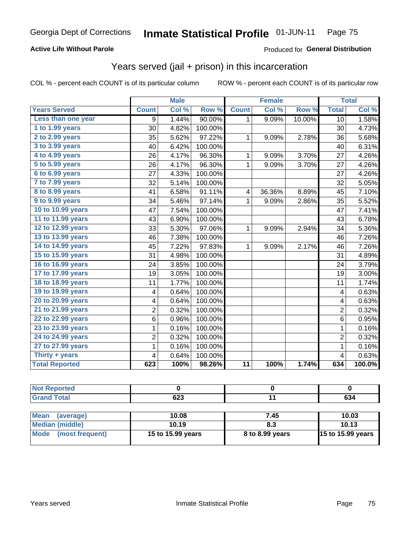## **Active Life Without Parole**

### Produced for General Distribution

## Years served (jail + prison) in this incarceration

COL % - percent each COUNT is of its particular column

|                       |                | <b>Male</b> |         |                 | <b>Female</b> |        |                | <b>Total</b> |
|-----------------------|----------------|-------------|---------|-----------------|---------------|--------|----------------|--------------|
| <b>Years Served</b>   | <b>Count</b>   | Col %       | Row %   | <b>Count</b>    | Col %         | Row %  | <b>Total</b>   | Col %        |
| Less than one year    | 9              | 1.44%       | 90.00%  | 1               | 9.09%         | 10.00% | 10             | 1.58%        |
| 1 to 1.99 years       | 30             | 4.82%       | 100.00% |                 |               |        | 30             | 4.73%        |
| 2 to 2.99 years       | 35             | 5.62%       | 97.22%  | 1               | 9.09%         | 2.78%  | 36             | 5.68%        |
| 3 to 3.99 years       | 40             | 6.42%       | 100.00% |                 |               |        | 40             | 6.31%        |
| 4 to 4.99 years       | 26             | 4.17%       | 96.30%  | 1               | 9.09%         | 3.70%  | 27             | 4.26%        |
| 5 to 5.99 years       | 26             | 4.17%       | 96.30%  | $\mathbf{1}$    | 9.09%         | 3.70%  | 27             | 4.26%        |
| 6 to 6.99 years       | 27             | 4.33%       | 100.00% |                 |               |        | 27             | 4.26%        |
| 7 to 7.99 years       | 32             | 5.14%       | 100.00% |                 |               |        | 32             | 5.05%        |
| 8 to 8.99 years       | 41             | 6.58%       | 91.11%  | 4               | 36.36%        | 8.89%  | 45             | 7.10%        |
| 9 to 9.99 years       | 34             | 5.46%       | 97.14%  | $\mathbf{1}$    | 9.09%         | 2.86%  | 35             | 5.52%        |
| 10 to 10.99 years     | 47             | 7.54%       | 100.00% |                 |               |        | 47             | 7.41%        |
| 11 to 11.99 years     | 43             | 6.90%       | 100.00% |                 |               |        | 43             | 6.78%        |
| 12 to 12.99 years     | 33             | 5.30%       | 97.06%  | 1               | 9.09%         | 2.94%  | 34             | 5.36%        |
| 13 to 13.99 years     | 46             | 7.38%       | 100.00% |                 |               |        | 46             | 7.26%        |
| 14 to 14.99 years     | 45             | 7.22%       | 97.83%  | 1               | 9.09%         | 2.17%  | 46             | 7.26%        |
| 15 to 15.99 years     | 31             | 4.98%       | 100.00% |                 |               |        | 31             | 4.89%        |
| 16 to 16.99 years     | 24             | 3.85%       | 100.00% |                 |               |        | 24             | 3.79%        |
| 17 to 17.99 years     | 19             | 3.05%       | 100.00% |                 |               |        | 19             | 3.00%        |
| 18 to 18.99 years     | 11             | 1.77%       | 100.00% |                 |               |        | 11             | 1.74%        |
| 19 to 19.99 years     | 4              | 0.64%       | 100.00% |                 |               |        | 4              | 0.63%        |
| 20 to 20.99 years     | 4              | 0.64%       | 100.00% |                 |               |        | 4              | 0.63%        |
| 21 to 21.99 years     | $\overline{2}$ | 0.32%       | 100.00% |                 |               |        | $\overline{2}$ | 0.32%        |
| 22 to 22.99 years     | 6              | 0.96%       | 100.00% |                 |               |        | 6              | 0.95%        |
| 23 to 23.99 years     | 1              | 0.16%       | 100.00% |                 |               |        | 1              | 0.16%        |
| 24 to 24.99 years     | $\overline{c}$ | 0.32%       | 100.00% |                 |               |        | $\overline{2}$ | 0.32%        |
| 27 to 27.99 years     | $\mathbf 1$    | 0.16%       | 100.00% |                 |               |        | $\mathbf{1}$   | 0.16%        |
| Thirty $+$ years      | 4              | 0.64%       | 100.00% |                 |               |        | 4              | 0.63%        |
| <b>Total Reported</b> | 623            | 100%        | 98.26%  | $\overline{11}$ | 100%          | 1.74%  | 634            | 100.0%       |

| τeα |                     |               |
|-----|---------------------|---------------|
|     | $\sim$<br>נגט<br>__ | $\sim$<br>יטט |

| <b>Mean</b><br>(average)       | 10.08             | 7.45            | 10.03                    |
|--------------------------------|-------------------|-----------------|--------------------------|
| Median (middle)                | 10.19             |                 | 10.13                    |
| <b>Mode</b><br>(most frequent) | 15 to 15.99 years | 8 to 8.99 years | <b>15 to 15.99 years</b> |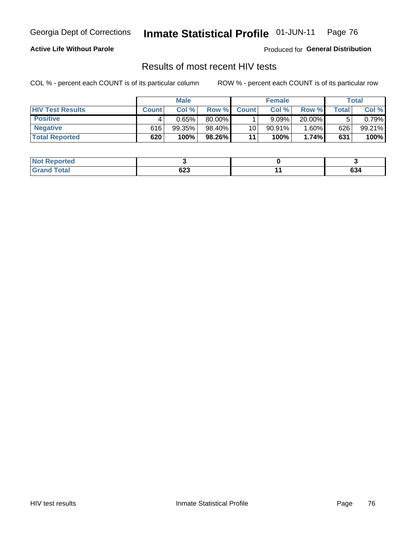### Inmate Statistical Profile 01-JUN-11 Page 76

## **Active Life Without Parole**

Produced for General Distribution

## Results of most recent HIV tests

COL % - percent each COUNT is of its particular column

|                         |              | <b>Male</b> |        |              | <b>Female</b> |          |       | Total  |
|-------------------------|--------------|-------------|--------|--------------|---------------|----------|-------|--------|
| <b>HIV Test Results</b> | <b>Count</b> | Col%        | Row %I | <b>Count</b> | Col %         | Row %    | Total | Col %  |
| <b>Positive</b>         |              | 0.65%       | 80.00% |              | 9.09%         | 20.00%   |       | 0.79%  |
| <b>Negative</b>         | 616          | $99.35\%$   | 98.40% | 10           | $90.91\%$     | $1.60\%$ | 626   | 99.21% |
| <b>Total Reported</b>   | 620          | 100%        | 98.26% | 11           | 100%          | 1.74%    | 631   | 100%   |

| : Reported<br>∣ Not l |     |     |
|-----------------------|-----|-----|
| <b>Cotal</b>          |     | ^^  |
| $100$ and $100$       | ט∠ס | 034 |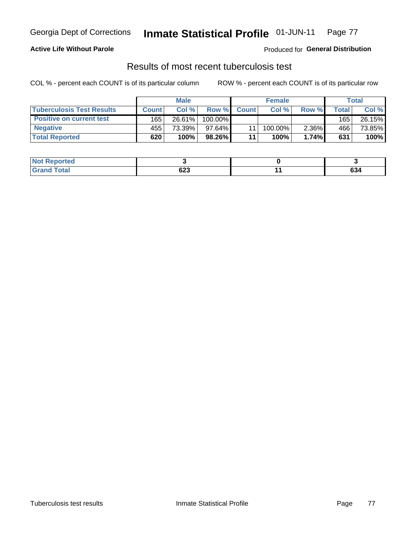### Inmate Statistical Profile 01-JUN-11 Page 77

### **Active Life Without Parole**

Produced for General Distribution

## Results of most recent tuberculosis test

COL % - percent each COUNT is of its particular column

|                                  |              | <b>Male</b> |            |                 | <b>Female</b> |          |       | Total  |
|----------------------------------|--------------|-------------|------------|-----------------|---------------|----------|-------|--------|
| <b>Tuberculosis Test Results</b> | <b>Count</b> | Col%        | Row %I     | <b>Count</b>    | Col%          | Row %    | Total | Col %  |
| <b>Positive on current test</b>  | 165          | 26.61%      | $100.00\%$ |                 |               |          | 165   | 26.15% |
| <b>Negative</b>                  | 455          | 73.39%      | 97.64%     |                 | 100.00%       | $2.36\%$ | 466   | 73.85% |
| <b>Total Reported</b>            | 620          | 100%        | 98.26%     | $\overline{11}$ | <b>100%</b>   | 1.74%    | 631   | 100%   |

| <b>Not Reported</b> |             |               |
|---------------------|-------------|---------------|
| <b>Total</b>        | coc.<br>ט∠ס | $\sim$<br>0J4 |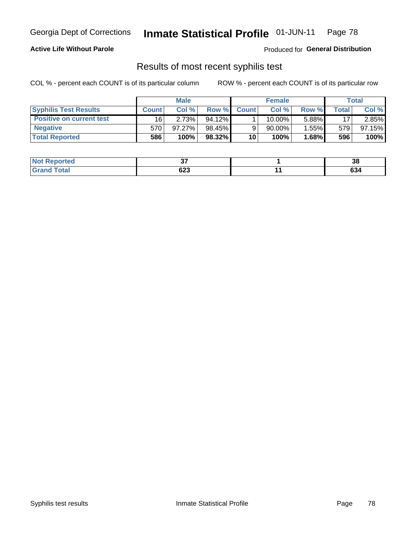### Inmate Statistical Profile 01-JUN-11 Page 78

## **Active Life Without Parole**

Produced for General Distribution

## Results of most recent syphilis test

COL % - percent each COUNT is of its particular column

|                                 | <b>Male</b>  |        |           | <b>Female</b> |        |          | Total |        |
|---------------------------------|--------------|--------|-----------|---------------|--------|----------|-------|--------|
| <b>Syphilis Test Results</b>    | <b>Count</b> | Col%   | Row %     | <b>Count</b>  | Col %  | Row %I   | Total | Col %  |
| <b>Positive on current test</b> | 16           | 2.73%  | $94.12\%$ |               | 10.00% | 5.88%    | 17    | 2.85%  |
| <b>Negative</b>                 | 570          | 97.27% | 98.45%    |               | 90.00% | 1.55%    | 579   | 97.15% |
| <b>Total Reported</b>           | 586          | 100%   | $98.32\%$ | 10            | 100%   | $1.68\%$ | 596   | 100%   |

| <b>Not Reported</b> | ~-            | 38                |
|---------------------|---------------|-------------------|
| Total               | $\sim$<br>ט∠ס | <b>COL</b><br>ნა4 |